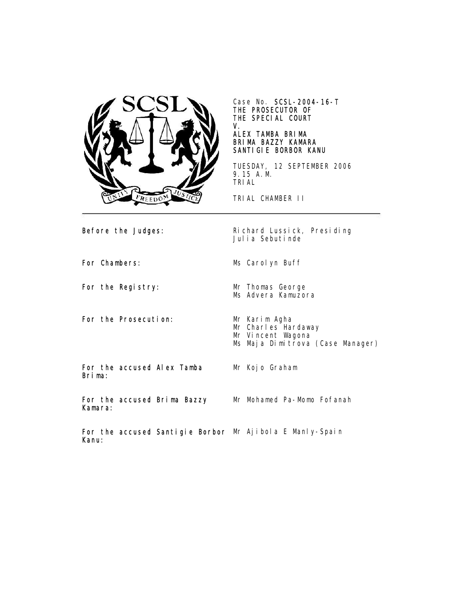

Case No. SCSL-2004-16-T THE PROSECUTOR OF THE SPECIAL COURT V.

## ALEX TAMBA BRIMA BRIMA BAZZY KAMARA SANTIGIE BORBOR KANU

TUESDAY, 12 SEPTEMBER 2006 9.15 A.M. TRIAL

TRIAL CHAMBER II

Ms Advera Kamuzora

Before the Judges: Richard Lussick, Presiding Julia Sebutinde

For Chambers: Ms Carolyn Buff

For the Registry: Mr Thomas George

For the Prosecution: Mr Karim Agha

Mr Charles Hardaway

Mr Vincent Wagona Ms Maja Dimitrova (Case Manager)

For the accused Alex Tamba Brima:

Mr Kojo Graham

For the accused Brima Bazzy Kamara: Mr Mohamed Pa-Momo Fofanah

For the accused Santigie Borbor Mr Ajibola E Manly-SpainKanu: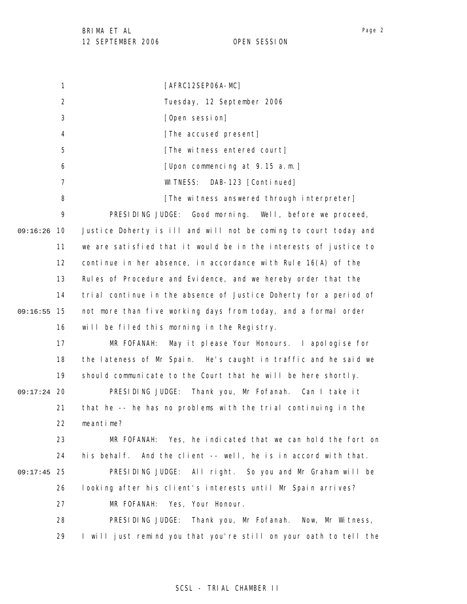1 2 3 4 5 6 7 8 9 09:16:26 10 11 12 13 14 15 09:16:55 16 17 18 19 09:17:24 20 21 22 23 24 25 09:17:45 26 27 28 29 [AFRC12SEP06A-MC] Tuesday, 12 September 2006 [Open session] [The accused present] [The witness entered court] [Upon commencing at 9.15 a.m.] WITNESS: DAB-123 [Continued] [The witness answered through interpreter] PRESIDING JUDGE: Good morning. Well, before we proceed, Justice Doherty is ill and will not be coming to court today and we are satisfied that it would be in the interests of justice to continue in her absence, in accordance with Rule 16(A) of the Rules of Procedure and Evidence, and we hereby order that the trial continue in the absence of Justice Doherty for a period of not more than five working days from today, and a formal order will be filed this morning in the Registry. MR FOFANAH: May it please Your Honours. I apologise for the lateness of Mr Spain. He's caught in traffic and he said we should communicate to the Court that he will be here shortly. PRESIDING JUDGE: Thank you, Mr Fofanah. Can I take it that he -- he has no problems with the trial continuing in the meantime? MR FOFANAH: Yes, he indicated that we can hold the fort on his behalf. And the client -- well, he is in accord with that. PRESIDING JUDGE: All right. So you and Mr Graham will be looking after his client's interests until Mr Spain arrives? MR FOFANAH: Yes, Your Honour. PRESIDING JUDGE: Thank you, Mr Fofanah. Now, Mr Witness, I will just remind you that you're still on your oath to tell the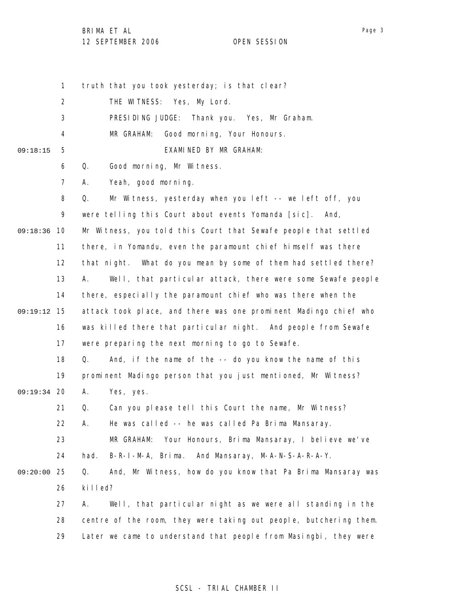Page 3

1 2 3 4 5 6 7 8 9 09:18:36 10 11 12 13 14 15 09:19:12 16 17 18 19 09:19:34 20 21 22 23 24 25 09:20:00 26 27 28 29 09:18:15 truth that you took yesterday; is that clear? THE WITNESS: Yes, My Lord. PRESIDING JUDGE: Thank you. Yes, Mr Graham. MR GRAHAM: Good morning, Your Honours. EXAMINED BY MR GRAHAM: Q. Good morning, Mr Witness. A. Yeah, good morning. Q. Mr Witness, yesterday when you left -- we left off, you were telling this Court about events Yomanda [sic]. And, Mr Witness, you told this Court that Sewafe people that settled there, in Yomandu, even the paramount chief himself was there that night. What do you mean by some of them had settled there? A. Well, that particular attack, there were some Sewafe people there, especially the paramount chief who was there when the attack took place, and there was one prominent Madingo chief who was killed there that particular night. And people from Sewafe were preparing the next morning to go to Sewafe. Q. And, if the name of the -- do you know the name of this prominent Madingo person that you just mentioned, Mr Witness? A. Yes, yes. Q. Can you please tell this Court the name, Mr Witness? A. He was called -- he was called Pa Brima Mansaray. MR GRAHAM: Your Honours, Brima Mansaray, I believe we've had. B-R-I-M-A, Brima. And Mansaray, M-A-N-S-A-R-A-Y. Q. And, Mr Witness, how do you know that Pa Brima Mansaray was killed? A. Well, that particular night as we were all standing in the centre of the room, they were taking out people, butchering them. Later we came to understand that people from Masingbi, they were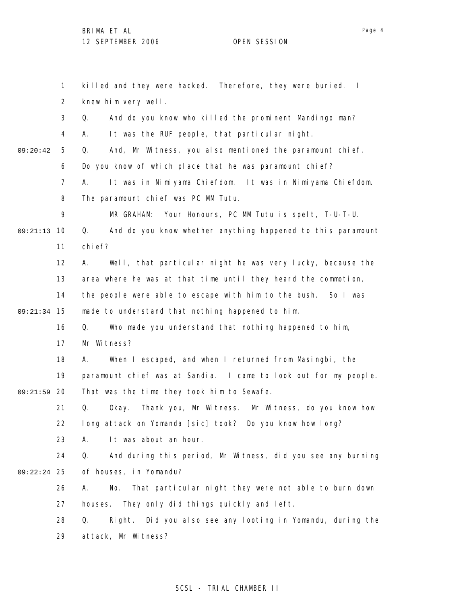1 2 3 4 5 6 7 8 9 09:21:13 10 11 12 13 14 15 09:21:34 16 17 18 19 09:21:59 20 21 22 23 24 25 09:22:24 26 27 28 29 09:20:42 killed and they were hacked. Therefore, they were buried. I knew him very well. Q. And do you know who killed the prominent Mandingo man? A. It was the RUF people, that particular night. Q. And, Mr Witness, you also mentioned the paramount chief. Do you know of which place that he was paramount chief? A. It was in Nimiyama Chiefdom. It was in Nimiyama Chiefdom. The paramount chief was PC MM Tutu. MR GRAHAM: Your Honours, PC MM Tutu is spelt, T-U-T-U. Q. And do you know whether anything happened to this paramount chief? A. Well, that particular night he was very lucky, because the area where he was at that time until they heard the commotion, the people were able to escape with him to the bush. So I was made to understand that nothing happened to him. Q. Who made you understand that nothing happened to him, Mr Witness? A. When I escaped, and when I returned from Masingbi, the paramount chief was at Sandia. I came to look out for my people. That was the time they took him to Sewafe. Q. Okay. Thank you, Mr Witness. Mr Witness, do you know how long attack on Yomanda [sic] took? Do you know how long? A. It was about an hour. Q. And during this period, Mr Witness, did you see any burning of houses, in Yomandu? A. No. That particular night they were not able to burn down houses. They only did things quickly and left. Q. Right. Did you also see any looting in Yomandu, during the attack, Mr Witness?

### SCSL - TRIAL CHAMBER II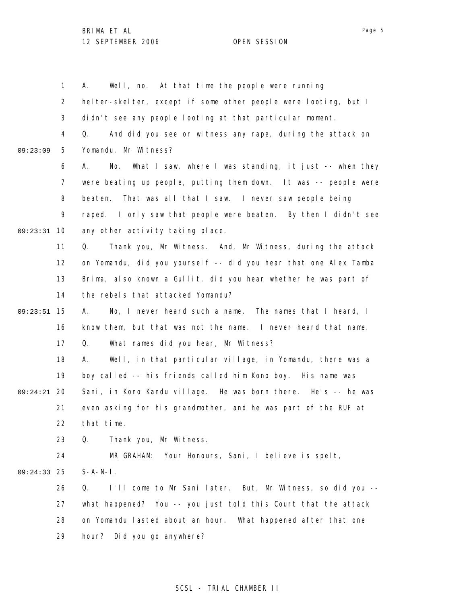1 2 3 4 5 6 7 8 9 09:23:31 10 11 12 13 14 15 09:23:51 16 17 18 19 20 09:24:21 21 22 23 24 25 09:24:33 26 27 28 29 09:23:09 A. Well, no. At that time the people were running helter-skelter, except if some other people were looting, but I didn't see any people looting at that particular moment. Q. And did you see or witness any rape, during the attack on Yomandu, Mr Witness? A. No. What I saw, where I was standing, it just -- when they were beating up people, putting them down. It was -- people were beaten. That was all that I saw. I never saw people being raped. I only saw that people were beaten. By then I didn't see any other activity taking place. Q. Thank you, Mr Witness. And, Mr Witness, during the attack on Yomandu, did you yourself -- did you hear that one Alex Tamba Brima, also known a Gullit, did you hear whether he was part of the rebels that attacked Yomandu? A. No, I never heard such a name. The names that I heard, I know them, but that was not the name. I never heard that name. Q. What names did you hear, Mr Witness? A. Well, in that particular village, in Yomandu, there was a boy called -- his friends called him Kono boy. His name was Sani, in Kono Kandu village. He was born there. He's -- he was even asking for his grandmother, and he was part of the RUF at that time. Q. Thank you, Mr Witness. MR GRAHAM: Your Honours, Sani, I believe is spelt,  $S-A-N-I$ . Q. I'll come to Mr Sani later. But, Mr Witness, so did you - what happened? You -- you just told this Court that the attack on Yomandu lasted about an hour. What happened after that one hour? Did you go anywhere?

### SCSL - TRIAL CHAMBER II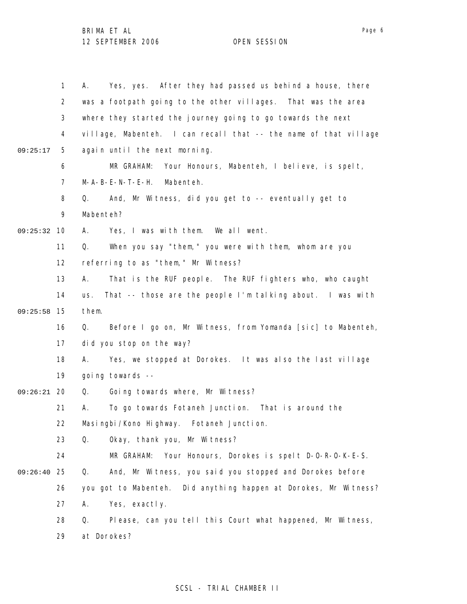|               | $\mathbf{1}$   | Yes, yes. After they had passed us behind a house, there<br>А.    |
|---------------|----------------|-------------------------------------------------------------------|
|               | $\overline{2}$ | was a footpath going to the other villages. That was the area     |
|               | 3              | where they started the journey going to go towards the next       |
|               | 4              | village, Mabenteh. I can recall that -- the name of that village  |
| 09:25:17      | 5              | again until the next morning.                                     |
|               | 6              | MR GRAHAM:<br>Your Honours, Mabenteh, I believe, is spelt,        |
|               | $\overline{7}$ | $M - A - B - E - N - T - E - H$ .<br>Mabenteh.                    |
|               | 8              | And, Mr Witness, did you get to -- eventually get to<br>Q.        |
|               | 9              | Mabenteh?                                                         |
| 09:25:32      | 10             | Yes, I was with them. We all went.<br>А.                          |
|               | 11             | When you say "them, " you were with them, whom are you<br>Q.      |
|               | 12             | referring to as "them," Mr Witness?                               |
|               | 13             | That is the RUF people. The RUF fighters who, who caught<br>А.    |
|               | 14             | That -- those are the people I'm talking about. I was with<br>us. |
| 09:25:58      | -15            | them.                                                             |
|               | 16             | Before I go on, Mr Witness, from Yomanda [sic] to Mabenteh,<br>Q. |
|               | 17             | did you stop on the way?                                          |
|               | 18             | Yes, we stopped at Dorokes. It was also the last village<br>А.    |
|               | 19             | going towards --                                                  |
| $09:26:21$ 20 |                | Going towards where, Mr Witness?<br>Q.                            |
|               | 21             | To go towards Fotaneh Junction. That is around the<br>Α.          |
|               | 22             | Masingbi/Kono Highway. Fotaneh Junction.                          |
|               | 23             | Q.<br>Okay, thank you, Mr Witness?                                |
|               | 24             | MR GRAHAM: Your Honours, Dorokes is spelt D-O-R-O-K-E-S.          |
| 09:26:40      | 25             | And, Mr Witness, you said you stopped and Dorokes before<br>Q.    |
|               | 26             | you got to Mabenteh. Did anything happen at Dorokes, Mr Witness?  |
|               | 27             | Yes, exactly.<br>А.                                               |
|               | 28             | Please, can you tell this Court what happened, Mr Witness,<br>Q.  |
|               | 29             | at Dorokes?                                                       |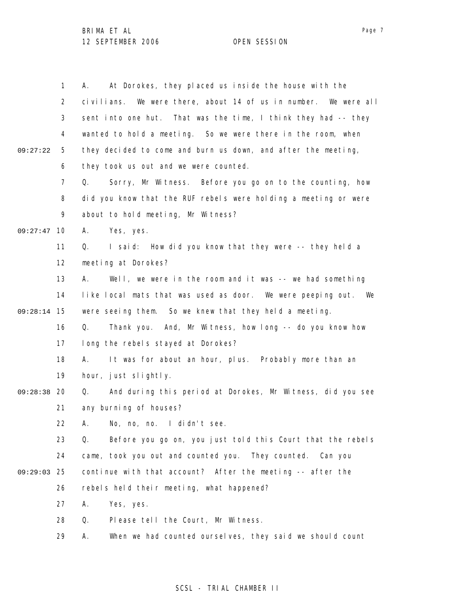|          | $\mathbf{1}$   | At Dorokes, they placed us inside the house with the<br>А.       |
|----------|----------------|------------------------------------------------------------------|
|          | $\overline{2}$ | civilians. We were there, about 14 of us in number. We were all  |
|          | 3              | sent into one hut. That was the time, I think they had -- they   |
|          | 4              | wanted to hold a meeting. So we were there in the room, when     |
| 09:27:22 | 5              | they decided to come and burn us down, and after the meeting,    |
|          | 6              | they took us out and we were counted.                            |
|          | $\overline{7}$ | Sorry, Mr Witness. Before you go on to the counting, how<br>Q.   |
|          | 8              | did you know that the RUF rebels were holding a meeting or were  |
|          | 9              | about to hold meeting, Mr Witness?                               |
| 09:27:47 | 10             | Yes, yes.<br>А.                                                  |
|          | 11             | I said: How did you know that they were -- they held a<br>Q.     |
|          | 12             | meeting at Dorokes?                                              |
|          | 13             | Well, we were in the room and it was -- we had something<br>А.   |
|          | 14             | like local mats that was used as door. We were peeping out. We   |
| 09:28:14 | 15             | were seeing them. So we knew that they held a meeting.           |
|          | 16             | Thank you. And, Mr Witness, how long -- do you know how<br>Q.    |
|          | 17             | long the rebels stayed at Dorokes?                               |
|          | 18             | It was for about an hour, plus. Probably more than an<br>A.      |
|          | 19             | hour, just slightly.                                             |
| 09:28:38 | -20            | And during this period at Dorokes, Mr Witness, did you see<br>Q. |
|          | 21             | any burning of houses?                                           |
|          | 22             | A. No, no, no. I didn't see.                                     |
|          | 23             | Before you go on, you just told this Court that the rebels<br>Q. |
|          | 24             | came, took you out and counted you. They counted.<br>Can you     |
| 09:29:03 | 25             | continue with that account? After the meeting -- after the       |
|          | 26             | rebels held their meeting, what happened?                        |
|          | 27             | Yes, yes.<br>Α.                                                  |
|          | 28             | Q.<br>Please tell the Court, Mr Witness.                         |
|          | 29             | When we had counted ourselves, they said we should count<br>А.   |

# SCSL - TRIAL CHAMBER II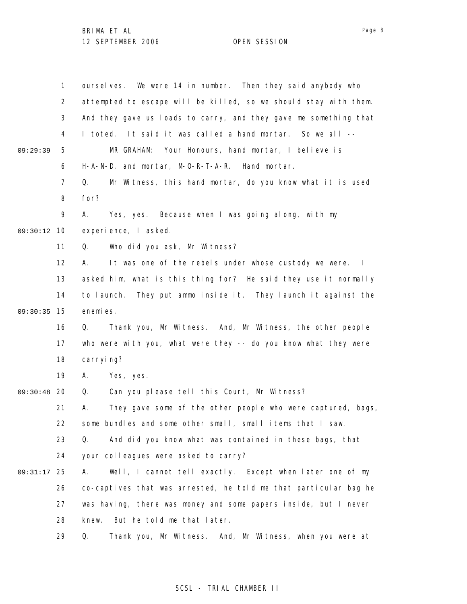|          | $\mathbf{1}$   | ourselves. We were 14 in number. Then they said anybody who       |
|----------|----------------|-------------------------------------------------------------------|
|          | $\overline{2}$ | attempted to escape will be killed, so we should stay with them.  |
|          | 3              | And they gave us loads to carry, and they gave me something that  |
|          | 4              | I toted. It said it was called a hand mortar. So we all --        |
| 09:29:39 | 5              | MR GRAHAM: Your Honours, hand mortar, I believe is                |
|          | 6              | H-A-N-D, and mortar, M-O-R-T-A-R. Hand mortar.                    |
|          | $\overline{7}$ | Mr Witness, this hand mortar, do you know what it is used<br>Q.   |
|          | 8              | for?                                                              |
|          | 9              | Yes, yes. Because when I was going along, with my<br>А.           |
| 09:30:12 | 10             | experience, I asked.                                              |
|          | 11             | Who did you ask, Mr Witness?<br>Q.                                |
|          | 12             | It was one of the rebels under whose custody we were. I<br>А.     |
|          | 13             | asked him, what is this thing for? He said they use it normally   |
|          | 14             | to launch. They put ammo inside it. They launch it against the    |
| 09:30:35 | 15             | enemies.                                                          |
|          | 16             | Thank you, Mr Witness. And, Mr Witness, the other people<br>Q.    |
|          | 17             | who were with you, what were they -- do you know what they were   |
|          | 18             | carrying?                                                         |
|          | 19             | А.<br>Yes, yes.                                                   |
| 09:30:48 | 20             | Can you please tell this Court, Mr Witness?<br>Q.                 |
|          | 21             | They gave some of the other people who were captured, bags,<br>А. |
|          | 22             | some bundles and some other small, small items that I saw.        |
|          | 23             | And did you know what was contained in these bags, that<br>Q.     |
|          | 24             | your colleagues were asked to carry?                              |
| 09:31:17 | 25             | Well, I cannot tell exactly. Except when later one of my<br>А.    |
|          | 26             | co-captives that was arrested, he told me that particular bag he  |
|          | 27             | was having, there was money and some papers inside, but I never   |
|          | 28             | But he told me that later.<br>knew.                               |
|          | 29             | Q.<br>Thank you, Mr Witness. And, Mr Witness, when you were at    |

# SCSL - TRIAL CHAMBER II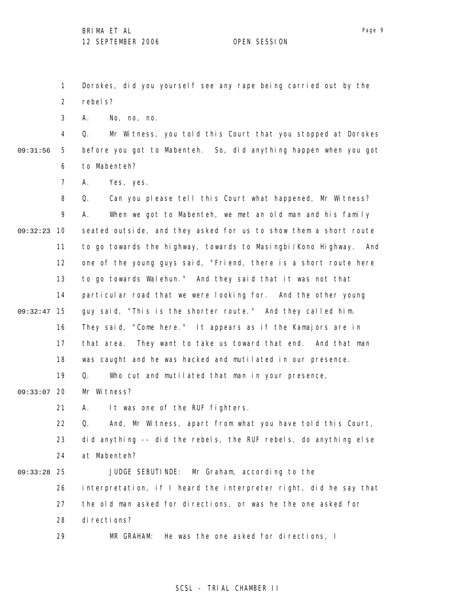Dorokes, did you yourself see any rape being carried out by the

2 rebels?

1

3 A. No, no, no.

4 5 6 09:31:56 Q. Mr Witness, you told this Court that you stopped at Dorokes before you got to Mabenteh. So, did anything happen when you got to Mabenteh?

> 7 A. Yes, yes.

8 9 09:32:23 10 11 12 13 14 15 09:32:47 16 17 18 19 09:33:07 20 21 22 23 24 25 09:33:28 26 27 28 Q. Can you please tell this Court what happened, Mr Witness? A. When we got to Mabenteh, we met an old man and his family seated outside, and they asked for us to show them a short route to go towards the highway, towards to Masingbi/Kono Highway. And one of the young guys said, "Friend, there is a short route here to go towards Walehun." And they said that it was not that particular road that we were looking for. And the other young guy said, "This is the shorter route." And they called him. They said, "Come here." It appears as if the Kamajors are in that area. They want to take us toward that end. And that man was caught and he was hacked and mutilated in our presence. Q. Who cut and mutilated that man in your presence, Mr Witness? A. It was one of the RUF fighters. Q. And, Mr Witness, apart from what you have told this Court, did anything -- did the rebels, the RUF rebels, do anything else at Mabenteh? JUDGE SEBUTINDE: Mr Graham, according to the interpretation, if I heard the interpreter right, did he say that the old man asked for directions, or was he the one asked for directions?

> 29 MR GRAHAM: He was the one asked for directions, I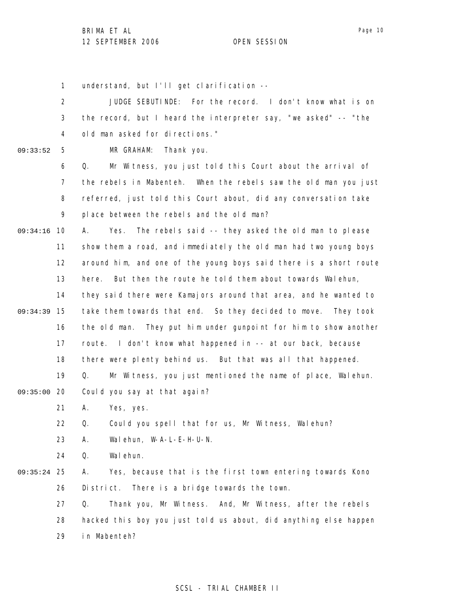1 2 3 4 5 6 7 8 9 09:34:16 10 11 12 13 14 15 09:34:39 16 17 18 19 09:35:00 20 21 22 23 24 25 09:35:24 26 27 28 29 09:33:52 understand, but I'll get clarification -- JUDGE SEBUTINDE: For the record. I don't know what is on the record, but I heard the interpreter say, "we asked" -- "the old man asked for directions." MR GRAHAM: Thank you. Q. Mr Witness, you just told this Court about the arrival of the rebels in Mabenteh. When the rebels saw the old man you just referred, just told this Court about, did any conversation take place between the rebels and the old man? A. Yes. The rebels said -- they asked the old man to please show them a road, and immediately the old man had two young boys around him, and one of the young boys said there is a short route here. But then the route he told them about towards Walehun, they said there were Kamajors around that area, and he wanted to take them towards that end. So they decided to move. They took the old man. They put him under gunpoint for him to show another route. I don't know what happened in -- at our back, because there were plenty behind us. But that was all that happened. Q. Mr Witness, you just mentioned the name of place, Walehun. Could you say at that again? A. Yes, yes. Q. Could you spell that for us, Mr Witness, Walehun? A. Walehun, W-A-L-E-H-U-N. Q. Walehun. A. Yes, because that is the first town entering towards Kono District. There is a bridge towards the town. Q. Thank you, Mr Witness. And, Mr Witness, after the rebels hacked this boy you just told us about, did anything else happen in Mabenteh?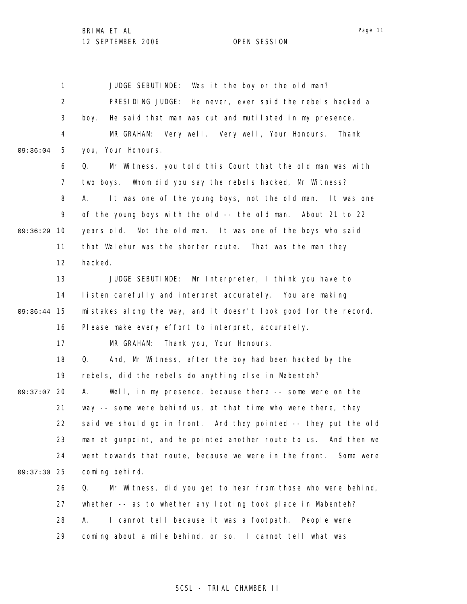|          | 1              | JUDGE SEBUTINDE:<br>Was it the boy or the old man?                  |
|----------|----------------|---------------------------------------------------------------------|
|          | $\overline{2}$ | PRESIDING JUDGE: He never, ever said the rebels hacked a            |
|          | 3              | He said that man was cut and mutilated in my presence.<br>boy.      |
|          | 4              | MR GRAHAM: Very well. Very well, Your Honours.<br>Thank             |
| 09:36:04 | 5              | you, Your Honours.                                                  |
|          | 6              | Mr Witness, you told this Court that the old man was with<br>Q.     |
|          | $\overline{7}$ | two boys. Whom did you say the rebels hacked, Mr Witness?           |
|          | 8              | It was one of the young boys, not the old man. It was one<br>А.     |
|          | 9              | of the young boys with the old -- the old man. About 21 to 22       |
| 09:36:29 | 10             | years old. Not the old man. It was one of the boys who said         |
|          | 11             | that Walehun was the shorter route. That was the man they           |
|          | 12             | hacked.                                                             |
|          | 13             | JUDGE SEBUTINDE: Mr Interpreter, I think you have to                |
|          | 14             | listen carefully and interpret accurately. You are making           |
| 09:36:44 | 15             | mistakes along the way, and it doesn't look good for the record.    |
|          | 16             | Please make every effort to interpret, accurately.                  |
|          | 17             | Thank you, Your Honours.<br>MR GRAHAM:                              |
|          | 18             | And, Mr Witness, after the boy had been hacked by the<br>Q.         |
|          | 19             | rebels, did the rebels do anything else in Mabenteh?                |
| 09:37:07 | 20             | Well, in my presence, because there -- some were on the<br>А.       |
|          | 21             | way -- some were behind us, at that time who were there, they       |
|          | 22             | said we should go in front. And they pointed -- they put the old    |
|          | 23             | man at gunpoint, and he pointed another route to us. And then we    |
|          | 24             | went towards that route, because we were in the front.<br>Some were |
| 09:37:30 | 25             | coming behind.                                                      |
|          | 26             | Mr Witness, did you get to hear from those who were behind,<br>Q.   |
|          | 27             | whether -- as to whether any looting took place in Mabenteh?        |
|          | 28             | I cannot tell because it was a footpath. People were<br>А.          |
|          | 29             | coming about a mile behind, or so. I cannot tell what was           |

## SCSL - TRIAL CHAMBER II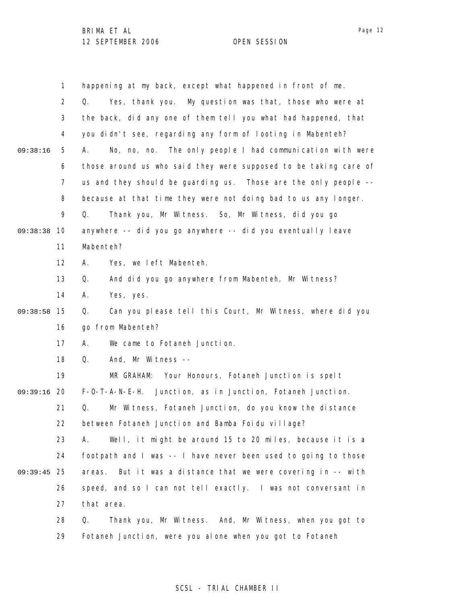|          | 1              | happening at my back, except what happened in front of me.       |
|----------|----------------|------------------------------------------------------------------|
|          | $\overline{2}$ | Yes, thank you. My question was that, those who were at<br>Q.    |
|          | 3              | the back, did any one of them tell you what had happened, that   |
|          | 4              | you didn't see, regarding any form of looting in Mabenteh?       |
| 09:38:16 | 5              | No, no, no. The only people I had communication with were<br>А.  |
|          | 6              | those around us who said they were supposed to be taking care of |
|          | $\overline{7}$ | us and they should be guarding us. Those are the only people --  |
|          | 8              | because at that time they were not doing bad to us any longer.   |
|          | 9              | Thank you, Mr Witness. So, Mr Witness, did you go<br>Q.          |
| 09:38:38 | 10             | anywhere -- did you go anywhere -- did you eventually leave      |
|          | 11             | Mabenteh?                                                        |
|          | 12             | Yes, we left Mabenteh.<br>Α.                                     |
|          | 13             | And did you go anywhere from Mabenteh, Mr Witness?<br>Q.         |
|          | 14             | Yes, yes.<br>А.                                                  |
| 09:38:58 | 15             | Can you please tell this Court, Mr Witness, where did you<br>Q.  |
|          | 16             | go from Mabenteh?                                                |
|          | 17             | We came to Fotaneh Junction.<br>А.                               |
|          | 18             | And, Mr Witness --<br>Q.                                         |
|          | 19             | MR GRAHAM: Your Honours, Fotaneh Junction is spelt               |
| 09:39:16 | 20             | F-O-T-A-N-E-H. Junction, as in Junction, Fotaneh Junction.       |
|          | 21             | Mr Witness, Fotaneh Junction, do you know the distance<br>Q.     |
|          | 22             | between Fotaneh Junction and Bamba Foidu village?                |
|          | 23             | Well, it might be around 15 to 20 miles, because it is a<br>А.   |
|          | 24             | footpath and I was -- I have never been used to going to those   |
| 09:39:45 | -25            | But it was a distance that we were covering in -- with<br>areas. |
|          | 26             | speed, and so I can not tell exactly. I was not conversant in    |
|          | 27             | that area.                                                       |
|          | 28             | Thank you, Mr Witness. And, Mr Witness, when you got to<br>Q.    |
|          | 29             | Fotaneh Junction, were you alone when you got to Fotaneh         |

Page 12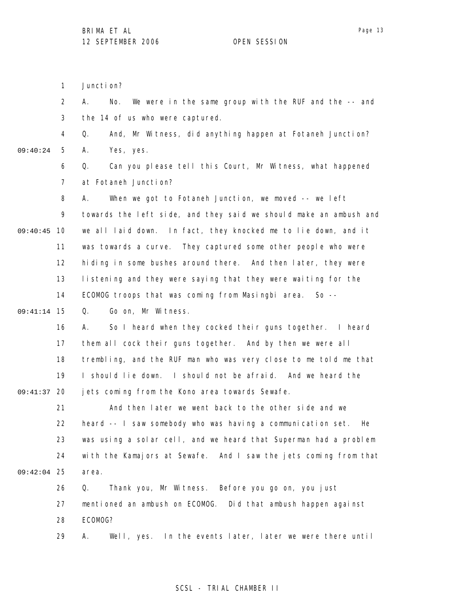1 Juncti on?

2 3 A. No. We were in the same group with the RUF and the -- and the 14 of us who were captured.

4 5 09:40:24 Q. And, Mr Witness, did anything happen at Fotaneh Junction? A. Yes, yes.

> 6 7 Q. Can you please tell this Court, Mr Witness, what happened at Fotaneh Junction?

8 9 09:40:45 10 11 12 13 14 A. When we got to Fotaneh Junction, we moved -- we left towards the left side, and they said we should make an ambush and we all laid down. In fact, they knocked me to lie down, and it was towards a curve. They captured some other people who were hiding in some bushes around there. And then later, they were listening and they were saying that they were waiting for the ECOMOG troops that was coming from Masingbi area. So --

15 09:41:14 Q. Go on, Mr Witness.

16 17 18 19 09:41:37 20 A. So I heard when they cocked their guns together. I heard them all cock their guns together. And by then we were all trembling, and the RUF man who was very close to me told me that I should lie down. I should not be afraid. And we heard the jets coming from the Kono area towards Sewafe.

21 22 23 24 25 09:42:04 And then later we went back to the other side and we heard -- I saw somebody who was having a communication set. He was using a solar cell, and we heard that Superman had a problem with the Kamajors at Sewafe. And I saw the jets coming from that area.

26 27 28 29 Q. Thank you, Mr Witness. Before you go on, you just mentioned an ambush on ECOMOG. Did that ambush happen against ECOMOG? A. Well, yes. In the events later, later we were there until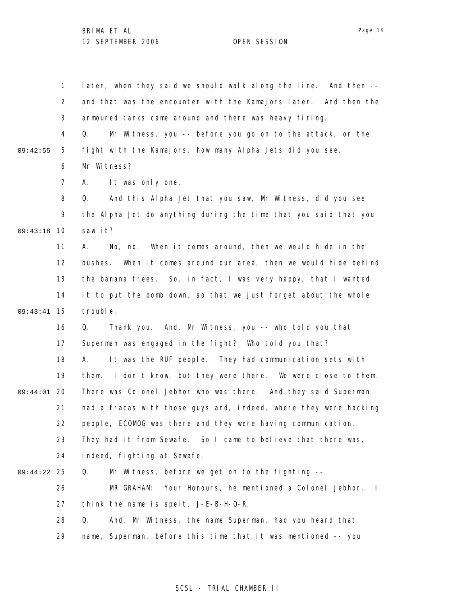1 2 3 4 5 6 7 8 9 09:43:18 10 11 12 13 14 15 09:43:41 16 17 18 19 09:44:01 20 21 22 23 24 25 09:44:22 26 27 28 29 09:42:55 later, when they said we should walk along the line. And then - and that was the encounter with the Kamajors later. And then the armoured tanks came around and there was heavy firing. Q. Mr Witness, you -- before you go on to the attack, or the fight with the Kamajors, how many Alpha Jets did you see, Mr Witness? A. It was only one. Q. And this Alpha Jet that you saw, Mr Witness, did you see the Alpha Jet do anything during the time that you said that you saw it? A. No, no. When it comes around, then we would hide in the bushes. When it comes around our area, then we would hide behind the banana trees. So, in fact, I was very happy, that I wanted it to put the bomb down, so that we just forget about the whole trouble. Q. Thank you. And, Mr Witness, you -- who told you that Superman was engaged in the fight? Who told you that? A. It was the RUF people. They had communication sets with them. I don't know, but they were there. We were close to them. There was Colonel Jebhor who was there. And they said Superman had a fracas with those guys and, indeed, where they were hacking people, ECOMOG was there and they were having communication. They had it from Sewafe. So I came to believe that there was, indeed, fighting at Sewafe. Q. Mr Witness, before we get on to the fighting -- MR GRAHAM: Your Honours, he mentioned a Colonel Jebhor. I think the name is spelt, J-E-B-H-O-R. Q. And, Mr Witness, the name Superman, had you heard that name, Superman, before this time that it was mentioned -- you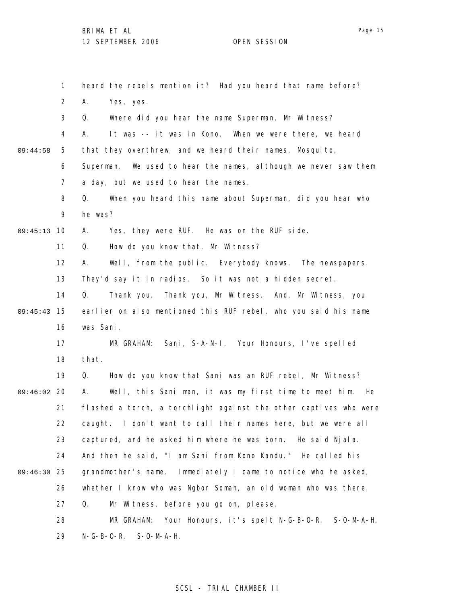1 2 3 4 5 6 7 8 9 09:45:13 10 11 12 13 14 15 09:45:43 16 17 18 19 09:46:02 20 21 22 23 24 25 09:46:30 26 27 28 29 09:44:58 heard the rebels mention it? Had you heard that name before? A. Yes, yes. Q. Where did you hear the name Superman, Mr Witness? A. It was -- it was in Kono. When we were there, we heard that they overthrew, and we heard their names, Mosquito, Superman. We used to hear the names, although we never saw them a day, but we used to hear the names. Q. When you heard this name about Superman, did you hear who he was? A. Yes, they were RUF. He was on the RUF side. Q. How do you know that, Mr Witness? A. Well, from the public. Everybody knows. The newspapers. They'd say it in radios. So it was not a hidden secret. Q. Thank you. Thank you, Mr Witness. And, Mr Witness, you earlier on also mentioned this RUF rebel, who you said his name was Sani. MR GRAHAM: Sani, S-A-N-I. Your Honours, I've spelled that. Q. How do you know that Sani was an RUF rebel, Mr Witness? A. Well, this Sani man, it was my first time to meet him. He flashed a torch, a torchlight against the other captives who were caught. I don't want to call their names here, but we were all captured, and he asked him where he was born. He said Njala. And then he said, "I am Sani from Kono Kandu." He called his grandmother's name. Immediately I came to notice who he asked, whether I know who was Ngbor Somah, an old woman who was there. Q. Mr Witness, before you go on, please. MR GRAHAM: Your Honours, it's spelt N-G-B-O-R. S-O-M-A-H. N-G-B-O-R. S-O-M-A-H.

### SCSL - TRIAL CHAMBER II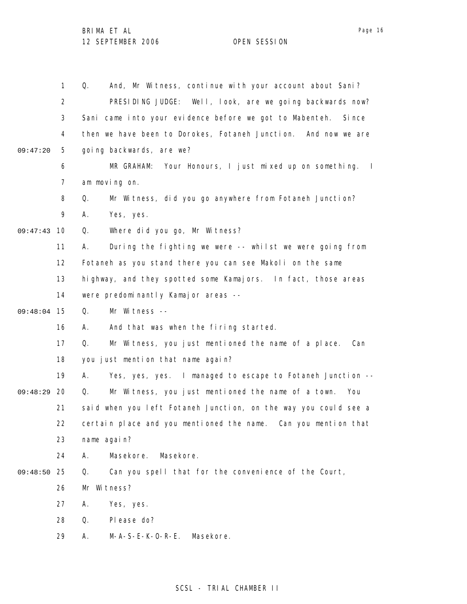|          | 1              | And, Mr Witness, continue with your account about Sani?<br>Q.            |
|----------|----------------|--------------------------------------------------------------------------|
|          | $\overline{2}$ | PRESIDING JUDGE: Well, look, are we going backwards now?                 |
|          | 3              | Sani came into your evidence before we got to Mabenteh. Since            |
|          | 4              | then we have been to Dorokes, Fotaneh Junction.<br>And now we are        |
| 09:47:20 | 5              | going backwards, are we?                                                 |
|          | 6              | MR GRAHAM: Your Honours, I just mixed up on something.<br>$\blacksquare$ |
|          | 7              | am moving on.                                                            |
|          | 8              | Mr Witness, did you go anywhere from Fotaneh Junction?<br>Q.             |
|          | 9              | Yes, yes.<br>А.                                                          |
| 09:47:43 | 10             | Where did you go, Mr Witness?<br>Q.                                      |
|          | 11             | During the fighting we were -- whilst we were going from<br>А.           |
|          | 12             | Fotaneh as you stand there you can see Makoli on the same                |
|          | 13             | highway, and they spotted some Kamajors. In fact, those areas            |
|          | 14             | were predominantly Kamajor areas --                                      |
| 09:48:04 | 15             | Mr Witness --<br>Q.                                                      |
|          | 16             | And that was when the firing started.<br>А.                              |
|          | 17             | Mr Witness, you just mentioned the name of a place.<br>Q.<br>Can         |
|          | 18             | you just mention that name again?                                        |
|          | 19             | Yes, yes, yes. I managed to escape to Fotaneh Junction --<br>А.          |
| 09:48:29 | 20             | Mr Witness, you just mentioned the name of a town.<br>Q.<br>You          |
|          | 21             | said when you left Fotaneh Junction, on the way you could see a          |
|          | 22             | certain place and you mentioned the name. Can you mention that           |
|          | 23             | name again?                                                              |
|          | 24             | Masekore.<br>Masekore.<br>А.                                             |
| 09:48:50 | 25             | Can you spell that for the convenience of the Court,<br>Q.               |
|          | 26             | Mr Witness?                                                              |
|          | 27             | Yes, yes.<br>А.                                                          |
|          | 28             | Q.<br>Pl ease do?                                                        |
|          | 29             | $M-A-S-E-K-O-R-E.$<br>Masekore.<br>Α.                                    |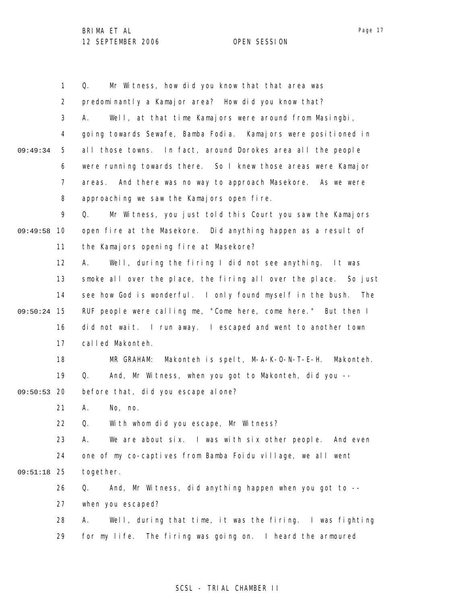|          | 1              | Mr Witness, how did you know that that area was<br>Q.            |
|----------|----------------|------------------------------------------------------------------|
|          | 2              | predominantly a Kamajor area? How did you know that?             |
|          | 3              | Well, at that time Kamajors were around from Masingbi,<br>А.     |
|          | 4              | going towards Sewafe, Bamba Fodia. Kamajors were positioned in   |
| 09:49:34 | 5              | all those towns. In fact, around Dorokes area all the people     |
|          | 6              | were running towards there. So I knew those areas were Kamajor   |
|          | $\overline{7}$ | And there was no way to approach Masekore. As we were<br>areas.  |
|          | 8              | approaching we saw the Kamajors open fire.                       |
|          | 9              | Mr Witness, you just told this Court you saw the Kamajors<br>Q.  |
| 09:49:58 | 10             | open fire at the Masekore. Did anything happen as a result of    |
|          | 11             | the Kamajors opening fire at Masekore?                           |
|          | 12             | Well, during the firing I did not see anything. It was<br>А.     |
|          | 13             | smoke all over the place, the firing all over the place. So just |
|          | 14             | see how God is wonderful. I only found myself in the bush. The   |
| 09:50:24 | 15             | RUF people were calling me, "Come here, come here." But then I   |
|          | 16             | did not wait. I run away. I escaped and went to another town     |
|          | 17             | called Makonteh.                                                 |
|          | 18             | Makonteh is spelt, M-A-K-O-N-T-E-H. Makonteh.<br>MR GRAHAM:      |
|          | 19             | And, Mr Witness, when you got to Makonteh, did you --<br>Q.      |
| 09:50:53 | 20             | before that, did you escape alone?                               |
|          | 21             | Α.<br>No, no.                                                    |
|          | 22             | With whom did you escape, Mr Witness?<br>$\Omega$ .              |
|          | 23             | We are about six. I was with six other people. And even<br>А.    |
|          | 24             | one of my co-captives from Bamba Foidu village, we all went      |
| 09:51:18 | 25             | together.                                                        |
|          | 26             | And, Mr Witness, did anything happen when you got to --<br>Q.    |
|          | 27             | when you escaped?                                                |
|          | 28             | Well, during that time, it was the firing. I was fighting<br>А.  |
|          | 29             | for my life. The firing was going on. I heard the armoured       |

## Page 17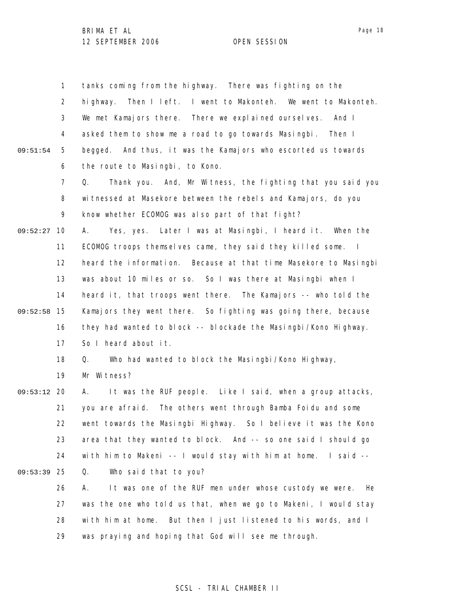|          | $\mathbf{1}$   | tanks coming from the highway. There was fighting on the           |
|----------|----------------|--------------------------------------------------------------------|
|          | $\overline{2}$ | Then I left. I went to Makonteh. We went to Makonteh.<br>hi ghway. |
|          | 3              | We met Kamajors there. There we explained ourselves. And I         |
|          | 4              | asked them to show me a road to go towards Masingbi.<br>Then I     |
| 09:51:54 | 5              | begged. And thus, it was the Kamajors who escorted us towards      |
|          | 6              | the route to Masingbi, to Kono.                                    |
|          | $\overline{7}$ | Thank you. And, Mr Witness, the fighting that you said you<br>Q.   |
|          | 8              | witnessed at Masekore between the rebels and Kamajors, do you      |
|          | 9              | know whether ECOMOG was also part of that fight?                   |
| 09:52:27 | 10             | Yes, yes. Later I was at Masingbi, I heard it. When the<br>А.      |
|          | 11             | ECOMOG troops themselves came, they said they killed some. I       |
|          | 12             | heard the information. Because at that time Masekore to Masingbi   |
|          | 13             | was about 10 miles or so. So I was there at Masingbi when I        |
|          | 14             | heard it, that troops went there. The Kamajors -- who told the     |
| 09:52:58 | 15             | Kamajors they went there. So fighting was going there, because     |
|          | 16             | they had wanted to block -- blockade the Masingbi/Kono Highway.    |
|          | 17             | So I heard about it.                                               |
|          | 18             | Q.<br>Who had wanted to block the Masingbi/Kono Highway,           |
|          | 19             | Mr Witness?                                                        |
| 09:53:12 | - 20           | It was the RUF people. Like I said, when a group attacks,<br>А.    |
|          | 21             | you are afraid. The others went through Bamba Foidu and some       |
|          | 22             | went towards the Masingbi Highway. So I believe it was the Kono    |
|          | 23             | area that they wanted to block. And -- so one said I should go     |
|          | 24             | with him to Makeni -- I would stay with him at home. I said --     |
| 09:53:39 | -25            | Q.<br>Who said that to you?                                        |
|          | 26             | It was one of the RUF men under whose custody we were.<br>He<br>А. |
|          | 27             | was the one who told us that, when we go to Makeni, I would stay   |
|          | 28             | with him at home. But then I just listened to his words, and I     |
|          | 29             | was praying and hoping that God will see me through.               |

## SCSL - TRIAL CHAMBER II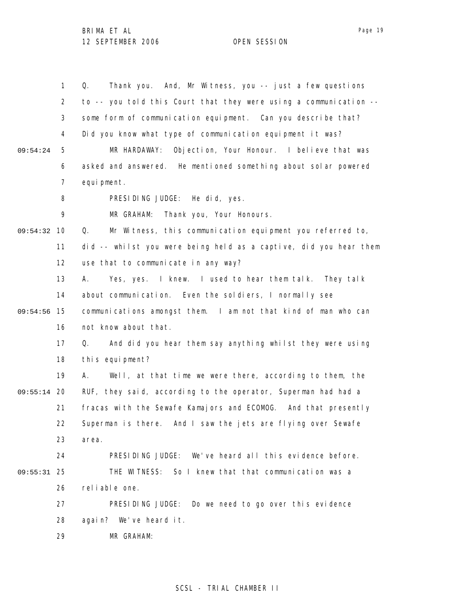Page 19

|               | 1              | Thank you. And, Mr Witness, you -- just a few questions<br>Q.     |
|---------------|----------------|-------------------------------------------------------------------|
|               | $\overline{2}$ | to -- you told this Court that they were using a communication -- |
|               | 3              | some form of communication equipment. Can you describe that?      |
|               | 4              | Did you know what type of communication equipment it was?         |
| 09:54:24      | 5              | Objection, Your Honour. I believe that was<br>MR HARDAWAY:        |
|               | 6              | asked and answered. He mentioned something about solar powered    |
|               | 7              | equi pment.                                                       |
|               | 8              | PRESIDING JUDGE: He did, yes.                                     |
|               | 9              | MR GRAHAM:<br>Thank you, Your Honours.                            |
| 09:54:32      | 10             | Mr Witness, this communication equipment you referred to,<br>Q.   |
|               | 11             | did -- whilst you were being held as a captive, did you hear them |
|               | 12             | use that to communicate in any way?                               |
|               | 13             | Yes, yes. I knew. I used to hear them talk. They talk<br>А.       |
|               | 14             | about communication. Even the soldiers, I normally see            |
| 09:54:56      | 15             | communications amongst them. I am not that kind of man who can    |
|               | 16             | not know about that.                                              |
|               | 17             | And did you hear them say anything whilst they were using<br>Q.   |
|               | 18             | this equipment?                                                   |
|               | 19             | Well, at that time we were there, according to them, the<br>А.    |
| $09:55:14$ 20 |                | RUF, they said, according to the operator, Superman had had a     |
|               | 21             | fracas with the Sewafe Kamajors and ECOMOG. And that presently    |
|               | 22             | Superman is there. And I saw the jets are flying over Sewafe      |
|               | 23             | area.                                                             |
|               | 24             | PRESIDING JUDGE: We've heard all this evidence before.            |
| $09:55:31$ 25 |                | THE WITNESS: So I knew that that communication was a              |
|               | 26             | reliable one.                                                     |
|               | 27             | PRESIDING JUDGE:<br>Do we need to go over this evidence           |
|               | 28             | again? We've heard it.                                            |
|               | 29             | MR GRAHAM:                                                        |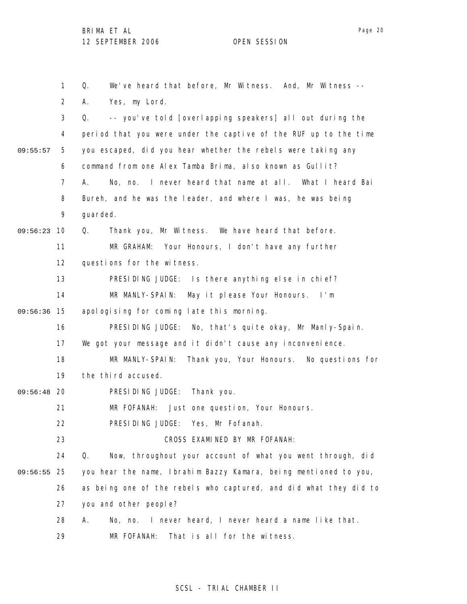1 2 3 4 5 6 7 8 9 09:56:23 10 11 12 13 14 09:56:36 15 16 17 18 19 09:56:48 20 21 22 23 24 25 09:56:55 26 27 28 29 09:55:57 Q. We've heard that before, Mr Witness. And, Mr Witness -- A. Yes, my Lord. Q. -- you've told [overlapping speakers] all out during the period that you were under the captive of the RUF up to the time you escaped, did you hear whether the rebels were taking any command from one Alex Tamba Brima, also known as Gullit? A. No, no. I never heard that name at all. What I heard Bai Bureh, and he was the leader, and where I was, he was being guarded. Q. Thank you, Mr Witness. We have heard that before. MR GRAHAM: Your Honours, I don't have any further questions for the witness. PRESIDING JUDGE: Is there anything else in chief? MR MANLY-SPAIN: May it please Your Honours. I'm apologising for coming late this morning. PRESIDING JUDGE: No, that's quite okay, Mr Manly-Spain. We got your message and it didn't cause any inconvenience. MR MANLY-SPAIN: Thank you, Your Honours. No questions for the third accused. PRESIDING JUDGE: Thank you. MR FOFANAH: Just one question, Your Honours. PRESIDING JUDGE: Yes, Mr Fofanah. CROSS EXAMINED BY MR FOFANAH: Q. Now, throughout your account of what you went through, did you hear the name, Ibrahim Bazzy Kamara, being mentioned to you, as being one of the rebels who captured, and did what they did to you and other people? A. No, no. I never heard, I never heard a name like that. MR FOFANAH: That is all for the witness.

### SCSL - TRIAL CHAMBER II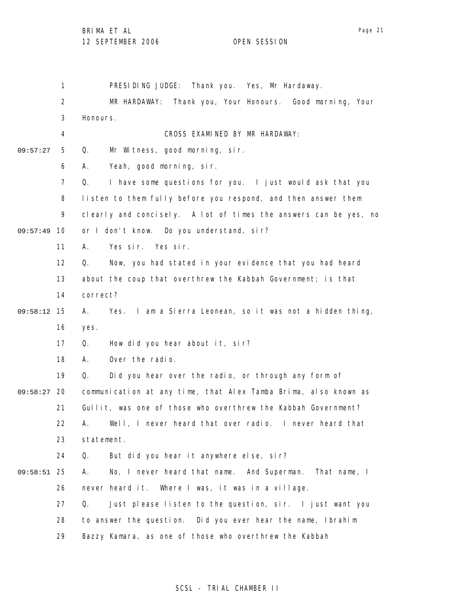1 2 3 4 5 6 7 8 9 09:57:49 10 11 12 13 14 09:58:12 15 16 17 18 19 09:58:27 20 21 22 23 24 25 09:58:51 26 27 28 29 09:57:27 PRESIDING JUDGE: Thank you. Yes, Mr Hardaway. MR HARDAWAY: Thank you, Your Honours. Good morning, Your Honours. CROSS EXAMINED BY MR HARDAWAY: Q. Mr Witness, good morning, sir. A. Yeah, good morning, sir. Q. I have some questions for you. I just would ask that you listen to them fully before you respond, and then answer them clearly and concisely. A lot of times the answers can be yes, no or I don't know. Do you understand, sir? A. Yes sir. Yes sir. Q. Now, you had stated in your evidence that you had heard about the coup that overthrew the Kabbah Government; is that correct? A. Yes. I am a Sierra Leonean, so it was not a hidden thing, yes. Q. How did you hear about it, sir? A. Over the radio. Q. Did you hear over the radio, or through any form of communication at any time, that Alex Tamba Brima, also known as Gullit, was one of those who overthrew the Kabbah Government? A. Well, I never heard that over radio. I never heard that statement. Q. But did you hear it anywhere else, sir? A. No, I never heard that name. And Superman. That name, I never heard it. Where I was, it was in a village. Q. Just please listen to the question, sir. I just want you to answer the question. Did you ever hear the name, Ibrahim Bazzy Kamara, as one of those who overthrew the Kabbah

### SCSL - TRIAL CHAMBER II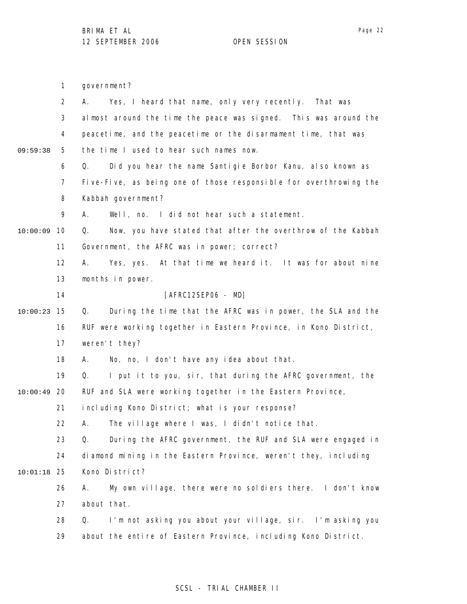government?

1

2 3 4 5 6 7 8 9 10 10:00:09 11 12 13 14 15 10:00:23 16 17 18 19 20 10:00:49 21 22 23 24 25 10:01:18 26 27 28 29 09:59:38 A. Yes, I heard that name, only very recently. That was almost around the time the peace was signed. This was around the peacetime, and the peacetime or the disarmament time, that was the time I used to hear such names now. Q. Did you hear the name Santigie Borbor Kanu, also known as Five-Five, as being one of those responsible for overthrowing the Kabbah government? A. Well, no. I did not hear such a statement. Q. Now, you have stated that after the overthrow of the Kabbah Government, the AFRC was in power; correct? A. Yes, yes. At that time we heard it. It was for about nine months in power. [AFRC12SEP06 - MD] Q. During the time that the AFRC was in power, the SLA and the RUF were working together in Eastern Province, in Kono District, weren't they? A. No, no, I don't have any idea about that. Q. I put it to you, sir, that during the AFRC government, the RUF and SLA were working together in the Eastern Province, including Kono District; what is your response? A. The village where I was, I didn't notice that. Q. During the AFRC government, the RUF and SLA were engaged in diamond mining in the Eastern Province, weren't they, including Kono District? A. My own village, there were no soldiers there. I don't know about that. Q. I'm not asking you about your village, sir. I'm asking you about the entire of Eastern Province, including Kono District.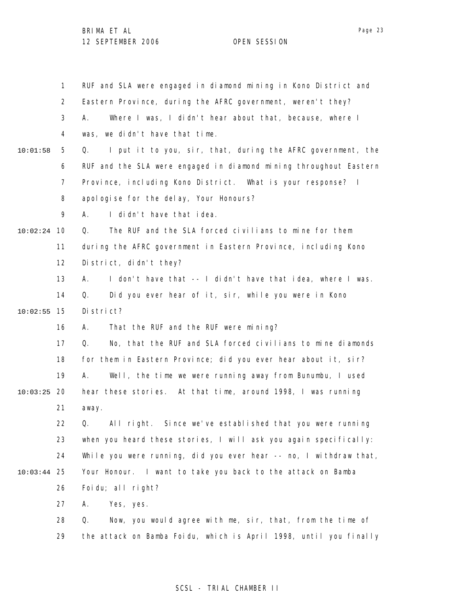|          | 1              | RUF and SLA were engaged in diamond mining in Kono District and   |
|----------|----------------|-------------------------------------------------------------------|
|          | $\overline{2}$ | Eastern Province, during the AFRC government, weren't they?       |
|          | 3              | Where I was, I didn't hear about that, because, where I<br>А.     |
|          | 4              | was, we didn't have that time.                                    |
| 10:01:58 | 5              | I put it to you, sir, that, during the AFRC government, the<br>Q. |
|          | 6              | RUF and the SLA were engaged in diamond mining throughout Eastern |
|          | 7              | Province, including Kono District. What is your response? I       |
|          | 8              | apologise for the delay, Your Honours?                            |
|          | 9              | I didn't have that idea.<br>А.                                    |
| 10:02:24 | - 10           | The RUF and the SLA forced civilians to mine for them<br>Q.       |
|          | 11             | during the AFRC government in Eastern Province, including Kono    |
|          | 12             | District, didn't they?                                            |
|          | 13             | I don't have that -- I didn't have that idea, where I was.<br>А.  |
|          | 14             | Did you ever hear of it, sir, while you were in Kono<br>Q.        |
| 10:02:55 | 15             | District?                                                         |
|          | 16             | That the RUF and the RUF were mining?<br>А.                       |
|          | 17             | No, that the RUF and SLA forced civilians to mine diamonds<br>Q.  |
|          | 18             | for them in Eastern Province; did you ever hear about it, sir?    |
|          | 19             | Well, the time we were running away from Bunumbu, I used<br>А.    |
| 10:03:25 | 20             | hear these stories. At that time, around 1998, I was running      |
|          | 21             | away.                                                             |
|          | 22             | All right.<br>Since we've established that you were running<br>Q. |
|          | 23             | when you heard these stories, I will ask you again specifically:  |
|          | 24             | While you were running, did you ever hear -- no, I withdraw that, |
| 10:03:44 | 25             | Your Honour. I want to take you back to the attack on Bamba       |
|          | 26             | Foidu; all right?                                                 |
|          | 27             | Yes, yes.<br>Α.                                                   |
|          | 28             | Now, you would agree with me, sir, that, from the time of<br>Q.   |
|          | 29             | the attack on Bamba Foidu, which is April 1998, until you finally |

# SCSL - TRIAL CHAMBER II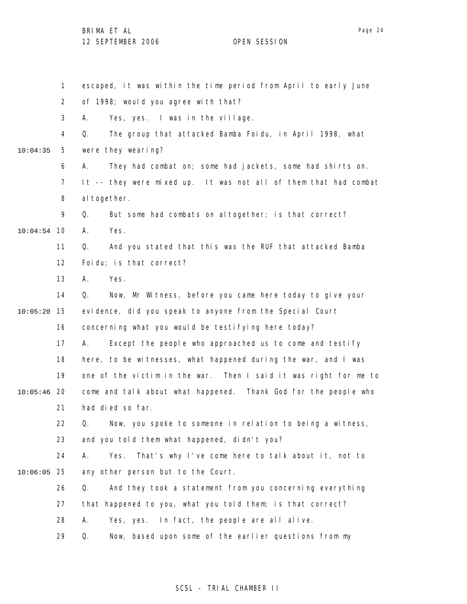1 2 3 4 5 6 7 8 9 10 10:04:54 11 12 13 14 15 10:05:20 16 17 18 19 20 10:05:46 21 22 23 24 25 10:06:05 26 27 28 29 10:04:35 escaped, it was within the time period from April to early June of 1998; would you agree with that? A. Yes, yes. I was in the village. Q. The group that attacked Bamba Foidu, in April 1998, what were they wearing? A. They had combat on; some had jackets, some had shirts on. It -- they were mixed up. It was not all of them that had combat al together. Q. But some had combats on altogether; is that correct? A. Yes. Q. And you stated that this was the RUF that attacked Bamba Foidu; is that correct? A. Yes. Q. Now, Mr Witness, before you came here today to give your evidence, did you speak to anyone from the Special Court concerning what you would be testifying here today? A. Except the people who approached us to come and testify here, to be witnesses, what happened during the war, and I was one of the victim in the war. Then I said it was right for me to come and talk about what happened. Thank God for the people who had died so far. Q. Now, you spoke to someone in relation to being a witness, and you told them what happened, didn't you? A. Yes. That's why I've come here to talk about it, not to any other person but to the Court. Q. And they took a statement from you concerning everything that happened to you, what you told them; is that correct? A. Yes, yes. In fact, the people are all alive. Q. Now, based upon some of the earlier questions from my

### SCSL - TRIAL CHAMBER II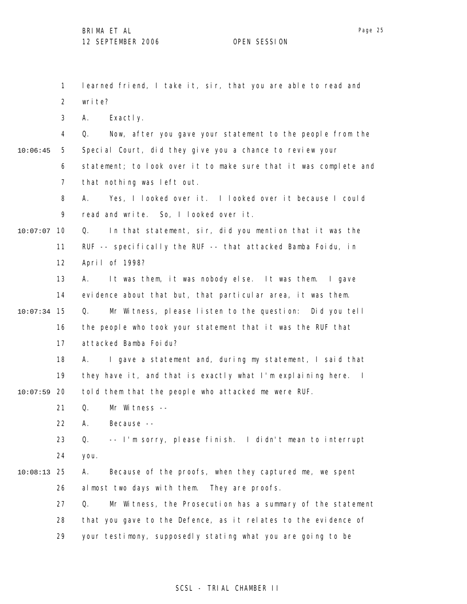1 2 3 4 5 6 7 8 9 10 10:07:07 11 12 13 14 15 10:07:34 16 17 18 19 20 10:07:59 21 22 23 24 25 10:08:13 26 27 28 29 10:06:45 learned friend, I take it, sir, that you are able to read and write? A. Exactly. Q. Now, after you gave your statement to the people from the Special Court, did they give you a chance to review your statement; to look over it to make sure that it was complete and that nothing was left out. A. Yes, I looked over it. I looked over it because I could read and write. So, I looked over it. Q. In that statement, sir, did you mention that it was the RUF -- specifically the RUF -- that attacked Bamba Foidu, in April of 1998? A. It was them, it was nobody else. It was them. I gave evidence about that but, that particular area, it was them. Q. Mr Witness, please listen to the question: Did you tell the people who took your statement that it was the RUF that attacked Bamba Foidu? A. I gave a statement and, during my statement, I said that they have it, and that is exactly what I'm explaining here. I told them that the people who attacked me were RUF. Q. Mr Witness -- A. Because -- Q. -- I'm sorry, please finish. I didn't mean to interrupt you. A. Because of the proofs, when they captured me, we spent almost two days with them. They are proofs. Q. Mr Witness, the Prosecution has a summary of the statement that you gave to the Defence, as it relates to the evidence of your testimony, supposedly stating what you are going to be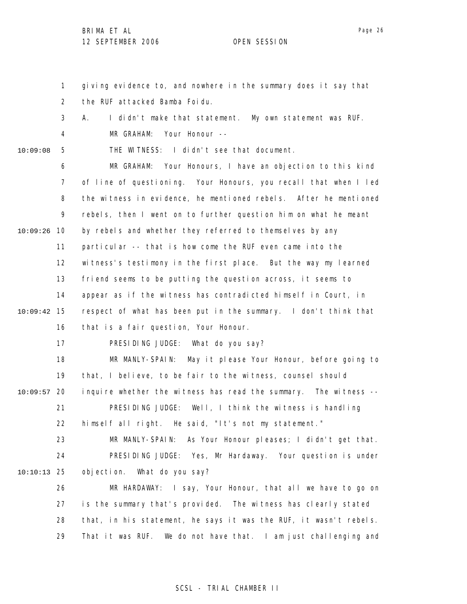1 2 3 4 5 6 7 8 9 10 10:09:26 11 12 13 14 15 10:09:42 16 17 18 19 20 10:09:57 21 22 23 24 25 10:10:13 26 27 28 29 10:09:08 giving evidence to, and nowhere in the summary does it say that the RUF attacked Bamba Foidu. A. I didn't make that statement. My own statement was RUF. MR GRAHAM: Your Honour -- THE WITNESS: I didn't see that document. MR GRAHAM: Your Honours, I have an objection to this kind of line of questioning. Your Honours, you recall that when I led the witness in evidence, he mentioned rebels. After he mentioned rebels, then I went on to further question him on what he meant by rebels and whether they referred to themselves by any particular -- that is how come the RUF even came into the witness's testimony in the first place. But the way my learned friend seems to be putting the question across, it seems to appear as if the witness has contradicted himself in Court, in respect of what has been put in the summary. I don't think that that is a fair question, Your Honour. PRESIDING JUDGE: What do you say? MR MANLY-SPAIN: May it please Your Honour, before going to that, I believe, to be fair to the witness, counsel should inquire whether the witness has read the summary. The witness --PRESIDING JUDGE: Well, I think the witness is handling himself all right. He said, "It's not my statement." MR MANLY-SPAIN: As Your Honour pleases; I didn't get that. PRESIDING JUDGE: Yes, Mr Hardaway. Your question is under objection. What do you say? MR HARDAWAY: I say, Your Honour, that all we have to go on is the summary that's provided. The witness has clearly stated that, in his statement, he says it was the RUF, it wasn't rebels. That it was RUF. We do not have that. I am just challenging and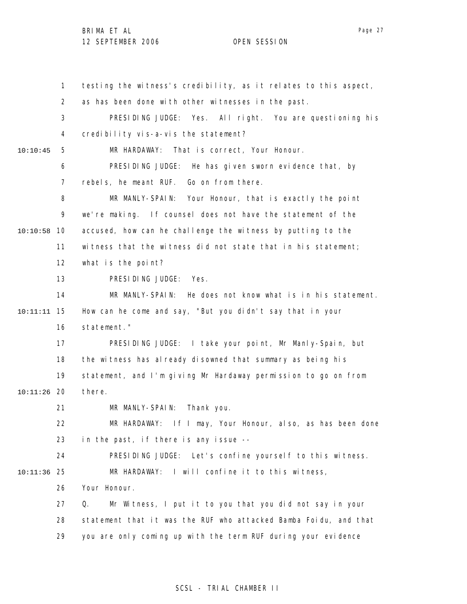1 2 3 4 5 6 7 8 9 10 10:10:58 11 12 13 14 15 10:11:11 16 17 18 19 20 10:11:26 21 22 23 24 25 10:11:36 26 27 28 29 10:10:45 testing the witness's credibility, as it relates to this aspect, as has been done with other witnesses in the past. PRESIDING JUDGE: Yes. All right. You are questioning his credibility vis-a-vis the statement? MR HARDAWAY: That is correct, Your Honour. PRESIDING JUDGE: He has given sworn evidence that, by rebels, he meant RUF. Go on from there. MR MANLY-SPAIN: Your Honour, that is exactly the point we're making. If counsel does not have the statement of the accused, how can he challenge the witness by putting to the witness that the witness did not state that in his statement; what is the point? PRESIDING JUDGE: Yes. MR MANLY-SPAIN: He does not know what is in his statement. How can he come and say, "But you didn't say that in your statement." PRESIDING JUDGE: I take your point, Mr Manly-Spain, but the witness has already disowned that summary as being his statement, and I'm giving Mr Hardaway permission to go on from there. MR MANLY-SPAIN: Thank you. MR HARDAWAY: If I may, Your Honour, also, as has been done in the past, if there is any issue -- PRESIDING JUDGE: Let's confine yourself to this witness. MR HARDAWAY: I will confine it to this witness, Your Honour. Q. Mr Witness, I put it to you that you did not say in your statement that it was the RUF who attacked Bamba Foidu, and that you are only coming up with the term RUF during your evidence

### SCSL - TRIAL CHAMBER II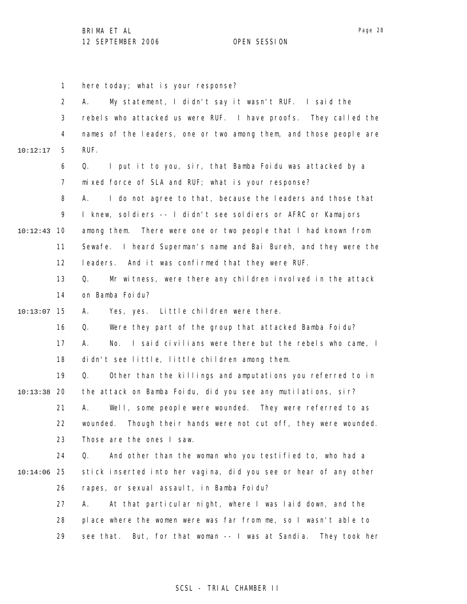1 2 3 4 5 6 7 8 9 10 10:12:43 11 12 13 14 15 10:13:07 16 17 18 19 20 10:13:38 21 22 23 24 25 10:14:06 26 27 28 29 10:12:17 here today; what is your response? A. My statement, I didn't say it wasn't RUF. I said the rebels who attacked us were RUF. I have proofs. They called the names of the leaders, one or two among them, and those people are RUF. Q. I put it to you, sir, that Bamba Foidu was attacked by a mixed force of SLA and RUF; what is your response? A. I do not agree to that, because the leaders and those that I knew, soldiers -- I didn't see soldiers or AFRC or Kamajors among them. There were one or two people that I had known from Sewafe. I heard Superman's name and Bai Bureh, and they were the leaders. And it was confirmed that they were RUF. Q. Mr witness, were there any children involved in the attack on Bamba Foidu? A. Yes, yes. Little children were there. Q. Were they part of the group that attacked Bamba Foidu? A. No. I said civilians were there but the rebels who came, I didn't see little, little children among them. Q. Other than the killings and amputations you referred to in the attack on Bamba Foidu, did you see any mutilations, sir? A. Well, some people were wounded. They were referred to as wounded. Though their hands were not cut off, they were wounded. Those are the ones I saw. Q. And other than the woman who you testified to, who had a stick inserted into her vagina, did you see or hear of any other rapes, or sexual assault, in Bamba Foidu? A. At that particular night, where I was laid down, and the place where the women were was far from me, so I wasn't able to see that. But, for that woman -- I was at Sandia. They took her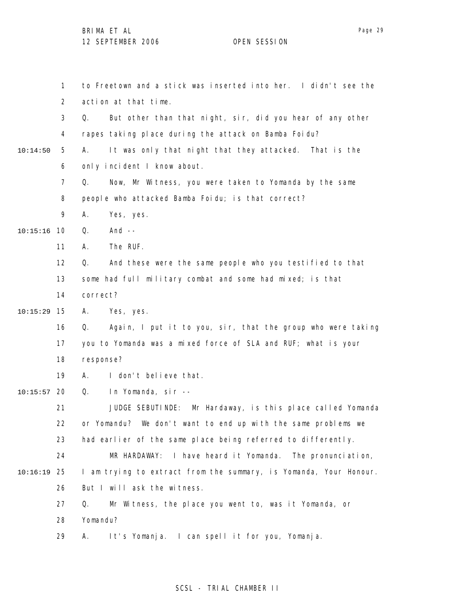1 2 3 4 5 6 7 8 9 10 10:15:16 11 12 13 14 15 10:15:29 16 17 18 19 20 10:15:57 21 22 23 24 25 10:16:19 26 27 28 29 10:14:50 to Freetown and a stick was inserted into her. I didn't see the action at that time. Q. But other than that night, sir, did you hear of any other rapes taking place during the attack on Bamba Foidu? A. It was only that night that they attacked. That is the only incident I know about. Q. Now, Mr Witness, you were taken to Yomanda by the same people who attacked Bamba Foidu; is that correct? A. Yes, yes. Q. And -- A. The RUF. Q. And these were the same people who you testified to that some had full military combat and some had mixed; is that correct? A. Yes, yes. Q. Again, I put it to you, sir, that the group who were taking you to Yomanda was a mixed force of SLA and RUF; what is your response? A. I don't believe that. Q. In Yomanda, sir -- JUDGE SEBUTINDE: Mr Hardaway, is this place called Yomanda or Yomandu? We don't want to end up with the same problems we had earlier of the same place being referred to differently. MR HARDAWAY: I have heard it Yomanda. The pronunciation, I am trying to extract from the summary, is Yomanda, Your Honour. But I will ask the witness. Q. Mr Witness, the place you went to, was it Yomanda, or Yomandu? A. It's Yomanja. I can spell it for you, Yomanja.

### SCSL - TRIAL CHAMBER II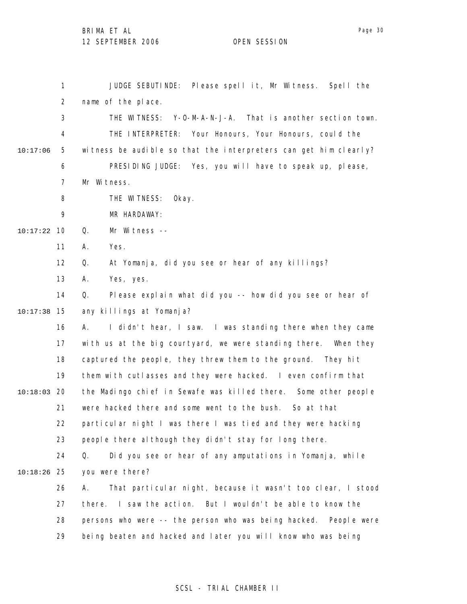1 2 3 4 5 6 7 8 9 10 10:17:22 11 12 13 14 15 10:17:38 16 17 18 19 20 10:18:03 21 22 23 24 25 10:18:26 26 27 28 29 10:17:06 JUDGE SEBUTINDE: Please spell it, Mr Witness. Spell the name of the place. THE WITNESS: Y-O-M-A-N-J-A. That is another section town. THE INTERPRETER: Your Honours, Your Honours, could the witness be audible so that the interpreters can get him clearly? PRESIDING JUDGE: Yes, you will have to speak up, please, Mr Witness. THE WITNESS: Okay. MR HARDAWAY: Q. Mr Witness -- A. Yes. Q. At Yomanja, did you see or hear of any killings? A. Yes, yes. Q. Please explain what did you -- how did you see or hear of any killings at Yomanja? A. I didn't hear, I saw. I was standing there when they came with us at the big courtyard, we were standing there. When they captured the people, they threw them to the ground. They hit them with cutlasses and they were hacked. I even confirm that the Madingo chief in Sewafe was killed there. Some other people were hacked there and some went to the bush. So at that particular night I was there I was tied and they were hacking people there although they didn't stay for long there. Q. Did you see or hear of any amputations in Yomanja, while you were there? A. That particular night, because it wasn't too clear, I stood there. I saw the action. But I wouldn't be able to know the persons who were -- the person who was being hacked. People were being beaten and hacked and later you will know who was being

### SCSL - TRIAL CHAMBER II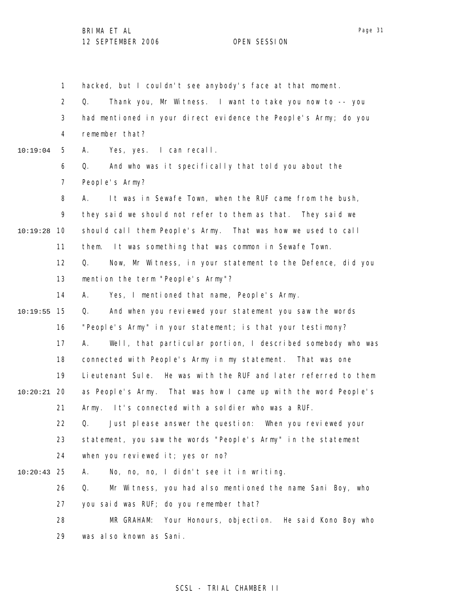1

2 3 4 5 6 7 8 9 10 10:19:28 11 12 13 14 15 10:19:55 16 17 18 19 20 10:20:21 21 22 23 24 10:19:04 Q. Thank you, Mr Witness. I want to take you now to -- you had mentioned in your direct evidence the People's Army; do you remember that? A. Yes, yes. I can recall. Q. And who was it specifically that told you about the People's Army? A. It was in Sewafe Town, when the RUF came from the bush, they said we should not refer to them as that. They said we should call them People's Army. That was how we used to call them. It was something that was common in Sewafe Town. Q. Now, Mr Witness, in your statement to the Defence, did you mention the term "People's Army"? A. Yes, I mentioned that name, People's Army. Q. And when you reviewed your statement you saw the words "People's Army" in your statement; is that your testimony? A. Well, that particular portion, I described somebody who was connected with People's Army in my statement. That was one Lieutenant Sule. He was with the RUF and later referred to them as People's Army. That was how I came up with the word People's Army. It's connected with a soldier who was a RUF. Q. Just please answer the question: When you reviewed your statement, you saw the words "People's Army" in the statement when you reviewed it; yes or no?

hacked, but I couldn't see anybody's face at that moment.

25 10:20:43 A. No, no, no, I didn't see it in writing.

26 27 28 Q. Mr Witness, you had also mentioned the name Sani Boy, who you said was RUF; do you remember that? MR GRAHAM: Your Honours, objection. He said Kono Boy who

29 was also known as Sani.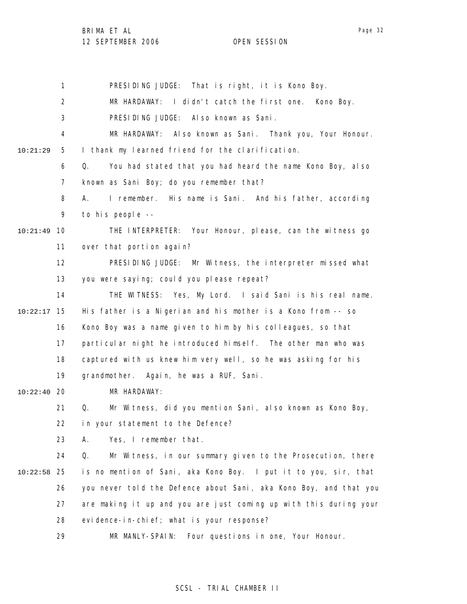1 2 3 4 5 6 7 8 9 10 10:21:49 11 12 13 14 15 10:22:17 16 17 18 19 20 10:22:40 21 22 23 24 25 10:22:58 26 27 28 29 10:21:29 PRESIDING JUDGE: That is right, it is Kono Boy. MR HARDAWAY: I didn't catch the first one. Kono Boy. PRESIDING JUDGE: Also known as Sani. MR HARDAWAY: Also known as Sani. Thank you, Your Honour. I thank my learned friend for the clarification. Q. You had stated that you had heard the name Kono Boy, also known as Sani Boy; do you remember that? A. I remember. His name is Sani. And his father, according to his people -- THE INTERPRETER: Your Honour, please, can the witness go over that portion again? PRESIDING JUDGE: Mr Witness, the interpreter missed what you were saying; could you please repeat? THE WITNESS: Yes, My Lord. I said Sani is his real name. His father is a Nigerian and his mother is a Kono from -- so Kono Boy was a name given to him by his colleagues, so that particular night he introduced himself. The other man who was captured with us knew him very well, so he was asking for his grandmother. Again, he was a RUF, Sani. MR HARDAWAY: Q. Mr Witness, did you mention Sani, also known as Kono Boy, in your statement to the Defence? A. Yes, I remember that. Q. Mr Witness, in our summary given to the Prosecution, there is no mention of Sani, aka Kono Boy. I put it to you, sir, that you never told the Defence about Sani, aka Kono Boy, and that you are making it up and you are just coming up with this during your evidence-in-chief; what is your response? MR MANLY-SPAIN: Four questions in one, Your Honour.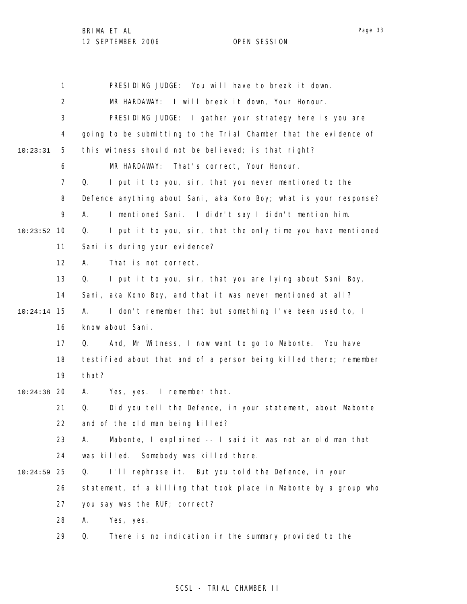1 2 3 4 5 6 7 8 9 10 10:23:52 11 12 13 14 15 10:24:14 16 17 18 19 20 10:24:38 21 22 23 24 25 10:24:59 26 27 28 29 10:23:31 PRESIDING JUDGE: You will have to break it down. MR HARDAWAY: I will break it down, Your Honour. PRESIDING JUDGE: I gather your strategy here is you are going to be submitting to the Trial Chamber that the evidence of this witness should not be believed; is that right? MR HARDAWAY: That's correct, Your Honour. Q. I put it to you, sir, that you never mentioned to the Defence anything about Sani, aka Kono Boy; what is your response? A. I mentioned Sani. I didn't say I didn't mention him. Q. I put it to you, sir, that the only time you have mentioned Sani is during your evidence? A. That is not correct. Q. I put it to you, sir, that you are lying about Sani Boy, Sani, aka Kono Boy, and that it was never mentioned at all? A. I don't remember that but something I've been used to, I know about Sani. Q. And, Mr Witness, I now want to go to Mabonte. You have testified about that and of a person being killed there; remember that? A. Yes, yes. I remember that. Q. Did you tell the Defence, in your statement, about Mabonte and of the old man being killed? A. Mabonte, I explained -- I said it was not an old man that was killed. Somebody was killed there. Q. I'll rephrase it. But you told the Defence, in your statement, of a killing that took place in Mabonte by a group who you say was the RUF; correct? A. Yes, yes. Q. There is no indication in the summary provided to the

### SCSL - TRIAL CHAMBER II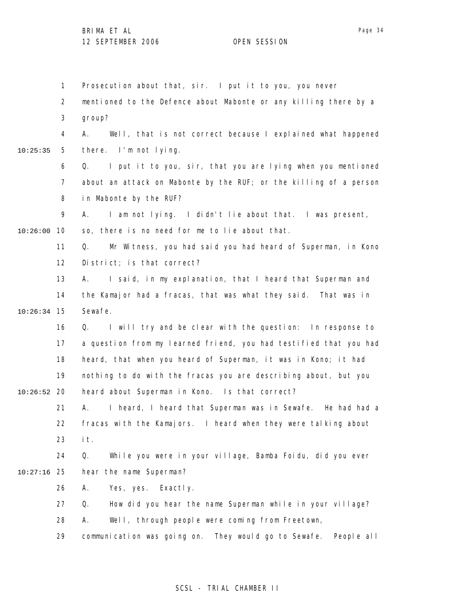Page 34

1 2 3 4 5 6 7 8 9 10 10:26:00 11 12 13 14 15 10:26:34 16 17 18 19 20 10:26:52 21 22 23 24 25 10:27:16 26 27 28 29 10:25:35 Prosecution about that, sir. I put it to you, you never mentioned to the Defence about Mabonte or any killing there by a group? A. Well, that is not correct because I explained what happened there. I'm not lying. Q. I put it to you, sir, that you are lying when you mentioned about an attack on Mabonte by the RUF; or the killing of a person in Mabonte by the RUF? A. I am not lying. I didn't lie about that. I was present, so, there is no need for me to lie about that. Q. Mr Witness, you had said you had heard of Superman, in Kono District; is that correct? A. I said, in my explanation, that I heard that Superman and the Kamajor had a fracas, that was what they said. That was in Sewafe. Q. I will try and be clear with the question: In response to a question from my learned friend, you had testified that you had heard, that when you heard of Superman, it was in Kono; it had nothing to do with the fracas you are describing about, but you heard about Superman in Kono. Is that correct? A. I heard, I heard that Superman was in Sewafe. He had had a fracas with the Kamajors. I heard when they were talking about it. Q. While you were in your village, Bamba Foidu, did you ever hear the name Superman? A. Yes, yes. Exactly. Q. How did you hear the name Superman while in your village? A. Well, through people were coming from Freetown, communication was going on. They would go to Sewafe. People all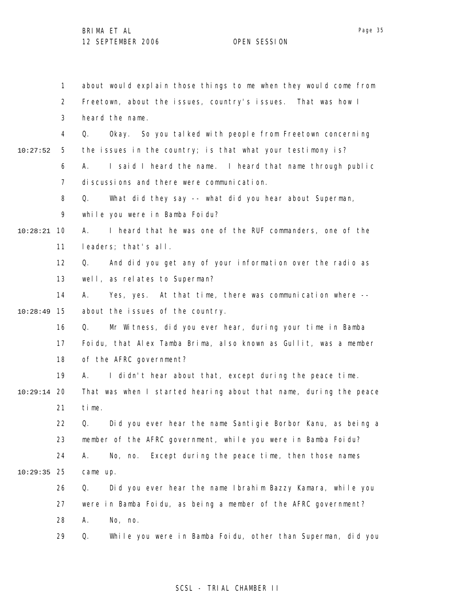1 2 3 4 5 6 7 8 9 10 10:28:21 11 12 13 14 15 10:28:49 16 17 18 19 20 10:29:14 21 22 23 24 25 10:29:35 26 27 28 29 10:27:52 about would explain those things to me when they would come from Freetown, about the issues, country's issues. That was how I heard the name. Q. Okay. So you talked with people from Freetown concerning the issues in the country; is that what your testimony is? A. I said I heard the name. I heard that name through public discussions and there were communication. Q. What did they say -- what did you hear about Superman, while you were in Bamba Foidu? A. I heard that he was one of the RUF commanders, one of the leaders; that's all. Q. And did you get any of your information over the radio as well, as relates to Superman? A. Yes, yes. At that time, there was communication where - about the issues of the country. Q. Mr Witness, did you ever hear, during your time in Bamba Foidu, that Alex Tamba Brima, also known as Gullit, was a member of the AFRC government? A. I didn't hear about that, except during the peace time. That was when I started hearing about that name, during the peace time. Q. Did you ever hear the name Santigie Borbor Kanu, as being a member of the AFRC government, while you were in Bamba Foidu? A. No, no. Except during the peace time, then those names came up. Q. Did you ever hear the name Ibrahim Bazzy Kamara, while you were in Bamba Foidu, as being a member of the AFRC government? A. No, no. Q. While you were in Bamba Foidu, other than Superman, did you

### SCSL - TRIAL CHAMBER II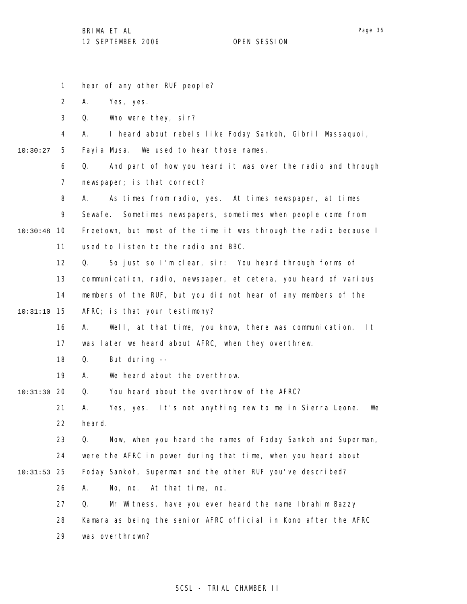1 2 3 4 5 6 7 8 9 10 10:30:48 11 12 13 14 15 10:31:10 16 17 18 19 20 10:31:30 21 22 23 24 25 10:31:53 26 27 28 29 10:30:27 hear of any other RUF people? A. Yes, yes. Q. Who were they, sir? A. I heard about rebels like Foday Sankoh, Gibril Massaquoi, Fayia Musa. We used to hear those names. Q. And part of how you heard it was over the radio and through newspaper; is that correct? A. As times from radio, yes. At times newspaper, at times Sewafe. Sometimes newspapers, sometimes when people come from Freetown, but most of the time it was through the radio because I used to listen to the radio and BBC. Q. So just so I'm clear, sir: You heard through forms of communication, radio, newspaper, et cetera, you heard of various members of the RUF, but you did not hear of any members of the AFRC; is that your testimony? A. Well, at that time, you know, there was communication. It was later we heard about AFRC, when they overthrew. Q. But during -- A. We heard about the overthrow. Q. You heard about the overthrow of the AFRC? A. Yes, yes. It's not anything new to me in Sierra Leone. We heard. Q. Now, when you heard the names of Foday Sankoh and Superman, were the AFRC in power during that time, when you heard about Foday Sankoh, Superman and the other RUF you've described? A. No, no. At that time, no. Q. Mr Witness, have you ever heard the name Ibrahim Bazzy Kamara as being the senior AFRC official in Kono after the AFRC was overthrown?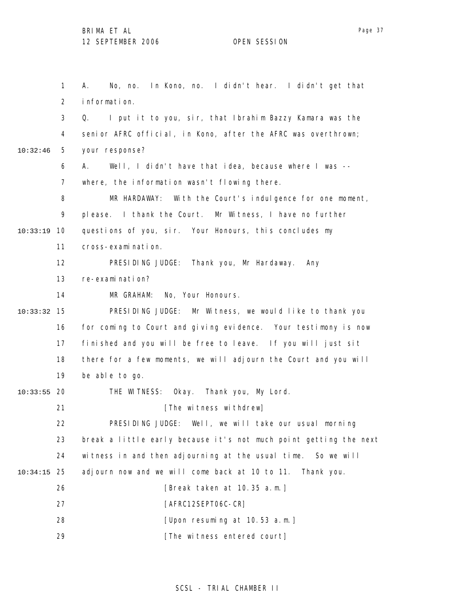|               | $\mathbf{1}$   | In Kono, no. I didn't hear. I didn't get that<br>No, no.<br>А.    |
|---------------|----------------|-------------------------------------------------------------------|
|               | $\overline{2}$ | information.                                                      |
|               | 3              | I put it to you, sir, that Ibrahim Bazzy Kamara was the<br>Q.     |
|               | 4              | senior AFRC official, in Kono, after the AFRC was overthrown;     |
| 10:32:46      | 5              | your response?                                                    |
|               | 6              | Well, I didn't have that idea, because where I was --<br>А.       |
|               | 7              | where, the information wasn't flowing there.                      |
|               | 8              | MR HARDAWAY: With the Court's indulgence for one moment,          |
|               | 9              | please. I thank the Court. Mr Witness, I have no further          |
| 10:33:19      | 10             | questions of you, sir. Your Honours, this concludes my            |
|               | 11             | cross-examination.                                                |
|               | 12             | PRESIDING JUDGE: Thank you, Mr Hardaway. Any                      |
|               | 13             | re-examination?                                                   |
|               | 14             | No, Your Honours.<br>MR GRAHAM:                                   |
| 10:33:32      | 15             | PRESIDING JUDGE: Mr Witness, we would like to thank you           |
|               | 16             | for coming to Court and giving evidence. Your testimony is now    |
|               | 17             | finished and you will be free to leave. If you will just sit      |
|               | 18             | there for a few moments, we will adjourn the Court and you will   |
|               | 19             | be able to go.                                                    |
| $10:33:55$ 20 |                | THE WITNESS: Okay. Thank you, My Lord.                            |
|               | 21             | [The witness withdrew]                                            |
|               | 22             | PRESIDING JUDGE: Well, we will take our usual morning             |
|               | 23             | break a little early because it's not much point getting the next |
|               | 24             | witness in and then adjourning at the usual time. So we will      |
| 10:34:15      | 25             | adjourn now and we will come back at 10 to 11.<br>Thank you.      |
|               | 26             | [Break taken at 10.35 a.m.]                                       |
|               | 27             | [AFRC12SEPT06C-CR]                                                |
|               | 28             | [Upon resuming at 10.53 a.m.]                                     |
|               | 29             | [The witness entered court]                                       |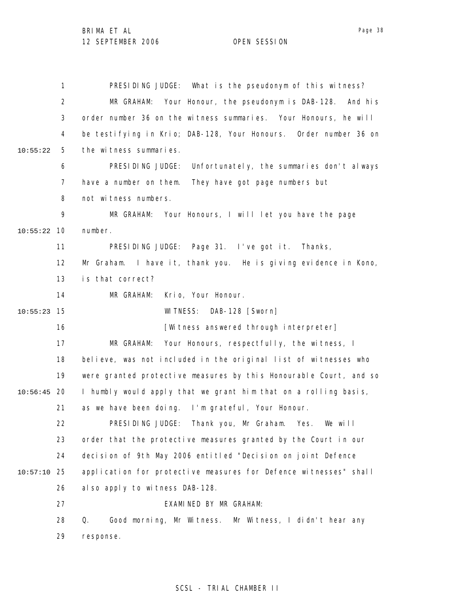1 2 3 4 5 6 7 8 9 10 10:55:22 11 12 13 14 15 10:55:23 16 17 18 19 20 10:56:45 21 22 23 24 25 10:57:10 26 27 28 29 10:55:22 PRESIDING JUDGE: What is the pseudonym of this witness? MR GRAHAM: Your Honour, the pseudonym is DAB-128. And his order number 36 on the witness summaries. Your Honours, he will be testifying in Krio; DAB-128, Your Honours. Order number 36 on the witness summaries. PRESIDING JUDGE: Unfortunately, the summaries don't always have a number on them. They have got page numbers but not witness numbers. MR GRAHAM: Your Honours, I will let you have the page number. PRESIDING JUDGE: Page 31. I've got it. Thanks, Mr Graham. I have it, thank you. He is giving evidence in Kono, is that correct? MR GRAHAM: Krio, Your Honour. WITNESS: DAB-128 [Sworn] [Witness answered through interpreter] MR GRAHAM: Your Honours, respectfully, the witness, I believe, was not included in the original list of witnesses who were granted protective measures by this Honourable Court, and so I humbly would apply that we grant him that on a rolling basis, as we have been doing. I'm grateful, Your Honour. PRESIDING JUDGE: Thank you, Mr Graham. Yes. We will order that the protective measures granted by the Court in our decision of 9th May 2006 entitled "Decision on joint Defence application for protective measures for Defence witnesses" shall also apply to witness DAB-128. EXAMINED BY MR GRAHAM: Q. Good morning, Mr Witness. Mr Witness, I didn't hear any response.

SCSL - TRIAL CHAMBER II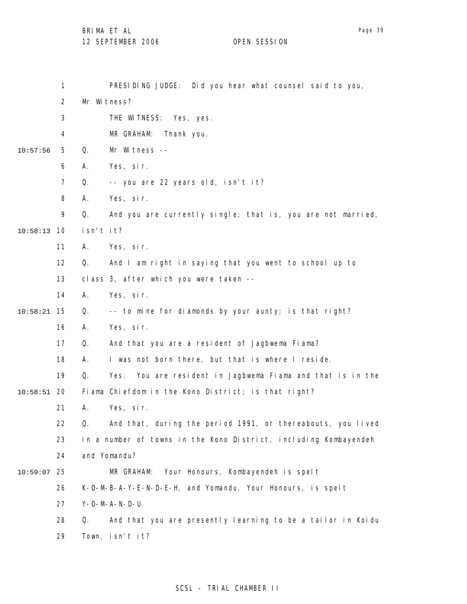|          | 1              | PRESIDING JUDGE: Did you hear what counsel said to you,             |
|----------|----------------|---------------------------------------------------------------------|
|          | $\overline{2}$ | Mr Witness?                                                         |
|          | 3              | THE WITNESS: Yes, yes.                                              |
|          | 4              | MR GRAHAM:<br>Thank you.                                            |
| 10:57:56 | 5              | Q.<br>Mr Witness --                                                 |
|          | 6              | Yes, sir.<br>Α.                                                     |
|          | $\overline{7}$ | Q.<br>-- you are 22 years old, isn't it?                            |
|          | 8              | Α.<br>Yes, sir.                                                     |
|          | 9              | Q.<br>And you are currently single; that is, you are not married,   |
| 10:58:13 | 10             | isn't it?                                                           |
|          | 11             | Yes, sir.<br>Α.                                                     |
|          | 12             | And I am right in saying that you went to school up to<br>Q.        |
|          | 13             | class 3, after which you were taken --                              |
|          | 14             | Α.<br>Yes, sir.                                                     |
| 10:58:21 | 15             | Q.<br>-- to mine for diamonds by your aunty; is that right?         |
|          | 16             | Yes, sir.<br>Α.                                                     |
|          | 17             | And that you are a resident of Jagbwema Fiama?<br>Q.                |
|          | 18             | I was not born there, but that is where I reside.<br>А.             |
|          | 19             | Q.<br>Yes.<br>You are resident in Jagbwema Fiama and that is in the |
| 10:58:51 | -20            | Fiama Chiefdom in the Kono District; is that right?                 |
|          | 21             | Α.<br>Yes, sir.                                                     |
|          | 22             | And that, during the period 1991, or thereabouts, you lived<br>Q.   |
|          | 23             | in a number of towns in the Kono District, including Kombayendeh    |
|          | 24             | and Yomandu?                                                        |
| 10:59:07 | 25             | Your Honours, Kombayendeh is spelt<br>MR GRAHAM:                    |
|          | 26             | K-O-M-B-A-Y-E-N-D-E-H, and Yomandu, Your Honours, is spelt          |
|          | 27             | $Y - 0 - M - A - N - D - U$ .                                       |
|          | 28             | And that you are presently learning to be a tailor in Koidu<br>Q.   |
|          | 29             | Town, isn't it?                                                     |
|          |                |                                                                     |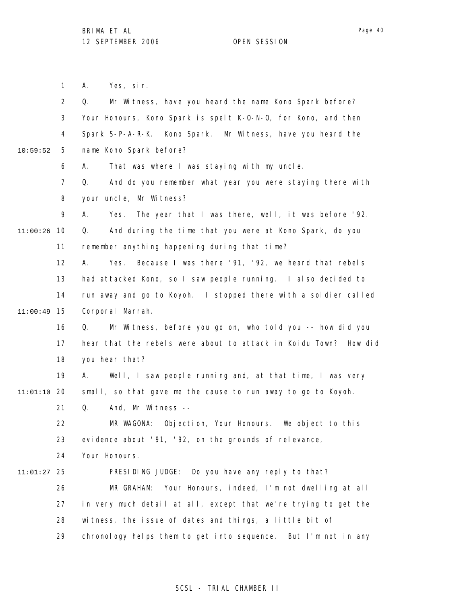1 2 3 4 5 6 7 8 9 10 11:00:26 11 12 13 14 15 11:00:49 16 17 18 19 20 11:01:10 21 22 23 24 25 11:01:27 26 27 28 29 10:59:52 A. Yes, sir. Q. Mr Witness, have you heard the name Kono Spark before? Your Honours, Kono Spark is spelt K-O-N-O, for Kono, and then Spark S-P-A-R-K. Kono Spark. Mr Witness, have you heard the name Kono Spark before? A. That was where I was staying with my uncle. Q. And do you remember what year you were staying there with your uncle, Mr Witness? A. Yes. The year that I was there, well, it was before '92. Q. And during the time that you were at Kono Spark, do you remember anything happening during that time? A. Yes. Because I was there '91, '92, we heard that rebels had attacked Kono, so I saw people running. I also decided to run away and go to Koyoh. I stopped there with a soldier called Corporal Marrah. Q. Mr Witness, before you go on, who told you -- how did you hear that the rebels were about to attack in Koidu Town? How did you hear that? A. Well, I saw people running and, at that time, I was very small, so that gave me the cause to run away to go to Koyoh. Q. And, Mr Witness -- MR WAGONA: Objection, Your Honours. We object to this evidence about '91, '92, on the grounds of relevance, Your Honours. PRESIDING JUDGE: Do you have any reply to that? MR GRAHAM: Your Honours, indeed, I'm not dwelling at all in very much detail at all, except that we're trying to get the witness, the issue of dates and things, a little bit of chronology helps them to get into sequence. But I'm not in any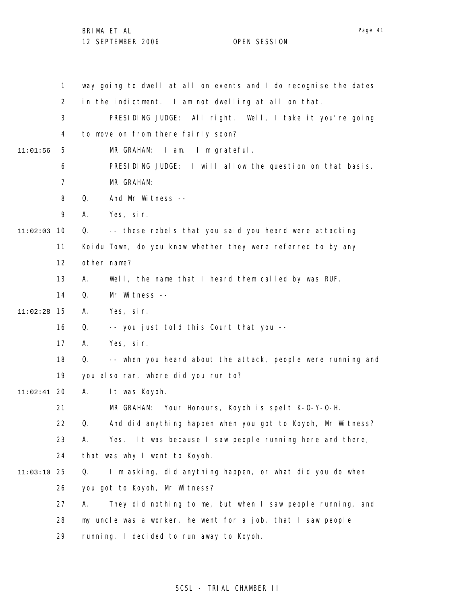|          | 1              | way going to dwell at all on events and I do recognise the dates  |
|----------|----------------|-------------------------------------------------------------------|
|          | $\overline{2}$ | in the indictment. I am not dwelling at all on that.              |
|          | 3              | PRESIDING JUDGE: All right. Well, I take it you're going          |
|          | 4              | to move on from there fairly soon?                                |
| 11:01:56 | 5              | I am. I'm grateful.<br>MR GRAHAM:                                 |
|          | 6              | PRESIDING JUDGE: I will allow the question on that basis.         |
|          | 7              | MR GRAHAM:                                                        |
|          | 8              | And Mr Witness --<br>Q.                                           |
|          | 9              | Yes, sir.<br>А.                                                   |
| 11:02:03 | 10             | -- these rebels that you said you heard were attacking<br>Q.      |
|          | 11             | Koidu Town, do you know whether they were referred to by any      |
|          | 12             | other name?                                                       |
|          | 13             | Well, the name that I heard them called by was RUF.<br>А.         |
|          | 14             | Q.<br>Mr Witness --                                               |
| 11:02:28 | 15             | А.<br>Yes, sir.                                                   |
|          | 16             | Q.<br>-- you just told this Court that you --                     |
|          | 17             | Yes, sir.<br>А.                                                   |
|          | 18             | Q.<br>-- when you heard about the attack, people were running and |
|          | 19             | you also ran, where did you run to?                               |
| 11:02:41 | -20            | Α.<br>It was Koyoh.                                               |
|          | 21             | MR GRAHAM:<br>Your Honours, Koyoh is spelt K-0-Y-0-H.             |
|          | 22             | And did anything happen when you got to Koyoh, Mr Witness?<br>Q.  |
|          | 23             | Α.<br>Yes. It was because I saw people running here and there,    |
|          | 24             | that was why I went to Koyoh.                                     |
| 11:03:10 | 25             | I'm asking, did anything happen, or what did you do when<br>Q.    |
|          | 26             | you got to Koyoh, Mr Witness?                                     |
|          | 27             | They did nothing to me, but when I saw people running, and<br>А.  |
|          | 28             | my uncle was a worker, he went for a job, that I saw people       |
|          | 29             | running, I decided to run away to Koyoh.                          |

# SCSL - TRIAL CHAMBER II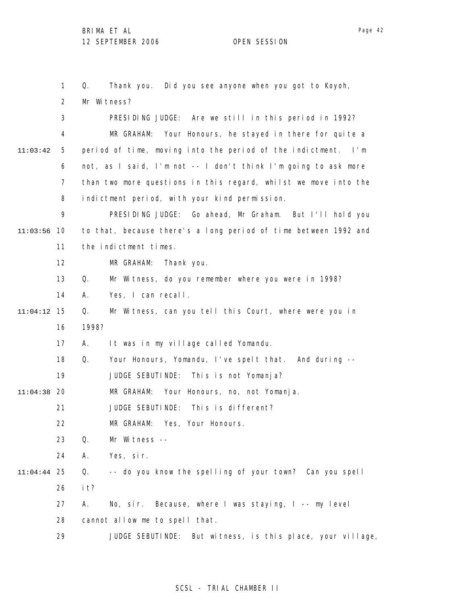1 2 3 4 5 6 7 8 9 10 11:03:56 11 12 13 14 15 11:04:12 16 17 18 19 20 11:04:38 21 22 23 24 25 11:04:44 26 27 28 29 11:03:42 Q. Thank you. Did you see anyone when you got to Koyoh, Mr Witness? PRESIDING JUDGE: Are we still in this period in 1992? MR GRAHAM: Your Honours, he stayed in there for quite a period of time, moving into the period of the indictment. I'm not, as I said, I'm not -- I don't think I'm going to ask more than two more questions in this regard, whilst we move into the indictment period, with your kind permission. PRESIDING JUDGE: Go ahead, Mr Graham. But I'll hold you to that, because there's a long period of time between 1992 and the indictment times. MR GRAHAM: Thank you. Q. Mr Witness, do you remember where you were in 1998? A. Yes, I can recall. Q. Mr Witness, can you tell this Court, where were you in 1998? A. It was in my village called Yomandu. Q. Your Honours, Yomandu, I've spelt that. And during -- JUDGE SEBUTINDE: This is not Yomanja? MR GRAHAM: Your Honours, no, not Yomanja. JUDGE SEBUTINDE: This is different? MR GRAHAM: Yes, Your Honours. Q. Mr Witness -- A. Yes, sir. Q. -- do you know the spelling of your town? Can you spell it? A. No, sir. Because, where I was staying, I -- my level cannot allow me to spell that. JUDGE SEBUTINDE: But witness, is this place, your village,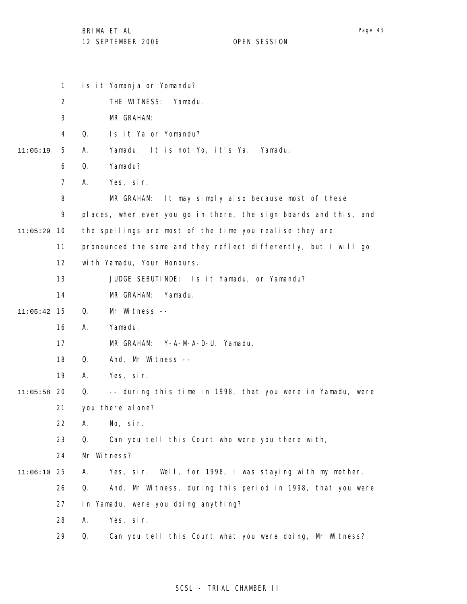|          | $\mathbf{1}$   | is it Yomanja or Yomandu?                                        |
|----------|----------------|------------------------------------------------------------------|
|          | $\overline{2}$ | THE WITNESS:<br>Yamadu.                                          |
|          | 3              | MR GRAHAM:                                                       |
|          | 4              | Q.<br>Is it Ya or Yomandu?                                       |
| 11:05:19 | 5              | It is not Yo, it's Ya.<br>Yamadu.<br>Yamadu.<br>А.               |
|          | 6              | Yamadu?<br>Q.                                                    |
|          | 7              | Α.<br>Yes, sir.                                                  |
|          | 8              | It may simply also because most of these<br>MR GRAHAM:           |
|          | 9              | places, when even you go in there, the sign boards and this, and |
| 11:05:29 | 10             | the spellings are most of the time you realise they are          |
|          | 11             | pronounced the same and they reflect differently, but I will go  |
|          | 12             | with Yamadu, Your Honours.                                       |
|          | 13             | JUDGE SEBUTINDE: Is it Yamadu, or Yamandu?                       |
|          | 14             | MR GRAHAM:<br>Yamadu.                                            |
| 11:05:42 | 15             | Q.<br>Mr Witness --                                              |
|          | 16             | Yamadu.<br>Α.                                                    |
|          | 17             | MR GRAHAM:<br>Y-A-M-A-D-U. Yamadu.                               |
|          | 18             | Q.<br>And, Mr Witness --                                         |
|          | 19             | Yes, sir.<br>А.                                                  |
| 11:05:58 | 20             | -- during this time in 1998, that you were in Yamadu, were<br>Q. |
|          | 21             | you there al one?                                                |
|          | 22             | No, sir.<br>Α.                                                   |
|          | 23             | Can you tell this Court who were you there with,<br>Q.           |
|          | 24             | Mr Witness?                                                      |
| 11:06:10 | 25             | Yes, sir. Well, for 1998, I was staying with my mother.<br>Α.    |
|          | 26             | And, Mr Witness, during this period in 1998, that you were<br>Q. |
|          | 27             | in Yamadu, were you doing anything?                              |
|          | 28             | Α.<br>Yes, sir.                                                  |
|          | 29             | Can you tell this Court what you were doing, Mr Witness?<br>Q.   |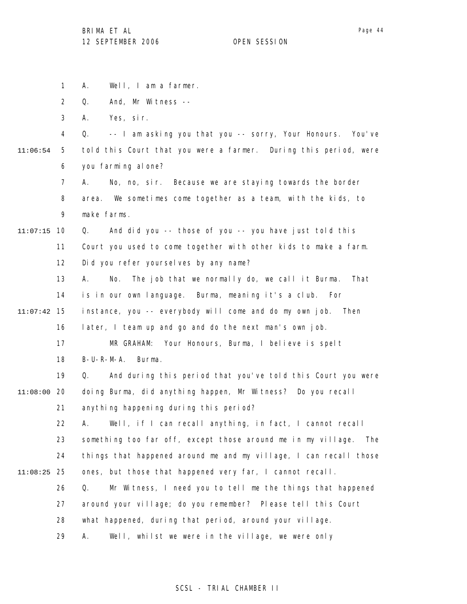Page 44

1 2 3 4 5 6 7 8 9 10 11:07:15 11 12 13 14 15 11:07:42 16 17 18 19 20 11:08:00 21 22 23 24 25 11:08:25 26 27 28 29 11:06:54 A. Well, I am a farmer. Q. And, Mr Witness -- A. Yes, sir. Q. -- I am asking you that you -- sorry, Your Honours. You've told this Court that you were a farmer. During this period, were you farming alone? A. No, no, sir. Because we are staying towards the border area. We sometimes come together as a team, with the kids, to make farms. Q. And did you -- those of you -- you have just told this Court you used to come together with other kids to make a farm. Did you refer yourselves by any name? A. No. The job that we normally do, we call it Burma. That is in our own language. Burma, meaning it's a club. For instance, you -- everybody will come and do my own job. Then later, I team up and go and do the next man's own job. MR GRAHAM: Your Honours, Burma, I believe is spelt B-U-R-M-A. Burma. Q. And during this period that you've told this Court you were doing Burma, did anything happen, Mr Witness? Do you recall anything happening during this period? A. Well, if I can recall anything, in fact, I cannot recall something too far off, except those around me in my village. The things that happened around me and my village, I can recall those ones, but those that happened very far, I cannot recall. Q. Mr Witness, I need you to tell me the things that happened around your village; do you remember? Please tell this Court what happened, during that period, around your village. A. Well, whilst we were in the village, we were only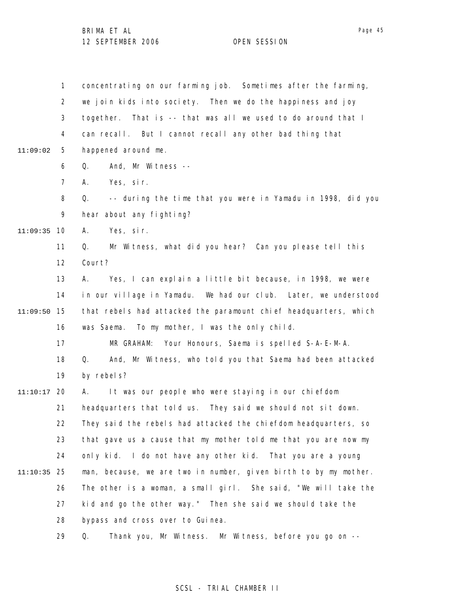1 2 3 4 5 6 7 8 9 10 11:09:35 11 12 13 14 15 11:09:50 16 17 18 19 20 11:10:17 21 22 23 24 25 11:10:35 26 27 28 29 11:09:02 concentrating on our farming job. Sometimes after the farming, we join kids into society. Then we do the happiness and joy together. That is -- that was all we used to do around that I can recall. But I cannot recall any other bad thing that happened around me. Q. And, Mr Witness -- A. Yes, sir. Q. -- during the time that you were in Yamadu in 1998, did you hear about any fighting? A. Yes, sir. Q. Mr Witness, what did you hear? Can you please tell this Court? A. Yes, I can explain a little bit because, in 1998, we were in our village in Yamadu. We had our club. Later, we understood that rebels had attacked the paramount chief headquarters, which was Saema. To my mother, I was the only child. MR GRAHAM: Your Honours, Saema is spelled S-A-E-M-A. Q. And, Mr Witness, who told you that Saema had been attacked by rebels? A. It was our people who were staying in our chiefdom headquarters that told us. They said we should not sit down. They said the rebels had attacked the chiefdom headquarters, so that gave us a cause that my mother told me that you are now my only kid. I do not have any other kid. That you are a young man, because, we are two in number, given birth to by my mother. The other is a woman, a small girl. She said, "We will take the kid and go the other way." Then she said we should take the bypass and cross over to Guinea. Q. Thank you, Mr Witness. Mr Witness, before you go on --

#### SCSL - TRIAL CHAMBER II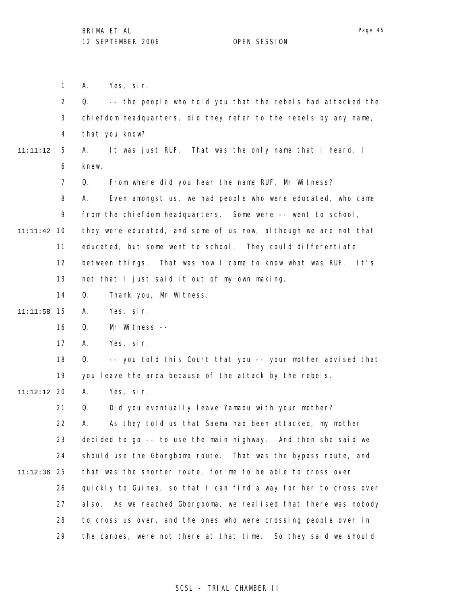1 2 3 4 5 6 7 8 9 10 11:11:42 11 12 13 14 15 11:11:58 16 17 18 19 20 11:12:12 21 22 23 24 25 11:12:36 26 27 28 29 11:11:12 A. Yes, sir. Q. -- the people who told you that the rebels had attacked the chiefdom headquarters, did they refer to the rebels by any name, that you know? A. It was just RUF. That was the only name that I heard, I knew. Q. From where did you hear the name RUF, Mr Witness? A. Even amongst us, we had people who were educated, who came from the chiefdom headquarters. Some were -- went to school, they were educated, and some of us now, although we are not that educated, but some went to school. They could differentiate between things. That was how I came to know what was RUF. It's not that I just said it out of my own making. Q. Thank you, Mr Witness. A. Yes, sir. Q. Mr Witness -- A. Yes, sir. Q. -- you told this Court that you -- your mother advised that you leave the area because of the attack by the rebels. A. Yes, sir. Q. Did you eventually leave Yamadu with your mother? A. As they told us that Saema had been attacked, my mother decided to go -- to use the main highway. And then she said we should use the Gborgboma route. That was the bypass route, and that was the shorter route, for me to be able to cross over quickly to Guinea, so that I can find a way for her to cross over also. As we reached Gborgboma, we realised that there was nobody to cross us over, and the ones who were crossing people over in the canoes, were not there at that time. So they said we should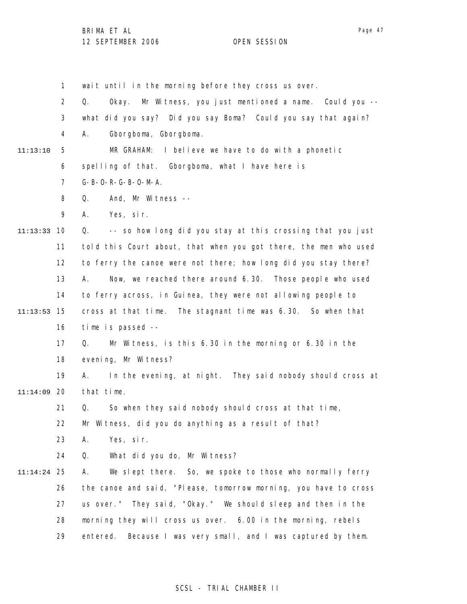Page 47

1 2 3 4 5 6 7 8 9 10 11:13:33 11 12 13 14 15 11:13:53 16 17 18 19 20 11:14:09 21 22 23 24 25 11:14:24 26 27 28 29 11:13:10 wait until in the morning before they cross us over. Q. Okay. Mr Witness, you just mentioned a name. Could you - what did you say? Did you say Boma? Could you say that again? A. Gborgboma, Gborgboma. MR GRAHAM: I believe we have to do with a phonetic spelling of that. Gborgboma, what I have here is G-B-O-R-G-B-O-M-A. Q. And, Mr Witness -- A. Yes, sir. Q. -- so how long did you stay at this crossing that you just told this Court about, that when you got there, the men who used to ferry the canoe were not there; how long did you stay there? A. Now, we reached there around 6.30. Those people who used to ferry across, in Guinea, they were not allowing people to cross at that time. The stagnant time was 6.30. So when that time is passed -- Q. Mr Witness, is this 6.30 in the morning or 6.30 in the evening, Mr Witness? A. In the evening, at night. They said nobody should cross at that time. Q. So when they said nobody should cross at that time, Mr Witness, did you do anything as a result of that? A. Yes, sir. Q. What did you do, Mr Witness? A. We slept there. So, we spoke to those who normally ferry the canoe and said, "Please, tomorrow morning, you have to cross us over." They said, "Okay." We should sleep and then in the morning they will cross us over. 6.00 in the morning, rebels entered. Because I was very small, and I was captured by them.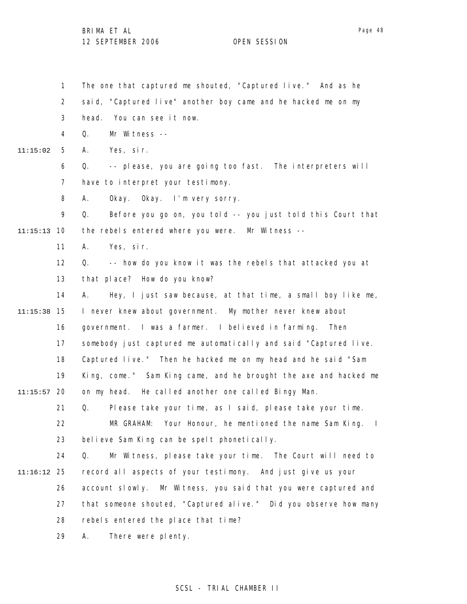1 2 3 4 5 6 7 8 9 10 11:15:13 11 12 13 14 15 11:15:38 16 17 18 19 20 11:15:57 21 22 23 24 25 11:16:12 26 27 28 29 11:15:02 The one that captured me shouted, "Captured live." And as he said, "Captured live" another boy came and he hacked me on my head. You can see it now. Q. Mr Witness -- A. Yes, sir. Q. -- please, you are going too fast. The interpreters will have to interpret your testimony. A. Okay. Okay. I'm very sorry. Q. Before you go on, you told -- you just told this Court that the rebels entered where you were. Mr Witness -- A. Yes, sir. Q. -- how do you know it was the rebels that attacked you at that place? How do you know? A. Hey, I just saw because, at that time, a small boy like me, I never knew about government. My mother never knew about government. I was a farmer. I believed in farming. Then somebody just captured me automatically and said "Captured live. Captured live." Then he hacked me on my head and he said "Sam King, come." Sam King came, and he brought the axe and hacked me on my head. He called another one called Bingy Man. Q. Please take your time, as I said, please take your time. MR GRAHAM: Your Honour, he mentioned the name Sam King. I believe Sam King can be spelt phonetically. Q. Mr Witness, please take your time. The Court will need to record all aspects of your testimony. And just give us your account slowly. Mr Witness, you said that you were captured and that someone shouted, "Captured alive." Did you observe how many rebels entered the place that time? A. There were plenty.

### SCSL - TRIAL CHAMBER II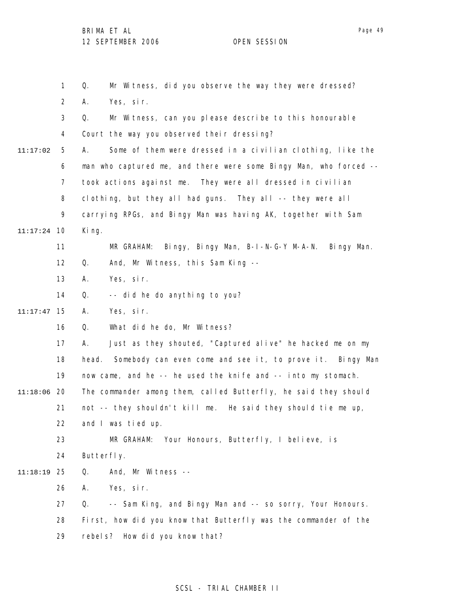1 2 3 4 5 6 7 8 9 10 11:17:24 11 12 13 14 15 11:17:47 16 17 18 19 20 11:18:06 21 22 23 24 25 11:18:19 26 27 28 29 11:17:02 Q. Mr Witness, did you observe the way they were dressed? A. Yes, sir. Q. Mr Witness, can you please describe to this honourable Court the way you observed their dressing? A. Some of them were dressed in a civilian clothing, like the man who captured me, and there were some Bingy Man, who forced - took actions against me. They were all dressed in civilian clothing, but they all had guns. They all -- they were all carrying RPGs, and Bingy Man was having AK, together with Sam King. MR GRAHAM: Bingy, Bingy Man, B-I-N-G-Y M-A-N. Bingy Man. Q. And, Mr Witness, this Sam King -- A. Yes, sir. Q. -- did he do anything to you? A. Yes, sir. Q. What did he do, Mr Witness? A. Just as they shouted, "Captured alive" he hacked me on my head. Somebody can even come and see it, to prove it. Bingy Man now came, and he -- he used the knife and -- into my stomach. The commander among them, called Butterfly, he said they should not -- they shouldn't kill me. He said they should tie me up, and I was tied up. MR GRAHAM: Your Honours, Butterfly, I believe, is Butterfly. Q. And, Mr Witness -- A. Yes, sir. Q. -- Sam King, and Bingy Man and -- so sorry, Your Honours. First, how did you know that Butterfly was the commander of the rebels? How did you know that?

### SCSL - TRIAL CHAMBER II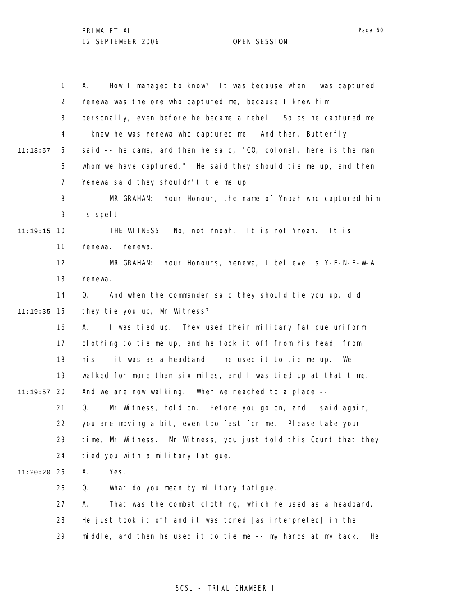|               | $\mathbf{1}$   | How I managed to know? It was because when I was captured<br>А.     |
|---------------|----------------|---------------------------------------------------------------------|
|               | $\overline{2}$ | Yenewa was the one who captured me, because I knew him              |
|               | 3              | personally, even before he became a rebel. So as he captured me,    |
|               | 4              | I knew he was Yenewa who captured me. And then, Butterfly           |
| 11:18:57      | 5              | said -- he came, and then he said, "CO, colonel, here is the man    |
|               | 6              | whom we have captured." He said they should tie me up, and then     |
|               | 7              | Yenewa said they shouldn't tie me up.                               |
|               | 8              | MR GRAHAM: Your Honour, the name of Ynoah who captured him          |
|               | 9              | is spelt --                                                         |
| 11:19:15      | 10             | THE WITNESS: No, not Ynoah. It is not Ynoah. It is                  |
|               | 11             | Yenewa.<br>Yenewa.                                                  |
|               | 12             | Your Honours, Yenewa, I believe is Y-E-N-E-W-A.<br>MR GRAHAM:       |
|               | 13             | Yenewa.                                                             |
|               | 14             | And when the commander said they should tie you up, did<br>Q.       |
| 11:19:35      | 15             | they tie you up, Mr Witness?                                        |
|               | 16             | I was tied up. They used their military fatigue uniform<br>А.       |
|               | 17             | clothing to tie me up, and he took it off from his head, from       |
|               | 18             | his -- it was as a headband -- he used it to tie me up.<br>We       |
|               | 19             | walked for more than six miles, and I was tied up at that time.     |
| $11:19:57$ 20 |                | And we are now walking. When we reached to a place --               |
|               | 21             | Q.<br>Mr Witness, hold on. Before you go on, and I said again,      |
|               | 22             | you are moving a bit, even too fast for me. Please take your        |
|               | 23             | time, Mr Witness. Mr Witness, you just told this Court that they    |
|               | 24             | tied you with a military fatigue.                                   |
| 11:20:20      | 25             | Yes.<br>Α.                                                          |
|               | 26             | What do you mean by military fatigue.<br>Q.                         |
|               | 27             | That was the combat clothing, which he used as a headband.<br>Α.    |
|               | 28             | He just took it off and it was tored [as interpreted] in the        |
|               | 29             | middle, and then he used it to tie me -- my hands at my back.<br>He |

## SCSL - TRIAL CHAMBER II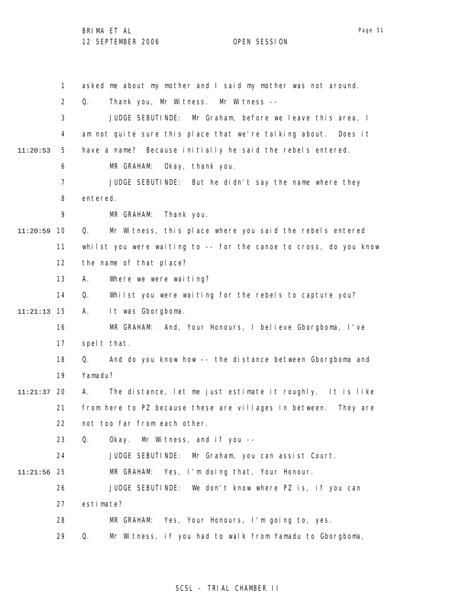1 2 3 4 5 6 7 8 9 10 11:20:59 11 12 13 14 15 11:21:13 16 17 18 19 20 11:21:37 21 22 23 24 25 11:21:56 26 27 28 29 11:20:53 asked me about my mother and I said my mother was not around. Q. Thank you, Mr Witness. Mr Witness -- JUDGE SEBUTINDE: Mr Graham, before we leave this area, I am not quite sure this place that we're talking about. Does it have a name? Because initially he said the rebels entered. MR GRAHAM: Okay, thank you. JUDGE SEBUTINDE: But he didn't say the name where they entered. MR GRAHAM: Thank you. Q. Mr Witness, this place where you said the rebels entered whilst you were waiting to -- for the canoe to cross, do you know the name of that place? A. Where we were waiting? Q. Whilst you were waiting for the rebels to capture you? A. It was Gborgboma. MR GRAHAM: And, Your Honours, I believe Gborgboma, I've spelt that. Q. And do you know how -- the distance between Gborgboma and Yamadu? A. The distance, let me just estimate it roughly. It is like from here to PZ because these are villages in between. They are not too far from each other. Q. Okay. Mr Witness, and if you -- JUDGE SEBUTINDE: Mr Graham, you can assist Court. MR GRAHAM: Yes, I'm doing that, Your Honour. JUDGE SEBUTINDE: We don't know where PZ is, if you can estimate? MR GRAHAM: Yes, Your Honours, I'm going to, yes. Q. Mr Witness, if you had to walk from Yamadu to Gborgboma,

#### SCSL - TRIAL CHAMBER II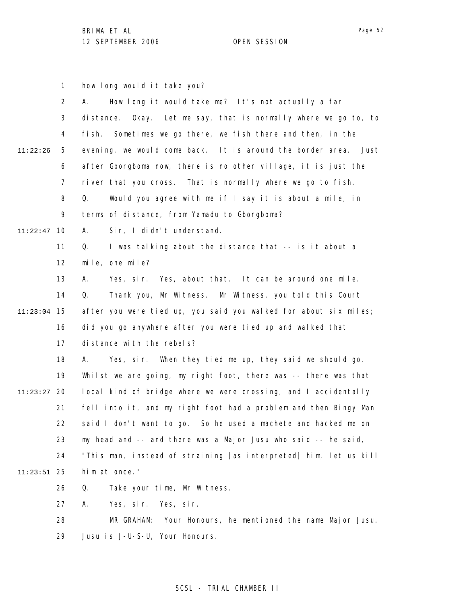1 2 3 4 5 6 7 8 9 10 11:22:47 11 12 13 14 15 11:23:04 16 17 18 19 20 11:23:27 21 22 23 24 25 11:23:51 26 27 28 29 11:22:26 how long would it take you? A. How long it would take me? It's not actually a far distance. Okay. Let me say, that is normally where we go to, to fish. Sometimes we go there, we fish there and then, in the evening, we would come back. It is around the border area. Just after Gborgboma now, there is no other village, it is just the river that you cross. That is normally where we go to fish. Q. Would you agree with me if I say it is about a mile, in terms of distance, from Yamadu to Gborgboma? A. Sir, I didn't understand. Q. I was talking about the distance that -- is it about a mile, one mile? A. Yes, sir. Yes, about that. It can be around one mile. Q. Thank you, Mr Witness. Mr Witness, you told this Court after you were tied up, you said you walked for about six miles; did you go anywhere after you were tied up and walked that distance with the rebels? A. Yes, sir. When they tied me up, they said we should go. Whilst we are going, my right foot, there was -- there was that local kind of bridge where we were crossing, and I accidentally fell into it, and my right foot had a problem and then Bingy Man said I don't want to go. So he used a machete and hacked me on my head and -- and there was a Major Jusu who said -- he said, "This man, instead of straining [as interpreted] him, let us kill him at once." Q. Take your time, Mr Witness. A. Yes, sir. Yes, sir. MR GRAHAM: Your Honours, he mentioned the name Major Jusu. Jusu is J-U-S-U, Your Honours.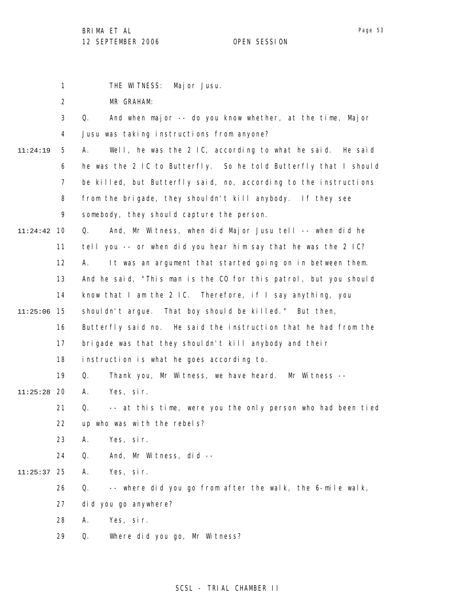|          | 1              | THE WITNESS:<br>Major Jusu.                                       |
|----------|----------------|-------------------------------------------------------------------|
|          | $\overline{2}$ | MR GRAHAM:                                                        |
|          | 3              | And when major -- do you know whether, at the time, Major<br>Q.   |
|          | 4              | Jusu was taking instructions from anyone?                         |
| 11:24:19 | 5              | Well, he was the 2 IC, according to what he said. He said<br>А.   |
|          | 6              | he was the 2 IC to Butterfly. So he told Butterfly that I should  |
|          | $\overline{7}$ | be killed, but Butterfly said, no, according to the instructions  |
|          | 8              | from the brigade, they shouldn't kill anybody. If they see        |
|          | 9              | somebody, they should capture the person.                         |
| 11:24:42 | 10             | And, Mr Witness, when did Major Jusu tell -- when did he<br>Q.    |
|          | 11             | tell you -- or when did you hear him say that he was the 2 IC?    |
|          | 12             | It was an argument that started going on in between them.<br>А.   |
|          | 13             | And he said, "This man is the CO for this patrol, but you should  |
|          | 14             | know that I am the $2 \,$ IC. Therefore, if I say anything, you   |
| 11:25:06 | 15             | shouldn't argue. That boy should be killed." But then,            |
|          | 16             | Butterfly said no. He said the instruction that he had from the   |
|          | 17             | brigade was that they shouldn't kill anybody and their            |
|          | 18             | instruction is what he goes according to.                         |
|          | 19             | Q.<br>Thank you, Mr Witness, we have heard. Mr Witness --         |
| 11:25:28 | 20             | А.<br>Yes, sir.                                                   |
|          | 21             | -- at this time, were you the only person who had been tied<br>Q. |
|          | 22             | up who was with the rebels?                                       |
|          | 23             | Yes, sir.<br>Α.                                                   |
|          | 24             | Q.<br>And, Mr Witness, did --                                     |
| 11:25:37 | 25             | Α.<br>Yes, sir.                                                   |
|          | 26             | -- where did you go from after the walk, the 6-mile walk,<br>Q.   |
|          | 27             | did you go anywhere?                                              |
|          | 28             | Yes, sir.<br>Α.                                                   |
|          | 29             | Q.<br>Where did you go, Mr Witness?                               |
|          |                |                                                                   |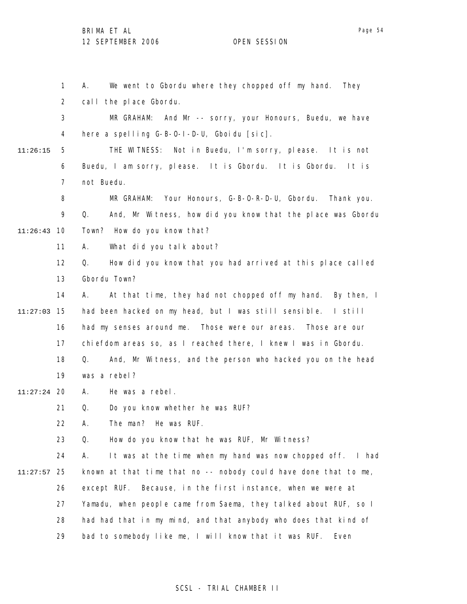1 2 3 4 5 6 7 8 9 10 11:26:43 11 12 13 14 15 11:27:03 16 17 18 19 20 11:27:24 21 22 23 24 25 11:27:57 26 27 28 29 11:26:15 A. We went to Gbordu where they chopped off my hand. They call the place Gbordu. MR GRAHAM: And Mr -- sorry, your Honours, Buedu, we have here a spelling G-B-O-I-D-U, Gboidu [sic]. THE WITNESS: Not in Buedu, I'm sorry, please. It is not Buedu, I am sorry, please. It is Gbordu. It is Gbordu. It is not Buedu. MR GRAHAM: Your Honours, G-B-O-R-D-U, Gbordu. Thank you. Q. And, Mr Witness, how did you know that the place was Gbordu Town? How do you know that? A. What did you talk about? Q. How did you know that you had arrived at this place called Gbordu Town? A. At that time, they had not chopped off my hand. By then, I had been hacked on my head, but I was still sensible. I still had my senses around me. Those were our areas. Those are our chiefdom areas so, as I reached there, I knew I was in Gbordu. Q. And, Mr Witness, and the person who hacked you on the head was a rebel? A. He was a rebel. Q. Do you know whether he was RUF? A. The man? He was RUF. Q. How do you know that he was RUF, Mr Witness? A. It was at the time when my hand was now chopped off. I had known at that time that no -- nobody could have done that to me, except RUF. Because, in the first instance, when we were at Yamadu, when people came from Saema, they talked about RUF, so I had had that in my mind, and that anybody who does that kind of bad to somebody like me, I will know that it was RUF. Even

### SCSL - TRIAL CHAMBER II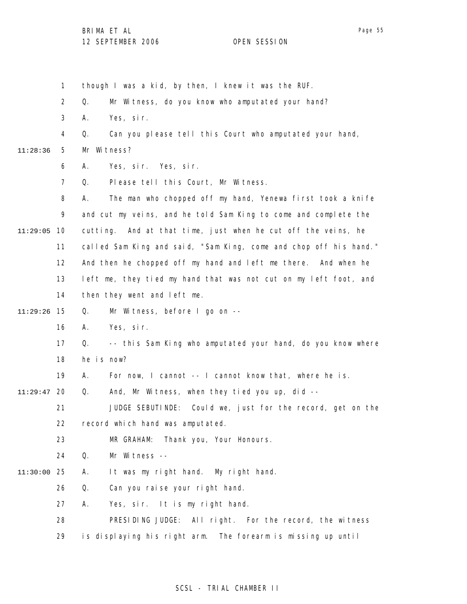1 2 3 4 5 6 7 8 9 11:29:05 10 11 12 13 14 15 11:29:26 16 17 18 19 20 11:29:47 21 22 23 24 25 11:30:00 26 27 28 29 11:28:36 though I was a kid, by then, I knew it was the RUF. Q. Mr Witness, do you know who amputated your hand? A. Yes, sir. Q. Can you please tell this Court who amputated your hand, Mr Witness? A. Yes, sir. Yes, sir. Q. Please tell this Court, Mr Witness. A. The man who chopped off my hand, Yenewa first took a knife and cut my veins, and he told Sam King to come and complete the cutting. And at that time, just when he cut off the veins, he called Sam King and said, "Sam King, come and chop off his hand." And then he chopped off my hand and left me there. And when he left me, they tied my hand that was not cut on my left foot, and then they went and left me. Q. Mr Witness, before I go on -- A. Yes, sir. Q. -- this Sam King who amputated your hand, do you know where he is now? A. For now, I cannot -- I cannot know that, where he is. Q. And, Mr Witness, when they tied you up, did -- JUDGE SEBUTINDE: Could we, just for the record, get on the record which hand was amputated. MR GRAHAM: Thank you, Your Honours. Q. Mr Witness -- A. It was my right hand. My right hand. Q. Can you raise your right hand. A. Yes, sir. It is my right hand. PRESIDING JUDGE: All right. For the record, the witness is displaying his right arm. The forearm is missing up until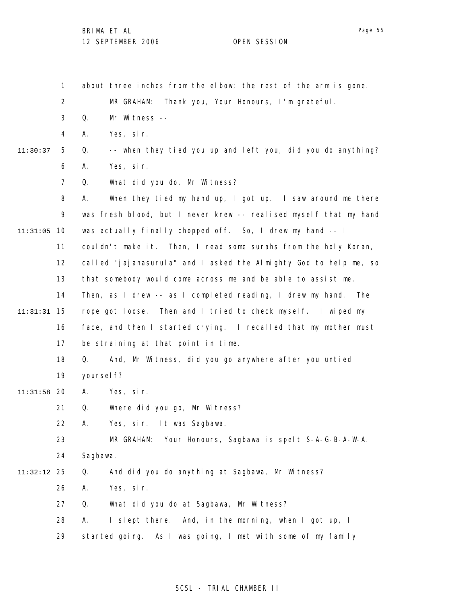1 2 3 4 5 6 7 8 9 10 11:31:05 11 12 13 14 15 11:31:31 16 17 18 19 20 11:31:58 21 22 23 24 25 11:32:12 26 27 28 29 11:30:37 about three inches from the elbow; the rest of the arm is gone. MR GRAHAM: Thank you, Your Honours, I'm grateful. Q. Mr Witness -- A. Yes, sir. Q. -- when they tied you up and left you, did you do anything? A. Yes, sir. Q. What did you do, Mr Witness? A. When they tied my hand up, I got up. I saw around me there was fresh blood, but I never knew -- realised myself that my hand was actually finally chopped off. So, I drew my hand -- I couldn't make it. Then, I read some surahs from the holy Koran, called "jajanasurula" and I asked the Almighty God to help me, so that somebody would come across me and be able to assist me. Then, as I drew -- as I completed reading, I drew my hand. The rope got loose. Then and I tried to check myself. I wiped my face, and then I started crying. I recalled that my mother must be straining at that point in time. Q. And, Mr Witness, did you go anywhere after you untied yoursel f? A. Yes, sir. Q. Where did you go, Mr Witness? A. Yes, sir. It was Sagbawa. MR GRAHAM: Your Honours, Sagbawa is spelt S-A-G-B-A-W-A. Sagbawa. Q. And did you do anything at Sagbawa, Mr Witness? A. Yes, sir. Q. What did you do at Sagbawa, Mr Witness? A. I slept there. And, in the morning, when I got up, I started going. As I was going, I met with some of my family

#### SCSL - TRIAL CHAMBER II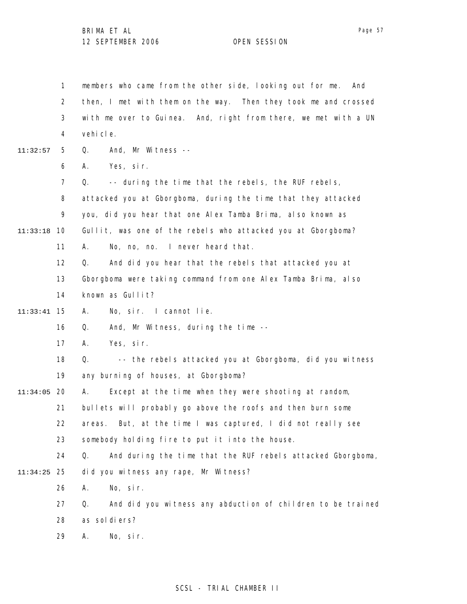1 2 3 4 5 6 7 8 9 10 11:33:18 11 12 13 14 15 11:33:41 16 17 18 19 20 11:34:05 21 22 23 24 25 11:34:25 26 27 28 29 11:32:57 members who came from the other side, looking out for me. And then, I met with them on the way. Then they took me and crossed with me over to Guinea. And, right from there, we met with a UN vehicle. Q. And, Mr Witness -- A. Yes, sir.  $Q.$  -- during the time that the rebels, the RUF rebels, attacked you at Gborgboma, during the time that they attacked you, did you hear that one Alex Tamba Brima, also known as Gullit, was one of the rebels who attacked you at Gborgboma? A. No, no, no. I never heard that. Q. And did you hear that the rebels that attacked you at Gborgboma were taking command from one Alex Tamba Brima, also known as Gullit? A. No, sir. I cannot lie. Q. And, Mr Witness, during the time -- A. Yes, sir. Q. -- the rebels attacked you at Gborgboma, did you witness any burning of houses, at Gborgboma? A. Except at the time when they were shooting at random, bullets will probably go above the roofs and then burn some areas. But, at the time I was captured, I did not really see somebody holding fire to put it into the house. Q. And during the time that the RUF rebels attacked Gborgboma, did you witness any rape, Mr Witness? A. No, sir. Q. And did you witness any abduction of children to be trained as sol di ers? A. No, sir.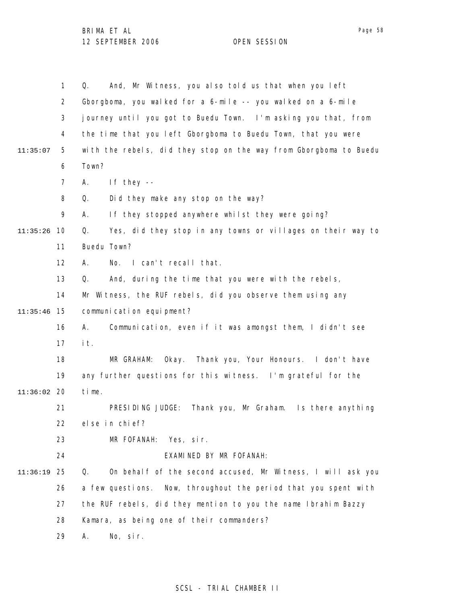|          | $\mathbf{1}$   | And, Mr Witness, you also told us that when you left<br>Q.        |
|----------|----------------|-------------------------------------------------------------------|
|          | $\overline{2}$ | Gborgboma, you walked for a 6-mile -- you walked on a 6-mile      |
|          | 3              | journey until you got to Buedu Town. I'm asking you that, from    |
|          | 4              | the time that you left Gborgboma to Buedu Town, that you were     |
| 11:35:07 | 5              | with the rebels, did they stop on the way from Gborgboma to Buedu |
|          | 6              | Town?                                                             |
|          | $\overline{7}$ | If they $-$<br>Α.                                                 |
|          | 8              | Did they make any stop on the way?<br>Q.                          |
|          | 9              | If they stopped anywhere whilst they were going?<br>А.            |
| 11:35:26 | 10             | Yes, did they stop in any towns or villages on their way to<br>Q. |
|          | 11             | Buedu Town?                                                       |
|          | 12             | I can't recall that.<br>А.<br>No.                                 |
|          | 13             | And, during the time that you were with the rebels,<br>Q.         |
|          | 14             | Mr Witness, the RUF rebels, did you observe them using any        |
| 11:35:46 | 15             | communication equipment?                                          |
|          | 16             | Communication, even if it was amongst them, I didn't see<br>А.    |
|          | 17             | it.                                                               |
|          | 18             | Okay. Thank you, Your Honours. I don't have<br>MR GRAHAM:         |
|          | 19             | any further questions for this witness. I'm grateful for the      |
| 11:36:02 | 20             | time.                                                             |
|          | 21             | PRESIDING JUDGE:<br>Thank you, Mr Graham. Is there anything       |
|          | 22             | else in chief?                                                    |
|          | 23             | MR FOFANAH:<br>Yes, sir.                                          |
|          | 24             | EXAMINED BY MR FOFANAH:                                           |
| 11:36:19 | 25             | On behalf of the second accused, Mr Witness, I will ask you<br>Q. |
|          | 26             | a few questions. Now, throughout the period that you spent with   |
|          | 27             | the RUF rebels, did they mention to you the name Ibrahim Bazzy    |
|          | 28             | Kamara, as being one of their commanders?                         |
|          | 29             | No, sir.<br>Α.                                                    |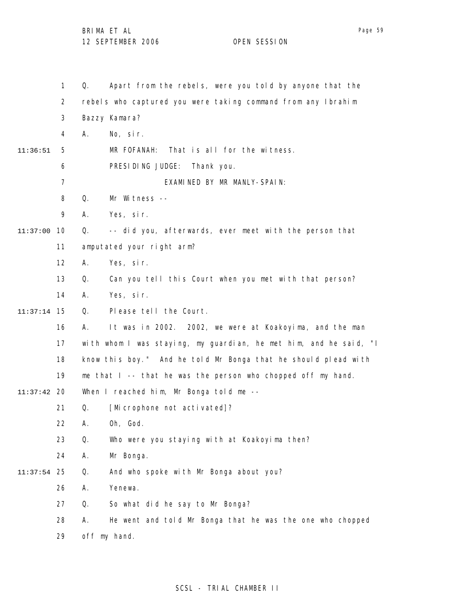|          | $\mathbf{1}$   | Apart from the rebels, were you told by anyone that the<br>Q.     |
|----------|----------------|-------------------------------------------------------------------|
|          | 2              | rebels who captured you were taking command from any Ibrahim      |
|          | 3              | Bazzy Kamara?                                                     |
|          | 4              | Α.<br>No, sir.                                                    |
| 11:36:51 | 5              | MR FOFANAH:<br>That is all for the witness.                       |
|          | 6              | PRESIDING JUDGE:<br>Thank you.                                    |
|          | $\overline{7}$ | EXAMINED BY MR MANLY-SPAIN:                                       |
|          | 8              | Q.<br>Mr Witness --                                               |
|          | 9              | Yes, sir.<br>А.                                                   |
| 11:37:00 | 10             | -- did you, afterwards, ever meet with the person that<br>Q.      |
|          | 11             | amputated your right arm?                                         |
|          | 12             | Yes, sir.<br>А.                                                   |
|          | 13             | Q.<br>Can you tell this Court when you met with that person?      |
|          | 14             | Yes, sir.<br>А.                                                   |
| 11:37:14 | 15             | Please tell the Court.<br>Q.                                      |
|          | 16             | It was in 2002. 2002, we were at Koakoyima, and the man<br>А.     |
|          | 17             | with whom I was staying, my guardian, he met him, and he said, "I |
|          | 18             | know this boy." And he told Mr Bonga that he should plead with    |
|          | 19             | me that I -- that he was the person who chopped off my hand.      |
| 11:37:42 | 20             | When I reached him, Mr Bonga told me --                           |
|          | 21             | [Microphone not activated]?<br>Q.                                 |
|          | 22             | Α.<br>Oh, God.                                                    |
|          | 23             | Q.<br>Who were you staying with at Koakoyima then?                |
|          | 24             | Mr Bonga.<br>Α.                                                   |
| 11:37:54 | 25             | And who spoke with Mr Bonga about you?<br>Q.                      |
|          | 26             | Yenewa.<br>Α.                                                     |
|          | 27             | So what did he say to Mr Bonga?<br>Q.                             |
|          | 28             | He went and told Mr Bonga that he was the one who chopped<br>А.   |
|          | 29             | off my hand.                                                      |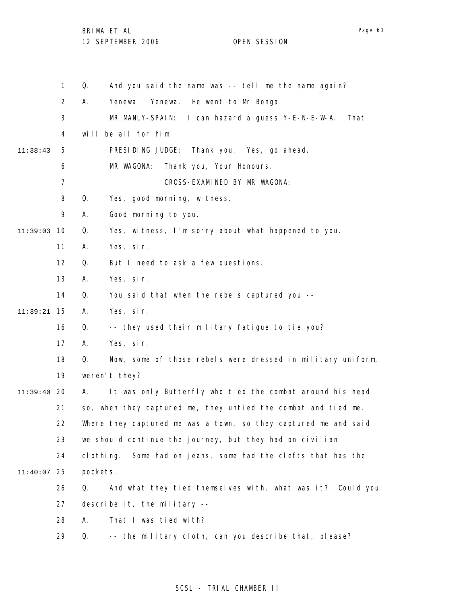BRIMA ET AL

1 2 3 4 5 6 7 8 9 11:39:03 10 11 12 13 14 15 11:39:21 16 17 18 19 20 11:39:40 21 22 23 24 25 11:40:07 26 27 28 29 11:38:43 Q. And you said the name was -- tell me the name again? A. Yenewa. Yenewa. He went to Mr Bonga. MR MANLY-SPAIN: I can hazard a guess Y-E-N-E-W-A. That will be all for him. PRESIDING JUDGE: Thank you. Yes, go ahead. MR WAGONA: Thank you, Your Honours. CROSS-EXAMINED BY MR WAGONA: Q. Yes, good morning, witness. A. Good morning to you. Q. Yes, witness, I'm sorry about what happened to you. A. Yes, sir. Q. But I need to ask a few questions. A. Yes, sir. Q. You said that when the rebels captured you -- A. Yes, sir. Q. -- they used their military fatigue to tie you? A. Yes, sir. Q. Now, some of those rebels were dressed in military uniform, weren't they? A. It was only Butterfly who tied the combat around his head so, when they captured me, they untied the combat and tied me. Where they captured me was a town, so they captured me and said we should continue the journey, but they had on civilian clothing. Some had on jeans, some had the clefts that has the pockets. Q. And what they tied themselves with, what was it? Could you describe it, the military -- A. That I was tied with? Q. -- the military cloth, can you describe that, please?

### SCSL - TRIAL CHAMBER II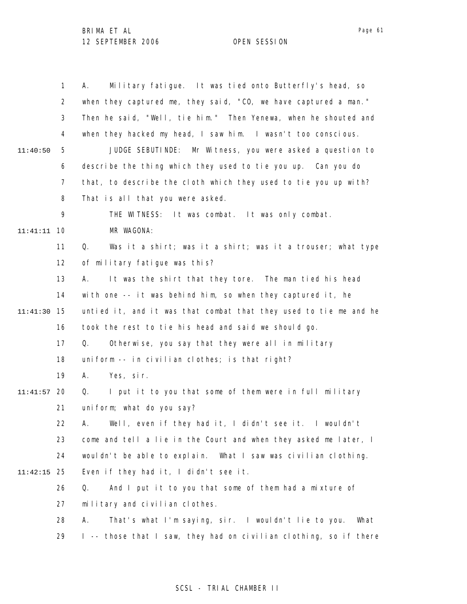|          | $\mathbf{1}$   | Military fatigue. It was tied onto Butterfly's head, so<br>Α.     |
|----------|----------------|-------------------------------------------------------------------|
|          | $\overline{2}$ | when they captured me, they said, "CO, we have captured a man."   |
|          | 3              | Then he said, "Well, tie him." Then Yenewa, when he shouted and   |
|          | 4              | when they hacked my head, I saw him. I wasn't too conscious.      |
| 11:40:50 | 5              | JUDGE SEBUTINDE: Mr Witness, you were asked a question to         |
|          | 6              | describe the thing which they used to tie you up. Can you do      |
|          | $\overline{7}$ | that, to describe the cloth which they used to tie you up with?   |
|          | 8              | That is all that you were asked.                                  |
|          | 9              | THE WITNESS: It was combat. It was only combat.                   |
| 11:41:11 | 10             | MR WAGONA:                                                        |
|          | 11             | Was it a shirt; was it a shirt; was it a trouser; what type<br>Q. |
|          | 12             | of military fatigue was this?                                     |
|          | 13             | It was the shirt that they tore. The man tied his head<br>А.      |
|          | 14             | with one -- it was behind him, so when they captured it, he       |
| 11:41:30 | 15             | untied it, and it was that combat that they used to tie me and he |
|          | 16             | took the rest to tie his head and said we should go.              |
|          | 17             | Q.<br>Otherwise, you say that they were all in military           |
|          | 18             | uniform -- in civilian clothes; is that right?                    |
|          | 19             | Yes, sir.<br>А.                                                   |
| 11:41:57 | 20             | I put it to you that some of them were in full military<br>Q.     |
|          | 21             | uniform; what do you say?                                         |
|          | 22.            | A. Well, even if they had it, I didn't see it. I wouldn't         |
|          | 23             | come and tell a lie in the Court and when they asked me later, I  |
|          | 24             | wouldn't be able to explain. What I saw was civilian clothing.    |
| 11:42:15 | -25            | Even if they had it, I didn't see it.                             |
|          | 26             | And I put it to you that some of them had a mixture of<br>Q.      |
|          | 27             | military and civilian clothes.                                    |
|          | 28             | That's what I'm saying, sir. I wouldn't lie to you.<br>А.<br>What |
|          | 29             | I -- those that I saw, they had on civilian clothing, so if there |

## SCSL - TRIAL CHAMBER II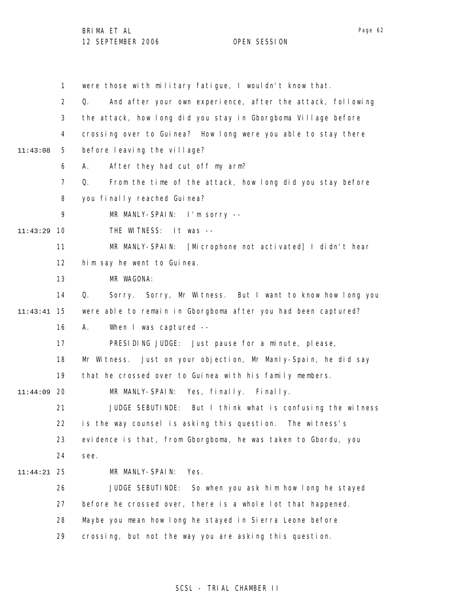1 2 3 4 5 6 7 8 9 10 11:43:29 11 12 13 14 15 11:43:41 16 17 18 19 20 11:44:09 21 22 23 24 25 11:44:21 26 27 28 29 11:43:08 were those with military fatigue, I wouldn't know that. Q. And after your own experience, after the attack, following the attack, how long did you stay in Gborgboma Village before crossing over to Guinea? How long were you able to stay there before leaving the village? A. After they had cut off my arm? Q. From the time of the attack, how long did you stay before you finally reached Guinea? MR MANLY-SPAIN: I'm sorry -- THE WITNESS: It was -- MR MANLY-SPAIN: [Microphone not activated] I didn't hear him say he went to Guinea. MR WAGONA: Q. Sorry. Sorry, Mr Witness. But I want to know how long you were able to remain in Gborgboma after you had been captured? A. When I was captured -- PRESIDING JUDGE: Just pause for a minute, please, Mr Witness. Just on your objection, Mr Manly-Spain, he did say that he crossed over to Guinea with his family members. MR MANLY-SPAIN: Yes, finally. Finally. JUDGE SEBUTINDE: But I think what is confusing the witness is the way counsel is asking this question. The witness's evidence is that, from Gborgboma, he was taken to Gbordu, you see. MR MANLY-SPAIN: Yes. JUDGE SEBUTINDE: So when you ask him how long he stayed before he crossed over, there is a whole lot that happened. Maybe you mean how long he stayed in Sierra Leone before crossing, but not the way you are asking this question.

SCSL - TRIAL CHAMBER II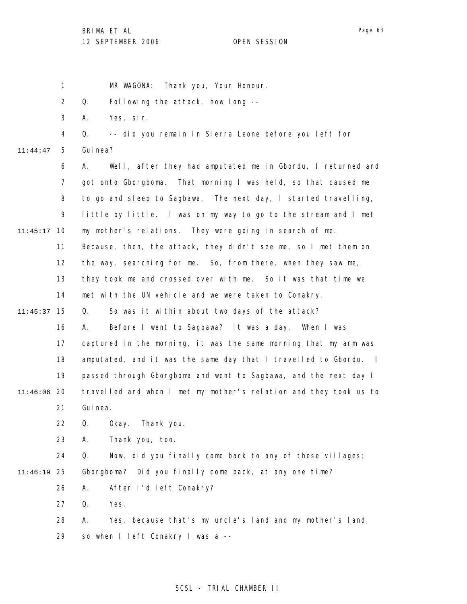Page 63

1 2 3 4 5 6 7 8 9 10 11:45:17 11 12 13 14 15 11:45:37 16 17 18 19 20 11:46:06 21 22 23 24 25 11:46:19 26 27 28 29 11:44:47 MR WAGONA: Thank you, Your Honour. Q. Following the attack, how long -- A. Yes, sir. Q. -- did you remain in Sierra Leone before you left for Gui nea? A. Well, after they had amputated me in Gbordu, I returned and got onto Gborgboma. That morning I was held, so that caused me to go and sleep to Sagbawa. The next day, I started travelling, little by little. I was on my way to go to the stream and I met my mother's relations. They were going in search of me. Because, then, the attack, they didn't see me, so I met them on the way, searching for me. So, from there, when they saw me, they took me and crossed over with me. So it was that time we met with the UN vehicle and we were taken to Conakry. Q. So was it within about two days of the attack? A. Before I went to Sagbawa? It was a day. When I was captured in the morning, it was the same morning that my arm was amputated, and it was the same day that I travelled to Gbordu. I passed through Gborgboma and went to Sagbawa, and the next day I travelled and when I met my mother's relation and they took us to Gui nea. Q. Okay. Thank you. A. Thank you, too. Q. Now, did you finally come back to any of these villages; Gborgboma? Did you finally come back, at any one time? A. After I'd left Conakry? Q. Yes. A. Yes, because that's my uncle's land and my mother's land, so when I left Conakry I was a --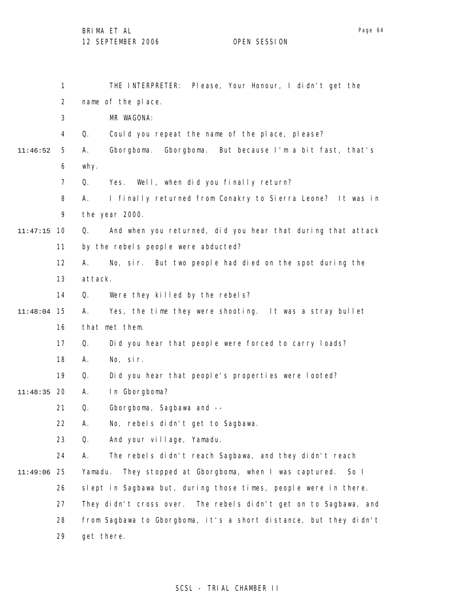|          | 1              | THE INTERPRETER: Please, Your Honour, I didn't get the             |
|----------|----------------|--------------------------------------------------------------------|
|          | $\overline{2}$ | name of the place.                                                 |
|          | 3              | MR WAGONA:                                                         |
|          | 4              | Could you repeat the name of the place, please?<br>Q.              |
| 11:46:52 | 5              | Gborgboma.<br>Gborgboma. But because I'm a bit fast, that's<br>Α.  |
|          | 6              | why.                                                               |
|          | $\overline{7}$ | Yes. Well, when did you finally return?<br>Q.                      |
|          | 8              | I finally returned from Conakry to Sierra Leone? It was in<br>А.   |
|          | 9              | the year 2000.                                                     |
| 11:47:15 | 10             | And when you returned, did you hear that during that attack<br>Q.  |
|          | 11             | by the rebels people were abducted?                                |
|          | 12             | А.<br>No, sir. But two people had died on the spot during the      |
|          | 13             | attack.                                                            |
|          | 14             | Were they killed by the rebels?<br>Q.                              |
| 11:48:04 | 15             | Yes, the time they were shooting. It was a stray bullet<br>А.      |
|          | 16             | that met them.                                                     |
|          | 17             | Q.<br>Did you hear that people were forced to carry loads?         |
|          | 18             | No, sir.<br>А.                                                     |
|          | 19             | Q.<br>Did you hear that people's properties were looted?           |
| 11:48:35 | 20             | In Gborgboma?<br>А.                                                |
|          | 21             | Gborgboma, Sagbawa and --<br>Q.                                    |
|          | 22             | No, rebels didn't get to Sagbawa.<br>А.                            |
|          | 23             | And your village, Yamadu.<br>Q.                                    |
|          | 24             | The rebels didn't reach Sagbawa, and they didn't reach<br>А.       |
| 11:49:06 | 25             | They stopped at Gborgboma, when I was captured.<br>Yamadu.<br>So I |
|          | 26             | slept in Sagbawa but, during those times, people were in there.    |
|          | 27             | They didn't cross over. The rebels didn't get on to Sagbawa, and   |
|          | 28             | from Sagbawa to Gborgboma, it's a short distance, but they didn't  |
|          | 29             | get there.                                                         |

## SCSL - TRIAL CHAMBER II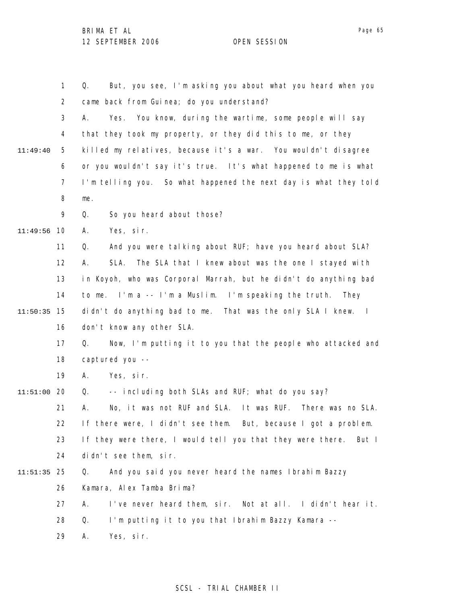1 2 3 4 5 6 7 8 9 10 11:49:56 11 12 13 14 15 11:50:35 16 17 18 19 20 11:51:00 21 22 23 24 25 11:51:35 26 27 28 29 11:49:40 Q. But, you see, I'm asking you about what you heard when you came back from Guinea; do you understand? A. Yes. You know, during the wartime, some people will say that they took my property, or they did this to me, or they killed my relatives, because it's a war. You wouldn't disagree or you wouldn't say it's true. It's what happened to me is what I'm telling you. So what happened the next day is what they told me. Q. So you heard about those? A. Yes, sir. Q. And you were talking about RUF; have you heard about SLA? A. SLA. The SLA that I knew about was the one I stayed with in Koyoh, who was Corporal Marrah, but he didn't do anything bad to me. I'm a -- I'm a Muslim. I'm speaking the truth. They didn't do anything bad to me. That was the only SLA I knew. I don't know any other SLA. Q. Now, I'm putting it to you that the people who attacked and captured you -- A. Yes, sir. Q. -- including both SLAs and RUF; what do you say? A. No, it was not RUF and SLA. It was RUF. There was no SLA. If there were, I didn't see them. But, because I got a problem. If they were there, I would tell you that they were there. But I didn't see them, sir. Q. And you said you never heard the names Ibrahim Bazzy Kamara, Alex Tamba Brima? A. I've never heard them, sir. Not at all. I didn't hear it. Q. I'm putting it to you that Ibrahim Bazzy Kamara -- A. Yes, sir.

#### SCSL - TRIAL CHAMBER II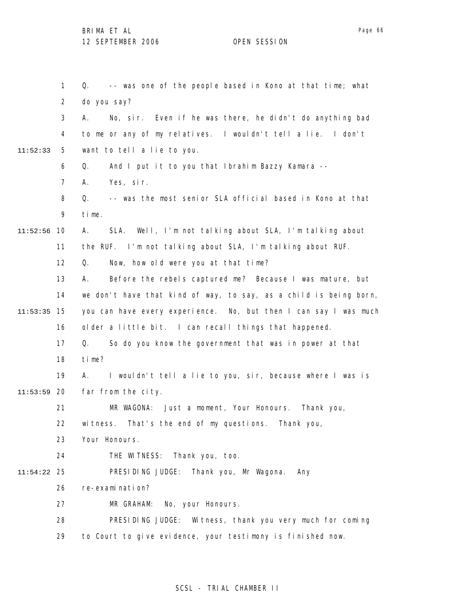1 2 3 4 5 6 7 8 9 10 11:52:56 11 12 13 14 15 11:53:35 16 17 18 19 20 11:53:59 21 22 23 24 25 11:54:22 26 27 28 29 11:52:33 Q. -- was one of the people based in Kono at that time; what do you say? A. No, sir. Even if he was there, he didn't do anything bad to me or any of my relatives. I wouldn't tell a lie. I don't want to tell a lie to you. Q. And I put it to you that Ibrahim Bazzy Kamara -- A. Yes, sir. Q. -- was the most senior SLA official based in Kono at that time. A. SLA. Well, I'm not talking about SLA, I'm talking about the RUF. I'm not talking about SLA, I'm talking about RUF. Q. Now, how old were you at that time? A. Before the rebels captured me? Because I was mature, but we don't have that kind of way, to say, as a child is being born, you can have every experience. No, but then I can say I was much older a little bit. I can recall things that happened. Q. So do you know the government that was in power at that time? A. I wouldn't tell a lie to you, sir, because where I was is far from the city. MR WAGONA: Just a moment, Your Honours. Thank you, witness. That's the end of my questions. Thank you, Your Honours. THE WITNESS: Thank you, too. PRESIDING JUDGE: Thank you, Mr Wagona. Any re-examination? MR GRAHAM: No, your Honours. PRESIDING JUDGE: Witness, thank you very much for coming to Court to give evidence, your testimony is finished now.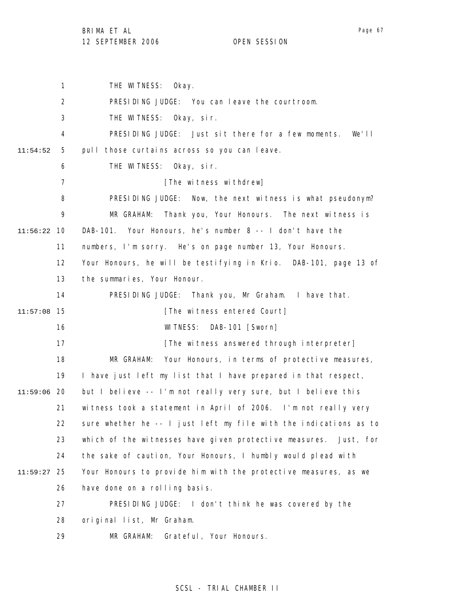1 2 3 4 5 6 7 8 9 10 11:56:22 11 12 13 14 15 11:57:08 16 17 18 19 20 11:59:06 21 22 23 24 25 11:59:27 26 27 28 29 11:54:52 THE WITNESS: Okay. PRESIDING JUDGE: You can leave the courtroom. THE WITNESS: Okay, sir. PRESIDING JUDGE: Just sit there for a few moments. We'll pull those curtains across so you can leave. THE WITNESS: Okay, sir. [The witness withdrew] PRESIDING JUDGE: Now, the next witness is what pseudonym? MR GRAHAM: Thank you, Your Honours. The next witness is DAB-101. Your Honours, he's number 8 -- I don't have the numbers, I'm sorry. He's on page number 13, Your Honours. Your Honours, he will be testifying in Krio. DAB-101, page 13 of the summaries, Your Honour. PRESIDING JUDGE: Thank you, Mr Graham. I have that. [The witness entered Court] WITNESS: DAB-101 [Sworn] [The witness answered through interpreter] MR GRAHAM: Your Honours, in terms of protective measures, I have just left my list that I have prepared in that respect, but I believe -- I'm not really very sure, but I believe this witness took a statement in April of 2006. I'm not really very sure whether he -- I just left my file with the indications as to which of the witnesses have given protective measures. Just, for the sake of caution, Your Honours, I humbly would plead with Your Honours to provide him with the protective measures, as we have done on a rolling basis. PRESIDING JUDGE: I don't think he was covered by the original list, Mr Graham. MR GRAHAM: Grateful, Your Honours.

SCSL - TRIAL CHAMBER II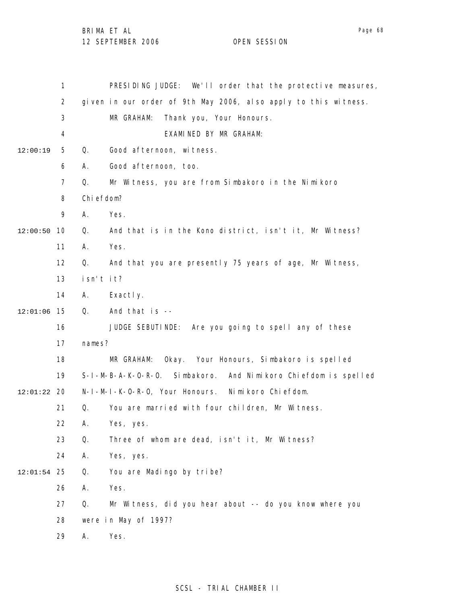1 2 3 4 5 6 7 8 9 10 12:00:50 11 12 13 14 15 12:01:06 16 17 18 19 20 12:01:22 21 22 23 24 25 12:01:54 26 27 28 29 12:00:19 PRESIDING JUDGE: We'll order that the protective measures, given in our order of 9th May 2006, also apply to this witness. MR GRAHAM: Thank you, Your Honours. EXAMINED BY MR GRAHAM: Q. Good afternoon, witness. A. Good afternoon, too. Q. Mr Witness, you are from Simbakoro in the Nimikoro Chiefdom? A. Yes. Q. And that is in the Kono district, isn't it, Mr Witness? A. Yes. Q. And that you are presently 75 years of age, Mr Witness, isn't it? A. Exactly. Q. And that is -- JUDGE SEBUTINDE: Are you going to spell any of these names? MR GRAHAM: Okay. Your Honours, Simbakoro is spelled S-I-M-B-A-K-O-R-O. Simbakoro. And Nimikoro Chiefdom is spelled N-I-M-I-K-O-R-O, Your Honours. Nimikoro Chiefdom. Q. You are married with four children, Mr Witness. A. Yes, yes. Q. Three of whom are dead, isn't it, Mr Witness? A. Yes, yes. Q. You are Madingo by tribe? A. Yes. Q. Mr Witness, did you hear about -- do you know where you were in May of 1997? A. Yes.

## SCSL - TRIAL CHAMBER II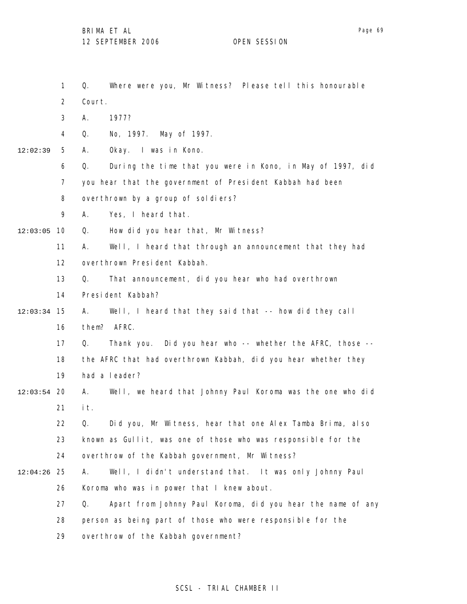1 2 3 4 5 6 7 8 9 12:03:05 10 11 12 13 14 15 12:03:34 16 17 18 19 12:03:54 20 21 22 23 24 25 12:04:26 26 27 28 29 12:02:39 Q. Where were you, Mr Witness? Please tell this honourable Court. A. 1977? Q. No, 1997. May of 1997. A. Okay. I was in Kono. Q. During the time that you were in Kono, in May of 1997, did you hear that the government of President Kabbah had been overthrown by a group of soldiers? A. Yes, I heard that. Q. How did you hear that, Mr Witness? A. Well, I heard that through an announcement that they had overthrown President Kabbah. Q. That announcement, did you hear who had overthrown President Kabbah? A. Well, I heard that they said that -- how did they call them? AFRC. Q. Thank you. Did you hear who -- whether the AFRC, those - the AFRC that had overthrown Kabbah, did you hear whether they had a leader? A. Well, we heard that Johnny Paul Koroma was the one who did it. Q. Did you, Mr Witness, hear that one Alex Tamba Brima, also known as Gullit, was one of those who was responsible for the overthrow of the Kabbah government, Mr Witness? A. Well, I didn't understand that. It was only Johnny Paul Koroma who was in power that I knew about. Q. Apart from Johnny Paul Koroma, did you hear the name of any person as being part of those who were responsible for the overthrow of the Kabbah government?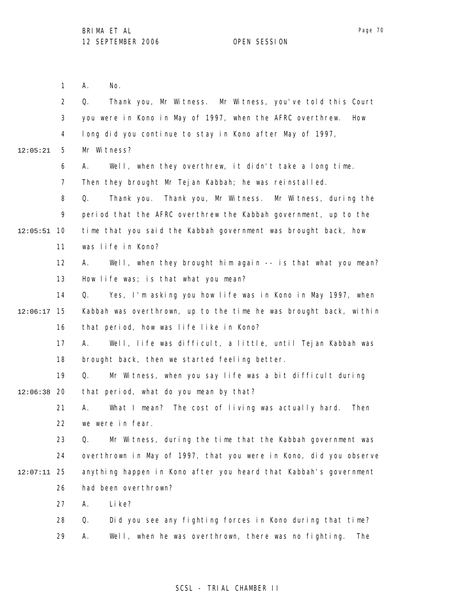Page 70

|          | 1              | No.<br>А.                                                         |
|----------|----------------|-------------------------------------------------------------------|
|          | $\overline{2}$ | Thank you, Mr Witness. Mr Witness, you've told this Court<br>Q.   |
|          | 3              | you were in Kono in May of 1997, when the AFRC overthrew.<br>How  |
|          | 4              | long did you continue to stay in Kono after May of 1997,          |
| 12:05:21 | 5              | Mr Witness?                                                       |
|          | 6              | А.<br>Well, when they overthrew, it didn't take a long time.      |
|          | 7              | Then they brought Mr Tejan Kabbah; he was reinstalled.            |
|          | 8              | Thank you. Thank you, Mr Witness. Mr Witness, during the<br>Q.    |
|          | 9              | period that the AFRC overthrew the Kabbah government, up to the   |
| 12:05:51 | 10             | time that you said the Kabbah government was brought back, how    |
|          | 11             | was life in Kono?                                                 |
|          | 12             | Well, when they brought him again -- is that what you mean?<br>А. |
|          | 13             | How life was; is that what you mean?                              |
|          | 14             | Yes, I'm asking you how life was in Kono in May 1997, when<br>Q.  |
| 12:06:17 | 15             | Kabbah was overthrown, up to the time he was brought back, within |
|          | 16             | that period, how was life like in Kono?                           |
|          | 17             | Well, life was difficult, a little, until Tejan Kabbah was<br>А.  |
|          | 18             | brought back, then we started feeling better.                     |
|          | 19             | Q.<br>Mr Witness, when you say life was a bit difficult during    |
| 12:06:38 | 20             | that period, what do you mean by that?                            |
|          | 21             | What I mean? The cost of living was actually hard.<br>Α.<br>Then  |
|          | 22             | we were in fear.                                                  |
|          | 23             | Q.<br>Mr Witness, during the time that the Kabbah government was  |
|          | 24             | overthrown in May of 1997, that you were in Kono, did you observe |
| 12:07:11 | 25             | anything happen in Kono after you heard that Kabbah's government  |
|          | 26             | had been overthrown?                                              |
|          | 27             | Li ke?<br>А.                                                      |
|          | 28             | Q.<br>Did you see any fighting forces in Kono during that time?   |
|          | 29             | Well, when he was overthrown, there was no fighting.<br>Α.<br>The |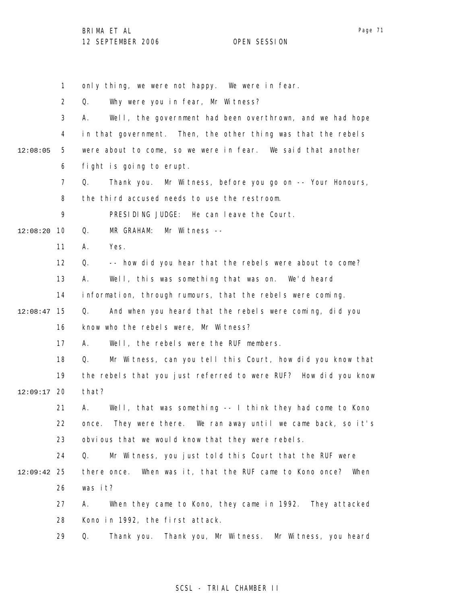Page 71

1 2 3 4 5 6 7 8 9 10 12:08:20 11 12 13 14 15 12:08:47 16 17 18 19 12:09:17 20 21 22 23 24 25 12:09:42 26 27 28 29 12:08:05 only thing, we were not happy. We were in fear. Q. Why were you in fear, Mr Witness? A. Well, the government had been overthrown, and we had hope in that government. Then, the other thing was that the rebels were about to come, so we were in fear. We said that another fight is going to erupt. Q. Thank you. Mr Witness, before you go on -- Your Honours, the third accused needs to use the restroom. PRESIDING JUDGE: He can leave the Court. Q. MR GRAHAM: Mr Witness -- A. Yes. Q. -- how did you hear that the rebels were about to come? A. Well, this was something that was on. We'd heard information, through rumours, that the rebels were coming. Q. And when you heard that the rebels were coming, did you know who the rebels were, Mr Witness? A. Well, the rebels were the RUF members. Q. Mr Witness, can you tell this Court, how did you know that the rebels that you just referred to were RUF? How did you know that? A. Well, that was something -- I think they had come to Kono once. They were there. We ran away until we came back, so it's obvious that we would know that they were rebels. Q. Mr Witness, you just told this Court that the RUF were there once. When was it, that the RUF came to Kono once? When was it? A. When they came to Kono, they came in 1992. They attacked Kono in 1992, the first attack. Q. Thank you. Thank you, Mr Witness. Mr Witness, you heard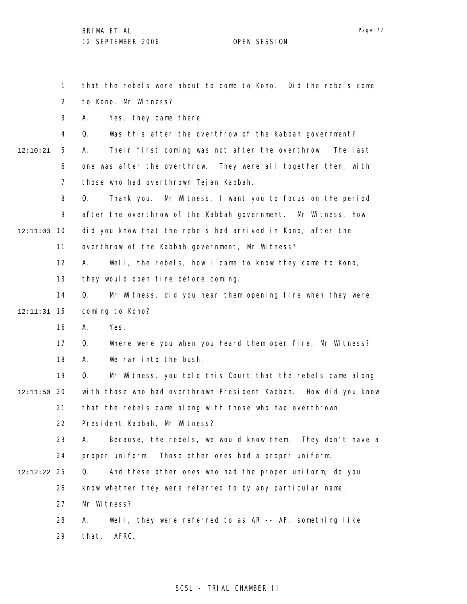1

that the rebels were about to come to Kono. Did the rebels come

Page 72

2 3 4 5 6 7 8 9 10 12:11:03 11 12 13 14 15 12:11:31 16 17 18 19 20 12:11:50 21 22 23 24 25 12:12:22 26 27 28 29 12:10:21 to Kono, Mr Witness? A. Yes, they came there. Q. Was this after the overthrow of the Kabbah government? A. Their first coming was not after the overthrow. The last one was after the overthrow. They were all together then, with those who had overthrown Tejan Kabbah. Q. Thank you. Mr Witness, I want you to focus on the period after the overthrow of the Kabbah government. Mr Witness, how did you know that the rebels had arrived in Kono, after the overthrow of the Kabbah government, Mr Witness? A. Well, the rebels, how I came to know they came to Kono, they would open fire before coming. Q. Mr Witness, did you hear them opening fire when they were coming to Kono? A. Yes. Q. Where were you when you heard them open fire, Mr Witness? A. We ran into the bush. Q. Mr Witness, you told this Court that the rebels came along with those who had overthrown President Kabbah. How did you know that the rebels came along with those who had overthrown President Kabbah, Mr Witness? A. Because, the rebels, we would know them. They don't have a proper uniform. Those other ones had a proper uniform. Q. And these other ones who had the proper uniform, do you know whether they were referred to by any particular name, Mr Witness? A. Well, they were referred to as AR -- AF, something like that. AFRC.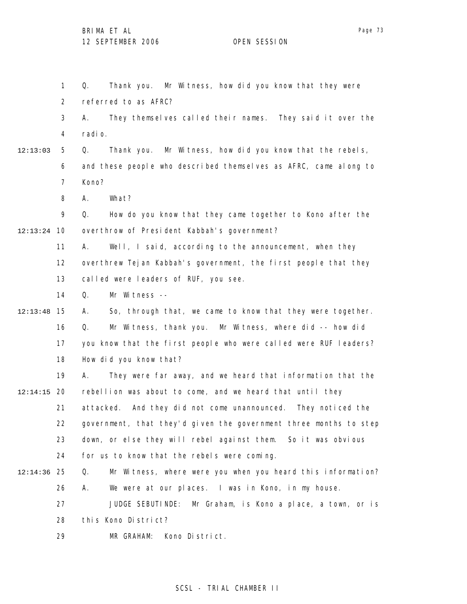1 2 3 4 5 6 7 8 9 10 12:13:24 11 12 13 14 15 12:13:48 16 17 18 19 20 12:14:15 21 22 23 24 25 12:14:36 26 27 28 29 12:13:03 Q. Thank you. Mr Witness, how did you know that they were referred to as AFRC? A. They themselves called their names. They said it over the radio. Q. Thank you. Mr Witness, how did you know that the rebels, and these people who described themselves as AFRC, came along to Kono? A. What? Q. How do you know that they came together to Kono after the overthrow of President Kabbah's government? A. Well, I said, according to the announcement, when they overthrew Tejan Kabbah's government, the first people that they called were leaders of RUF, you see. Q. Mr Witness -- A. So, through that, we came to know that they were together. Q. Mr Witness, thank you. Mr Witness, where did -- how did you know that the first people who were called were RUF leaders? How did you know that? A. They were far away, and we heard that information that the rebellion was about to come, and we heard that until they attacked. And they did not come unannounced. They noticed the government, that they'd given the government three months to step down, or else they will rebel against them. So it was obvious for us to know that the rebels were coming. Q. Mr Witness, where were you when you heard this information? A. We were at our places. I was in Kono, in my house. JUDGE SEBUTINDE: Mr Graham, is Kono a place, a town, or is this Kono District? MR GRAHAM: Kono District.

#### SCSL - TRIAL CHAMBER II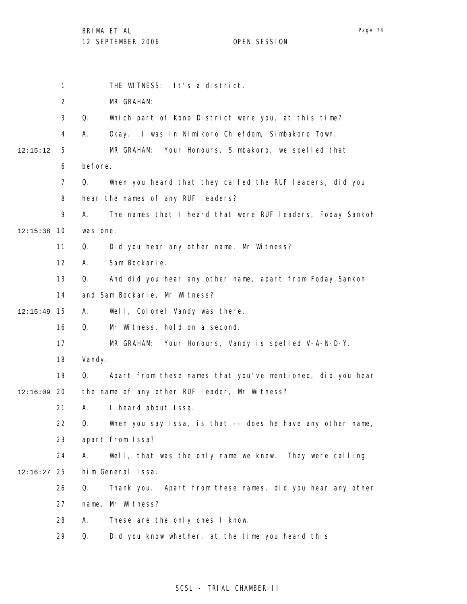|          | 1              | THE WITNESS: It's a district.                                     |
|----------|----------------|-------------------------------------------------------------------|
|          | $\overline{2}$ | MR GRAHAM:                                                        |
|          | 3              | Which part of Kono District were you, at this time?<br>Q.         |
|          | 4              | Okay. I was in Nimikoro Chiefdom, Simbakoro Town.<br>А.           |
| 12:15:12 | 5              | Your Honours, Simbakoro, we spelled that<br>MR GRAHAM:            |
|          | 6              | before.                                                           |
|          | $\overline{7}$ | When you heard that they called the RUF leaders, did you<br>Q.    |
|          | 8              | hear the names of any RUF leaders?                                |
|          | 9              | The names that I heard that were RUF I eaders, Foday Sankoh<br>А. |
| 12:15:38 | 10             | was one.                                                          |
|          | 11             | Did you hear any other name, Mr Witness?<br>Q.                    |
|          | 12             | Sam Bockarie.<br>А.                                               |
|          | 13             | And did you hear any other name, apart from Foday Sankoh<br>Q.    |
|          | 14             | and Sam Bockarie, Mr Witness?                                     |
| 12:15:49 | 15             | Well, Colonel Vandy was there.<br>А.                              |
|          | 16             | Mr Witness, hold on a second.<br>Q.                               |
|          | 17             | Your Honours, Vandy is spelled V-A-N-D-Y.<br>MR GRAHAM:           |
|          | 18             | Vandy.                                                            |
|          | 19             | Apart from these names that you've mentioned, did you hear<br>Q.  |
| 12:16:09 | -20            | the name of any other RUF leader, Mr Witness?                     |
|          | 21             | I heard about Issa.<br>А.                                         |
|          | 22             | When you say Issa, is that -- does he have any other name,<br>Q.  |
|          | 23             | apart from Issa?                                                  |
|          | 24             | Well, that was the only name we knew. They were calling<br>А.     |
| 12:16:27 | 25             | him General Issa.                                                 |
|          | 26             | Thank you. Apart from these names, did you hear any other<br>Q.   |
|          | 27             | name, Mr Witness?                                                 |
|          | 28             | These are the only ones I know.<br>А.                             |
|          | 29             | Did you know whether, at the time you heard this<br>Q.            |
|          |                |                                                                   |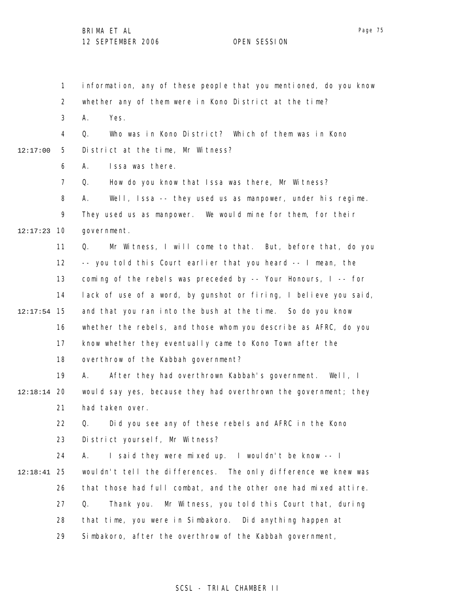1 2 3 4 5 6 7 8 9 10 12:17:23 11 12 13 14 15 12:17:54 16 17 18 19 20 12:18:14 21 22 23 24 25 12:18:41 26 27 28 29 12:17:00 information, any of these people that you mentioned, do you know whether any of them were in Kono District at the time? A. Yes. Q. Who was in Kono District? Which of them was in Kono District at the time, Mr Witness? A. Issa was there. Q. How do you know that Issa was there, Mr Witness? A. Well, Issa -- they used us as manpower, under his regime. They used us as manpower. We would mine for them, for their government. Q. Mr Witness, I will come to that. But, before that, do you -- you told this Court earlier that you heard -- I mean, the coming of the rebels was preceded by -- Your Honours, I -- for lack of use of a word, by gunshot or firing, I believe you said, and that you ran into the bush at the time. So do you know whether the rebels, and those whom you describe as AFRC, do you know whether they eventually came to Kono Town after the overthrow of the Kabbah government? A. After they had overthrown Kabbah's government. Well, I would say yes, because they had overthrown the government; they had taken over. Q. Did you see any of these rebels and AFRC in the Kono District yourself, Mr Witness? A. I said they were mixed up. I wouldn't be know -- I wouldn't tell the differences. The only difference we knew was that those had full combat, and the other one had mixed attire. Q. Thank you. Mr Witness, you told this Court that, during that time, you were in Simbakoro. Did anything happen at Simbakoro, after the overthrow of the Kabbah government,

#### SCSL - TRIAL CHAMBER II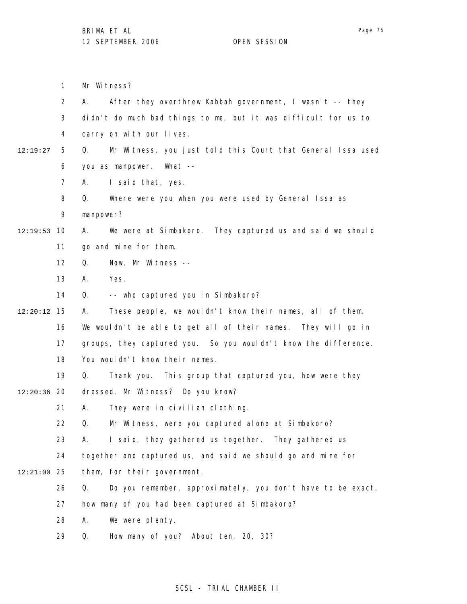1 2 3 4 5 6 7 8 9 10 12:19:53 11 12 13 14 15 12:20:12 16 17 18 19 12:20:36 20 21 22 23 24 25 12:21:00 26 27 28 29 12:19:27 Mr Witness? A. After they overthrew Kabbah government, I wasn't -- they didn't do much bad things to me, but it was difficult for us to carry on with our lives. Q. Mr Witness, you just told this Court that General Issa used you as manpower. What -- A. I said that, yes. Q. Where were you when you were used by General Issa as manpower? A. We were at Simbakoro. They captured us and said we should go and mine for them. Q. Now, Mr Witness -- A. Yes. Q. -- who captured you in Simbakoro? A. These people, we wouldn't know their names, all of them. We wouldn't be able to get all of their names. They will go in groups, they captured you. So you wouldn't know the difference. You wouldn't know their names. Q. Thank you. This group that captured you, how were they dressed, Mr Witness? Do you know? A. They were in civilian clothing. Q. Mr Witness, were you captured alone at Simbakoro? A. I said, they gathered us together. They gathered us together and captured us, and said we should go and mine for them, for their government. Q. Do you remember, approximately, you don't have to be exact, how many of you had been captured at Simbakoro? A. We were plenty. Q. How many of you? About ten, 20, 30?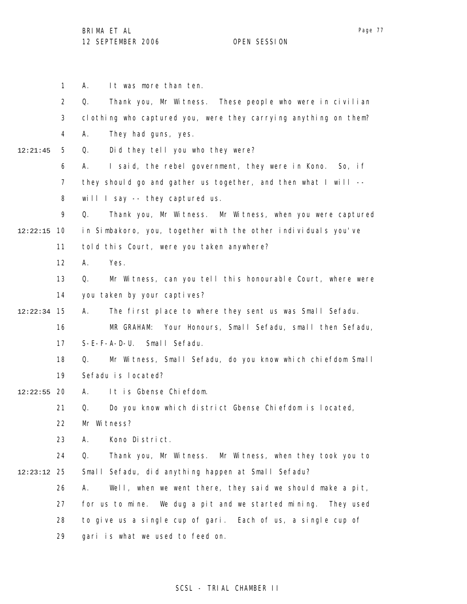1 2 3 4 5 6 7 8 9 10 12:22:15 11 12 13 14 15 12:22:34 16 17 18 19 12:22:55 20 21 22 23 24 25 12:23:12 26 27 28 29 12:21:45 A. It was more than ten. Q. Thank you, Mr Witness. These people who were in civilian clothing who captured you, were they carrying anything on them? A. They had guns, yes. Q. Did they tell you who they were? A. I said, the rebel government, they were in Kono. So, if they should go and gather us together, and then what I will - will I say -- they captured us. Q. Thank you, Mr Witness. Mr Witness, when you were captured in Simbakoro, you, together with the other individuals you've told this Court, were you taken anywhere? A. Yes. Q. Mr Witness, can you tell this honourable Court, where were you taken by your captives? A. The first place to where they sent us was Small Sefadu. MR GRAHAM: Your Honours, Small Sefadu, small then Sefadu, S-E-F-A-D-U. Small Sefadu. Q. Mr Witness, Small Sefadu, do you know which chiefdom Small Sefadu is located? A. It is Gbense Chiefdom. Q. Do you know which district Gbense Chiefdom is located, Mr Witness? A. Kono District. Q. Thank you, Mr Witness. Mr Witness, when they took you to Small Sefadu, did anything happen at Small Sefadu? A. Well, when we went there, they said we should make a pit, for us to mine. We dug a pit and we started mining. They used to give us a single cup of gari. Each of us, a single cup of gari is what we used to feed on.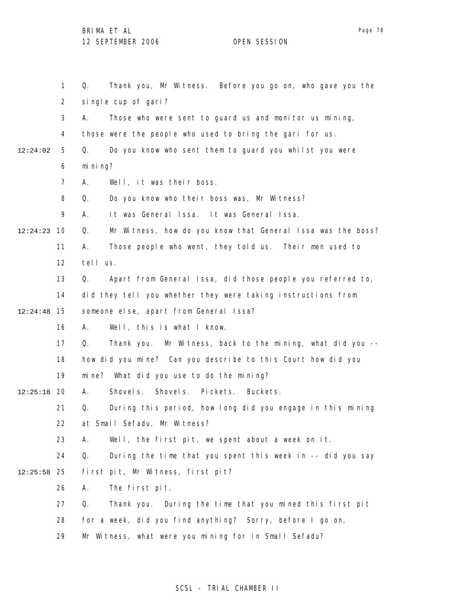|          | $\mathbf{1}$   | Thank you, Mr Witness. Before you go on, who gave you the<br>Q.   |
|----------|----------------|-------------------------------------------------------------------|
|          | $\overline{2}$ | single cup of gari?                                               |
|          | 3              | Those who were sent to guard us and monitor us mining,<br>А.      |
|          | 4              | those were the people who used to bring the gari for us.          |
| 12:24:02 | 5              | Do you know who sent them to guard you whilst you were<br>Q.      |
|          | 6              | mi ni ng?                                                         |
|          | $\overline{7}$ | Well, it was their boss.<br>А.                                    |
|          | 8              | Do you know who their boss was, Mr Witness?<br>Q.                 |
|          | 9              | It was General Issa. It was General Issa.<br>А.                   |
| 12:24:23 | 10             | Mr Witness, how do you know that General Issa was the boss?<br>Q. |
|          | 11             | Those people who went, they told us. Their men used to<br>А.      |
|          | 12             | tell us.                                                          |
|          | 13             | Apart from General Issa, did those people you referred to,<br>Q.  |
|          | 14             | did they tell you whether they were taking instructions from      |
| 12:24:48 | 15             | someone else, apart from General Issa?                            |
|          | 16             | Well, this is what I know.<br>А.                                  |
|          | 17             | Thank you. Mr Witness, back to the mining, what did you --<br>Q.  |
|          | 18             | how did you mine? Can you describe to this Court how did you      |
|          | 19             | mine? What did you use to do the mining?                          |
| 12:25:18 | -20            | Shovels. Shovels. Pickets.<br>Buckets.<br>А.                      |
|          | 21             | During this period, how long did you engage in this mining<br>Q.  |
|          | 22             | at Small Sefadu, Mr Witness?                                      |
|          | 23             | Well, the first pit, we spent about a week on it.<br>А.           |
|          | 24             | During the time that you spent this week in -- did you say<br>Q.  |
| 12:25:58 | 25             | first pit, Mr Witness, first pit?                                 |
|          | 26             | The first pit.<br>А.                                              |
|          | 27             | Thank you. During the time that you mined this first pit<br>Q.    |
|          | 28             | for a week, did you find anything? Sorry, before I go on,         |
|          | 29             | Mr Witness, what were you mining for in Small Sefadu?             |

# SCSL - TRIAL CHAMBER II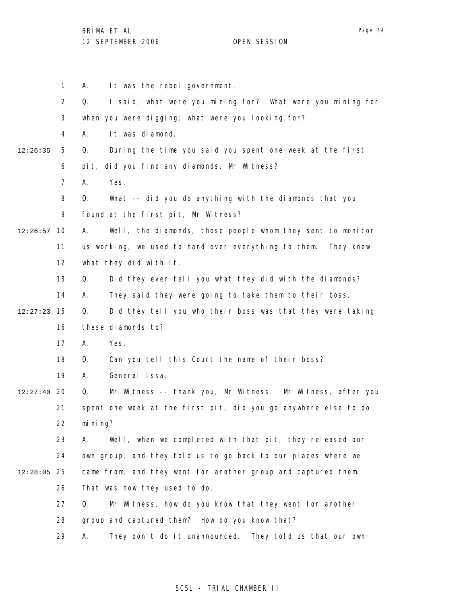1 2 3 4 5 6 7 8 9 10 12:26:57 11 12 13 14 15 12:27:23 16 17 18 19 12:27:40 20 21 22 23 24 25 12:28:05 26 27 28 29 12:26:35 A. It was the rebel government. Q. I said, what were you mining for? What were you mining for when you were digging; what were you looking for? A. It was diamond. Q. During the time you said you spent one week at the first pit, did you find any diamonds, Mr Witness? A. Yes. Q. What -- did you do anything with the diamonds that you found at the first pit, Mr Witness? A. Well, the diamonds, those people whom they sent to monitor us working, we used to hand over everything to them. They knew what they did with it. Q. Did they ever tell you what they did with the diamonds? A. They said they were going to take them to their boss. Q. Did they tell you who their boss was that they were taking these diamonds to? A. Yes. Q. Can you tell this Court the name of their boss? A. General Issa. Q. Mr Witness -- thank you, Mr Witness. Mr Witness, after you spent one week at the first pit, did you go anywhere else to do mining? A. Well, when we completed with that pit, they released our own group, and they told us to go back to our places where we came from, and they went for another group and captured them. That was how they used to do. Q. Mr Witness, how do you know that they went for another group and captured them? How do you know that? A. They don't do it unannounced. They told us that our own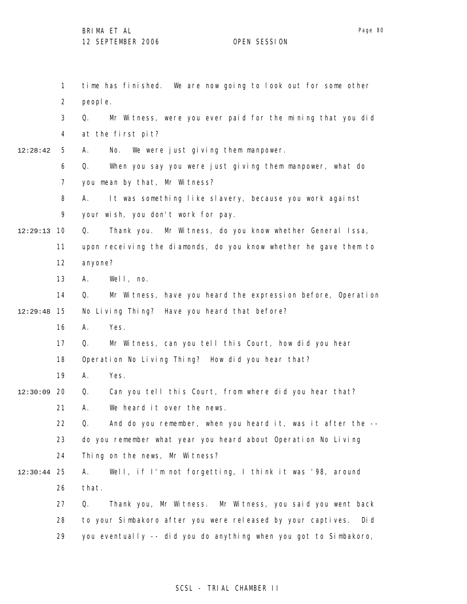1 2 3 4 5 6 7 8 9 10 12:29:13 11 12 13 14 15 12:29:48 16 17 18 19 12:30:09 20 21 22 23 24 25 12:30:44 26 27 28 29 12:28:42 time has finished. We are now going to look out for some other people. Q. Mr Witness, were you ever paid for the mining that you did at the first pit? A. No. We were just giving them manpower. Q. When you say you were just giving them manpower, what do you mean by that, Mr Witness? A. It was something like slavery, because you work against your wish, you don't work for pay. Q. Thank you. Mr Witness, do you know whether General Issa, upon receiving the diamonds, do you know whether he gave them to anyone? A. Well, no. Q. Mr Witness, have you heard the expression before, Operation No Living Thing? Have you heard that before? A. Yes. Q. Mr Witness, can you tell this Court, how did you hear Operation No Living Thing? How did you hear that? A. Yes. Q. Can you tell this Court, from where did you hear that? A. We heard it over the news. Q. And do you remember, when you heard it, was it after the - do you remember what year you heard about Operation No Living Thing on the news, Mr Witness? A. Well, if I'm not forgetting, I think it was '98, around that. Q. Thank you, Mr Witness. Mr Witness, you said you went back to your Simbakoro after you were released by your captives. Did you eventually -- did you do anything when you got to Simbakoro,

#### SCSL - TRIAL CHAMBER II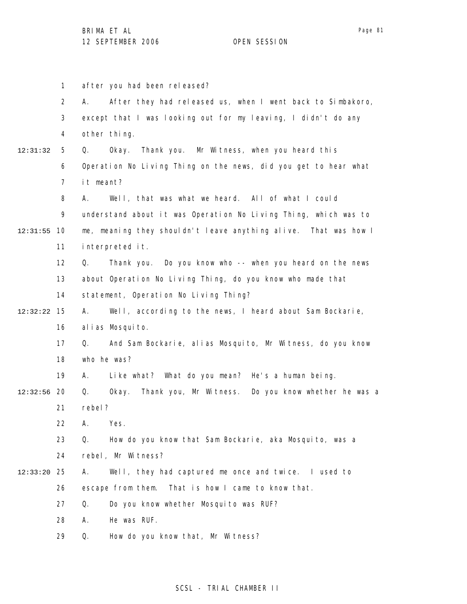1 2 3 4 5 6 7 8 9 10 12:31:55 11 12 13 14 15 12:32:22 16 17 18 19 12:32:56 20 21 22 23 24 25 12:33:20 26 27 28 29 12:31:32 after you had been released? A. After they had released us, when I went back to Simbakoro, except that I was looking out for my leaving, I didn't do any other thing. Q. Okay. Thank you. Mr Witness, when you heard this Operation No Living Thing on the news, did you get to hear what it meant? A. Well, that was what we heard. All of what I could understand about it was Operation No Living Thing, which was to me, meaning they shouldn't leave anything alive. That was how I interpreted it. Q. Thank you. Do you know who -- when you heard on the news about Operation No Living Thing, do you know who made that statement, Operation No Living Thing? A. Well, according to the news, I heard about Sam Bockarie, alias Mosquito. Q. And Sam Bockarie, alias Mosquito, Mr Witness, do you know who he was? A. Like what? What do you mean? He's a human being. Q. Okay. Thank you, Mr Witness. Do you know whether he was a rebel? A. Yes. Q. How do you know that Sam Bockarie, aka Mosquito, was a rebel, Mr Witness? A. Well, they had captured me once and twice. I used to escape from them. That is how I came to know that. Q. Do you know whether Mosquito was RUF? A. He was RUF. Q. How do you know that, Mr Witness?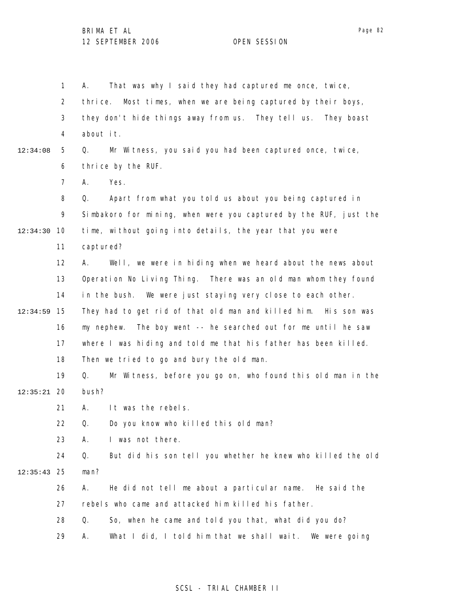1 2 3 4 5 6 7 8 9 10 12:34:30 11 12 13 14 15 12:34:59 16 17 18 19 20 12:35:21 21 22 23 24 25 12:35:43 26 27 28 29 12:34:08 A. That was why I said they had captured me once, twice, thrice. Most times, when we are being captured by their boys, they don't hide things away from us. They tell us. They boast about it. Q. Mr Witness, you said you had been captured once, twice, thrice by the RUF. A. Yes. Q. Apart from what you told us about you being captured in Simbakoro for mining, when were you captured by the RUF, just the time, without going into details, the year that you were captured? A. Well, we were in hiding when we heard about the news about Operation No Living Thing. There was an old man whom they found in the bush. We were just staying very close to each other. They had to get rid of that old man and killed him. His son was my nephew. The boy went -- he searched out for me until he saw where I was hiding and told me that his father has been killed. Then we tried to go and bury the old man. Q. Mr Witness, before you go on, who found this old man in the bush? A. It was the rebels. Q. Do you know who killed this old man? A. I was not there. Q. But did his son tell you whether he knew who killed the old man? A. He did not tell me about a particular name. He said the rebels who came and attacked him killed his father. Q. So, when he came and told you that, what did you do? A. What I did, I told him that we shall wait. We were going

#### SCSL - TRIAL CHAMBER II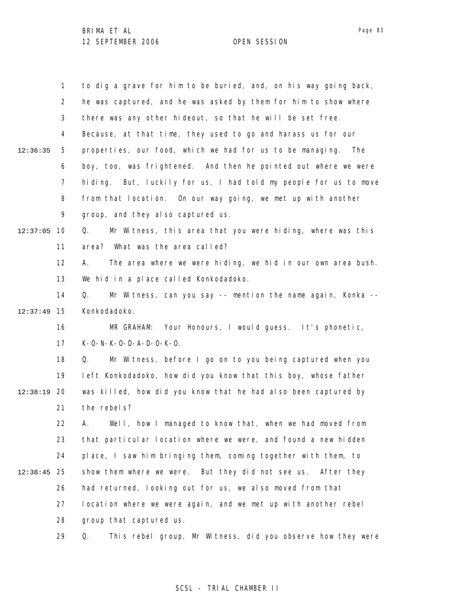|          | $\mathbf{1}$   | to dig a grave for him to be buried, and, on his way going back,  |
|----------|----------------|-------------------------------------------------------------------|
|          | $\overline{2}$ | he was captured, and he was asked by them for him to show where   |
|          | 3              | there was any other hideout, so that he will be set free.         |
|          | 4              | Because, at that time, they used to go and harass us for our      |
| 12:36:35 | 5              | properties, our food, which we had for us to be managing.<br>The  |
|          | 6              | boy, too, was frightened. And then he pointed out where we were   |
|          | 7              | hiding. But, luckily for us, I had told my people for us to move  |
|          | 8              | from that location. On our way going, we met up with another      |
|          | 9              | group, and they also captured us.                                 |
| 12:37:05 | 10             | Mr Witness, this area that you were hiding, where was this<br>Q.  |
|          | 11             | area? What was the area called?                                   |
|          | 12             | The area where we were hiding, we hid in our own area bush.<br>А. |
|          | 13             | We hid in a place called Konkodadoko.                             |
|          | 14             | Mr Witness, can you say -- mention the name again, Konka --<br>Q. |
| 12:37:49 | 15             | Konkodadoko.                                                      |
|          | 16             | MR GRAHAM: Your Honours, I would guess. It's phonetic,            |
|          | 17             | $K - 0 - N - K - 0 - D - A - D - 0 - K - 0$ .                     |
|          | 18             | Mr Witness, before I go on to you being captured when you<br>Q.   |
|          | 19             | left Konkodadoko, how did you know that this boy, whose father    |
| 12:38:19 | 20             | was killed, how did you know that he had also been captured by    |
|          | 21             | the rebels?                                                       |
|          | 22             | Well, how I managed to know that, when we had moved from<br>А.    |
|          | 23             | that particular location where we were, and found a new hidden    |
|          | 24             | place, I saw him bringing them, coming together with them, to     |
| 12:38:45 | 25             | show them where we were. But they did not see us. After they      |
|          | 26             | had returned, looking out for us, we also moved from that         |
|          | 27             | location where we were again, and we met up with another rebel    |
|          | 28             | group that captured us.                                           |
|          | 29             | This rebel group, Mr Witness, did you observe how they were<br>Q. |

# SCSL - TRIAL CHAMBER II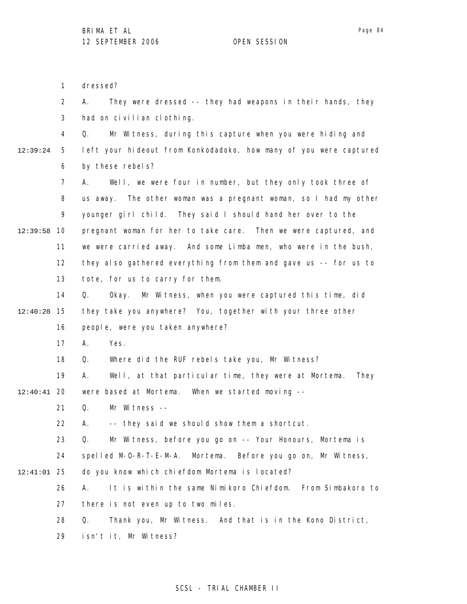Page 84

1 2 3 4 5 6 7 8 9 10 12:39:58 11 12 13 14 15 12:40:20 16 17 18 19 12:40:41 20 21 22 23 24 25 12:41:01 26 27 28 29 12:39:24 dressed? A. They were dressed -- they had weapons in their hands, they had on civilian clothing. Q. Mr Witness, during this capture when you were hiding and left your hideout from Konkodadoko, how many of you were captured by these rebels? A. Well, we were four in number, but they only took three of us away. The other woman was a pregnant woman, so I had my other younger girl child. They said I should hand her over to the pregnant woman for her to take care. Then we were captured, and we were carried away. And some Limba men, who were in the bush, they also gathered everything from them and gave us -- for us to tote, for us to carry for them. Q. Okay. Mr Witness, when you were captured this time, did they take you anywhere? You, together with your three other people, were you taken anywhere? A. Yes. Q. Where did the RUF rebels take you, Mr Witness? A. Well, at that particular time, they were at Mortema. They were based at Mortema. When we started moving -- Q. Mr Witness -- A. -- they said we should show them a shortcut. Q. Mr Witness, before you go on -- Your Honours, Mortema is spelled M-O-R-T-E-M-A. Mortema. Before you go on, Mr Witness, do you know which chiefdom Mortema is located? A. It is within the same Nimikoro Chiefdom. From Simbakoro to there is not even up to two miles. Q. Thank you, Mr Witness. And that is in the Kono District, isn't it, Mr Witness?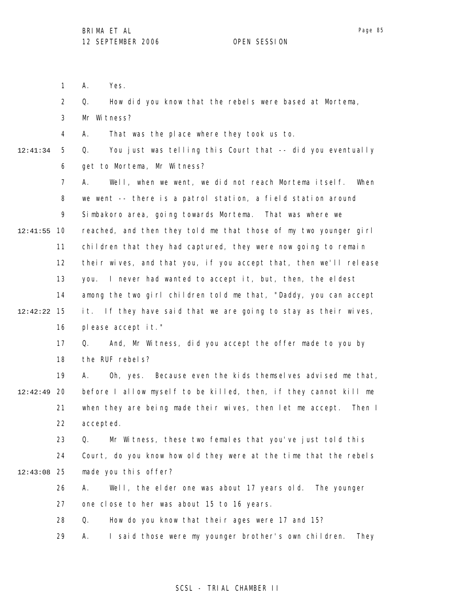Page 85

1 2 3 4 5 6 7 8 9 10 12:41:55 11 12 13 14 15 12:42:22 16 17 18 19 12:42:49 20 21 22 23 24 25 12:43:08 26 27 28 29 12:41:34 A. Yes. Q. How did you know that the rebels were based at Mortema, Mr Witness? A. That was the place where they took us to. Q. You just was telling this Court that -- did you eventually get to Mortema, Mr Witness? A. Well, when we went, we did not reach Mortema itself. When we went -- there is a patrol station, a field station around Simbakoro area, going towards Mortema. That was where we reached, and then they told me that those of my two younger girl children that they had captured, they were now going to remain their wives, and that you, if you accept that, then we'll release you. I never had wanted to accept it, but, then, the eldest among the two girl children told me that, "Daddy, you can accept it. If they have said that we are going to stay as their wives, please accept it." Q. And, Mr Witness, did you accept the offer made to you by the RUF rebels? A. Oh, yes. Because even the kids themselves advised me that, before I allow myself to be killed, then, if they cannot kill me when they are being made their wives, then let me accept. Then I accepted. Q. Mr Witness, these two females that you've just told this Court, do you know how old they were at the time that the rebels made you this offer? A. Well, the elder one was about 17 years old. The younger one close to her was about 15 to 16 years. Q. How do you know that their ages were 17 and 15? A. I said those were my younger brother's own children. They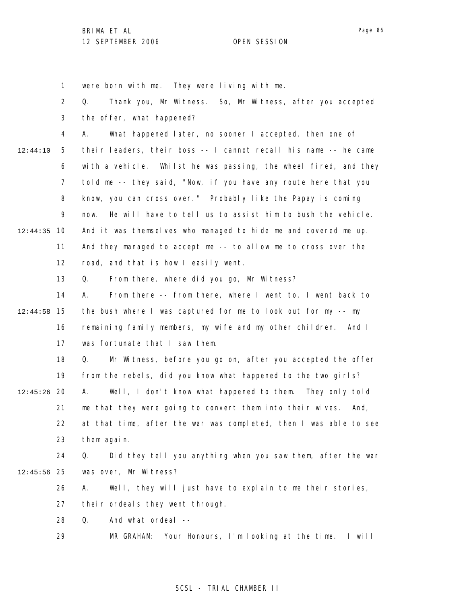1 were born with me. They were living with me.

|          | $\overline{2}$ | Thank you, Mr Witness. So, Mr Witness, after you accepted<br>Q.    |
|----------|----------------|--------------------------------------------------------------------|
|          | 3              | the offer, what happened?                                          |
|          | 4              | What happened later, no sooner I accepted, then one of<br>А.       |
| 12:44:10 | 5              | their leaders, their boss -- I cannot recall his name -- he came   |
|          | 6              | with a vehicle. Whilst he was passing, the wheel fired, and they   |
|          | 7              | told me -- they said, "Now, if you have any route here that you    |
|          | 8              | know, you can cross over." Probably like the Papay is coming       |
|          | 9              | He will have to tell us to assist him to bush the vehicle.<br>now. |
| 12:44:35 | 10             | And it was themselves who managed to hide me and covered me up.    |
|          | 11             | And they managed to accept me -- to allow me to cross over the     |
|          | 12             | road, and that is how I easily went.                               |
|          | 13             | From there, where did you go, Mr Witness?<br>Q.                    |
|          | 14             | From there -- from there, where I went to, I went back to<br>А.    |
| 12:44:58 | 15             | the bush where I was captured for me to look out for my -- my      |
|          | 16             | remaining family members, my wife and my other children. And I     |
|          | 17             | was fortunate that I saw them.                                     |
|          | 18             | Mr Witness, before you go on, after you accepted the offer<br>Q.   |
|          | 19             | from the rebels, did you know what happened to the two girls?      |
| 12:45:26 | 20             | Well, I don't know what happened to them. They only told<br>А.     |
|          | 21             | me that they were going to convert them into their wives. And,     |
|          | 22             | at that time, after the war was completed, then I was able to see  |
|          | 23             | them again.                                                        |
|          | 24             | Did they tell you anything when you saw them, after the war<br>Q.  |
| 12:45:56 | 25             | was over, Mr Witness?                                              |
|          | 26             | Well, they will just have to explain to me their stories,<br>А.    |
|          | 27             | their ordeals they went through.                                   |
|          | 28             | Q.<br>And what ordeal --                                           |
|          | 29             | Your Honours, I'm looking at the time. I will<br>MR GRAHAM:        |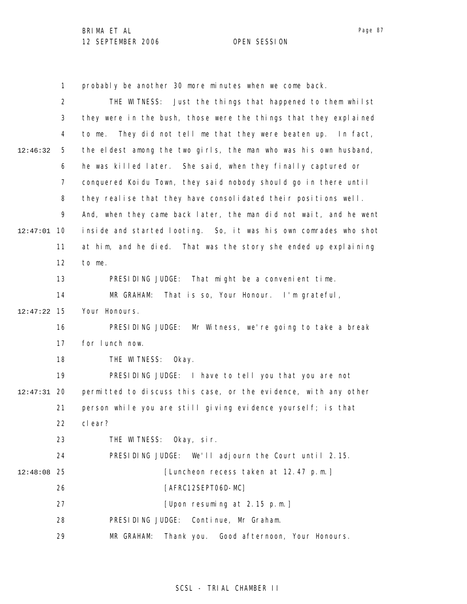1 probably be another 30 more minutes when we come back.

|          | 2  | Just the things that happened to them whilst<br>THE WITNESS:         |
|----------|----|----------------------------------------------------------------------|
|          | 3  | they were in the bush, those were the things that they explained     |
|          | 4  | They did not tell me that they were beaten up.<br>to me.<br>In fact, |
| 12:46:32 | 5  | the eldest among the two girls, the man who was his own husband,     |
|          | 6  | he was killed later. She said, when they finally captured or         |
|          | 7  | conquered Koidu Town, they said nobody should go in there until      |
|          | 8  | they realise that they have consolidated their positions well.       |
|          | 9  | And, when they came back later, the man did not wait, and he went    |
| 12:47:01 | 10 | inside and started looting. So, it was his own comrades who shot     |
|          | 11 | at him, and he died. That was the story she ended up explaining      |
|          | 12 | to me.                                                               |
|          | 13 | PRESIDING JUDGE: That might be a convenient time.                    |
|          | 14 | MR GRAHAM:<br>That is so, Your Honour. I'm grateful,                 |
| 12:47:22 | 15 | Your Honours.                                                        |
|          | 16 | PRESIDING JUDGE:<br>Mr Witness, we're going to take a break          |
|          | 17 | for lunch now.                                                       |
|          | 18 | THE WITNESS:<br>0kay.                                                |
|          | 19 | PRESIDING JUDGE: I have to tell you that you are not                 |
| 12:47:31 | 20 | permitted to discuss this case, or the evidence, with any other      |
|          | 21 | person while you are still giving evidence yourself; is that         |
|          | 22 | clear?                                                               |
|          | 23 | THE WITNESS: Okay, sir.                                              |
|          | 24 | PRESIDING JUDGE: We'll adjourn the Court until 2.15.                 |
| 12:48:08 | 25 | [Luncheon recess taken at 12.47 p.m.]                                |
|          | 26 | [AFRC12SEPT06D-MC]                                                   |
|          | 27 | [Upon resuming at 2.15 p.m.]                                         |
|          | 28 | Continue, Mr Graham.<br>PRESIDING JUDGE:                             |
|          | 29 | MR GRAHAM:<br>Thank you. Good afternoon, Your Honours.               |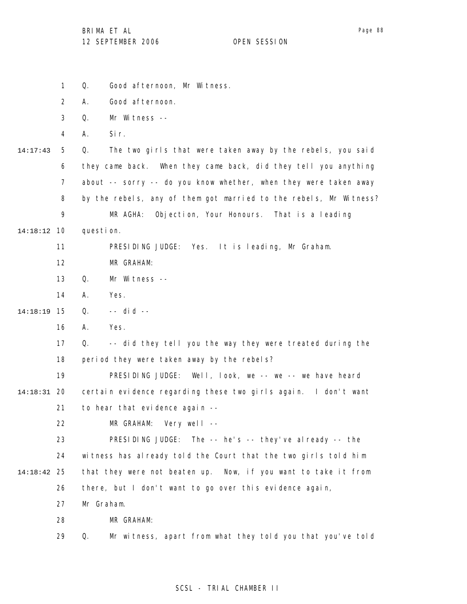|          | 1              | Q.<br>Good afternoon, Mr Witness.                                 |
|----------|----------------|-------------------------------------------------------------------|
|          | 2              | Good afternoon.                                                   |
|          |                | Α.                                                                |
|          | 3              | Mr Witness --<br>Q.                                               |
|          | 4              | Sir.<br>Α.                                                        |
| 14:17:43 | 5              | Q.<br>The two girls that were taken away by the rebels, you said  |
|          | 6              | they came back. When they came back, did they tell you anything   |
|          | $\overline{7}$ | about -- sorry -- do you know whether, when they were taken away  |
|          | 8              | by the rebels, any of them got married to the rebels, Mr Witness? |
|          | 9              | Objection, Your Honours. That is a leading<br>MR AGHA:            |
| 14:18:12 | -10            | question.                                                         |
|          | 11             | PRESIDING JUDGE: Yes. It is leading, Mr Graham.                   |
|          | 12             | MR GRAHAM:                                                        |
|          | 13             | Q.<br>Mr Witness --                                               |
|          | 14             | Yes.<br>А.                                                        |
| 14:18:19 | 15             | $--$ did $--$<br>Q.                                               |
|          | 16             | А.<br>Yes.                                                        |
|          | 17             | -- did they tell you the way they were treated during the<br>Q.   |
|          | 18             | period they were taken away by the rebels?                        |
|          | 19             | PRESIDING JUDGE: Well, look, we -- we -- we have heard            |
| 14:18:31 | 20             | certain evidence regarding these two girls again. I don't want    |
|          | 21             | to hear that evidence again --                                    |
|          | 22             | Very well $--$<br>MR GRAHAM:                                      |
|          | 23             | The $-$ he's $-$ they've already $-$ the<br>PRESIDING JUDGE:      |
|          | 24             | witness has already told the Court that the two girls told him    |
| 14:18:42 | 25             | that they were not beaten up. Now, if you want to take it from    |
|          | 26             | there, but I don't want to go over this evidence again,           |
|          | 27             | Mr Graham.                                                        |
|          | 28             | MR GRAHAM:                                                        |
|          | 29             | Mr witness, apart from what they told you that you've told<br>Q.  |
|          |                |                                                                   |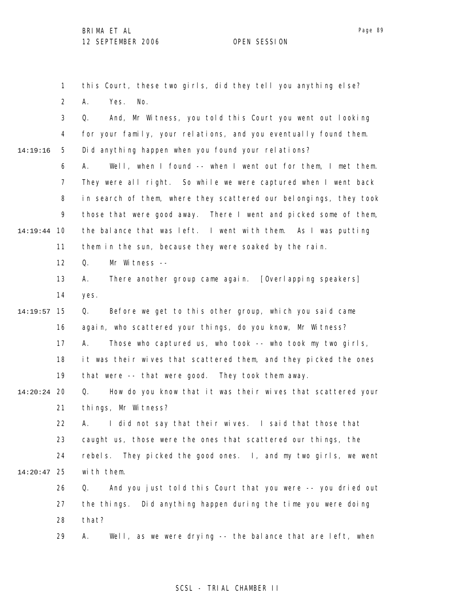1 2 this Court, these two girls, did they tell you anything else? A. Yes. No.

3 4 5 14:19:16 Q. And, Mr Witness, you told this Court you went out looking for your family, your relations, and you eventually found them. Did anything happen when you found your relations?

6 7 8 9 10 14:19:44 11 A. Well, when I found -- when I went out for them, I met them. They were all right. So while we were captured when I went back in search of them, where they scattered our belongings, they took those that were good away. There I went and picked some of them, the balance that was left. I went with them. As I was putting them in the sun, because they were soaked by the rain.

> 12 Q. Mr Witness --

13 14 A. There another group came again. [Overlapping speakers] yes.

#### 15 14:19:57 16 17 18 19 Q. Before we get to this other group, which you said came again, who scattered your things, do you know, Mr Witness? A. Those who captured us, who took -- who took my two girls, it was their wives that scattered them, and they picked the ones that were -- that were good. They took them away.

20 14:20:24 21 Q. How do you know that it was their wives that scattered your things, Mr Witness?

22 23 24 25 14:20:47 A. I did not say that their wives. I said that those that caught us, those were the ones that scattered our things, the rebels. They picked the good ones. I, and my two girls, we went with them.

26 27 28 Q. And you just told this Court that you were -- you dried out the things. Did anything happen during the time you were doing that?

29 A. Well, as we were drying -- the balance that are left, when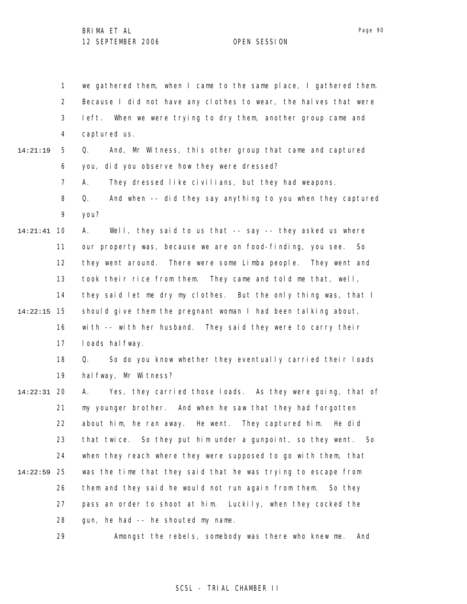1 2 3 4 5 6 7 8 9 10 14:21:41 11 12 13 14 15 14:22:15 16 17 18 19 20 14:22:31 21 22 23 24 25 14:22:59 26 27 28 14:21:19 we gathered them, when I came to the same place, I gathered them. Because I did not have any clothes to wear, the halves that were left. When we were trying to dry them, another group came and captured us. Q. And, Mr Witness, this other group that came and captured you, did you observe how they were dressed? A. They dressed like civilians, but they had weapons. Q. And when -- did they say anything to you when they captured you? A. Well, they said to us that -- say -- they asked us where our property was, because we are on food-finding, you see. So they went around. There were some Limba people. They went and took their rice from them. They came and told me that, well, they said let me dry my clothes. But the only thing was, that I should give them the pregnant woman I had been talking about, with -- with her husband. They said they were to carry their I oads hal fway. Q. So do you know whether they eventually carried their loads halfway, Mr Witness? A. Yes, they carried those loads. As they were going, that of my younger brother. And when he saw that they had forgotten about him, he ran away. He went. They captured him. He did that twice. So they put him under a gunpoint, so they went. So when they reach where they were supposed to go with them, that was the time that they said that he was trying to escape from them and they said he would not run again from them. So they pass an order to shoot at him. Luckily, when they cocked the gun, he had -- he shouted my name.

> 29 Amongst the rebels, somebody was there who knew me. And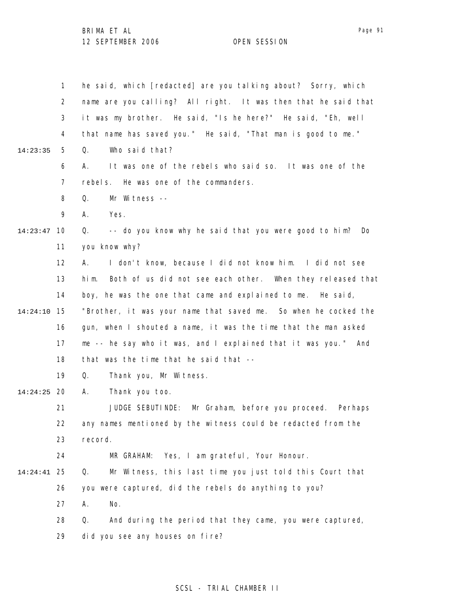1 2 3 4 5 6 7 8 9 10 14:23:47 11 12 13 14 15 14:24:10 16 17 18 19 20 14:24:25 21 22 23 24 25 14:24:41 26 27 28 29 14:23:35 he said, which [redacted] are you talking about? Sorry, which name are you calling? All right. It was then that he said that it was my brother. He said, "Is he here?" He said, "Eh, well that name has saved you." He said, "That man is good to me." Q. Who said that? A. It was one of the rebels who said so. It was one of the rebels. He was one of the commanders. Q. Mr Witness -- A. Yes. Q. -- do you know why he said that you were good to him? Do you know why? A. I don't know, because I did not know him. I did not see him. Both of us did not see each other. When they released that boy, he was the one that came and explained to me. He said, "Brother, it was your name that saved me. So when he cocked the gun, when I shouted a name, it was the time that the man asked me -- he say who it was, and I explained that it was you." And that was the time that he said that -- Q. Thank you, Mr Witness. A. Thank you too. JUDGE SEBUTINDE: Mr Graham, before you proceed. Perhaps any names mentioned by the witness could be redacted from the record. MR GRAHAM: Yes, I am grateful, Your Honour. Q. Mr Witness, this last time you just told this Court that you were captured, did the rebels do anything to you? A. No. Q. And during the period that they came, you were captured, did you see any houses on fire?

#### SCSL - TRIAL CHAMBER II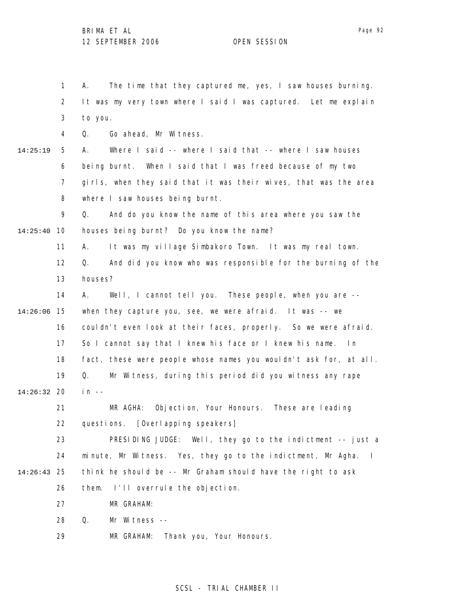1 2 3 4 5 6 7 8 9 10 14:25:40 11 12 13 14 15 14:26:06 16 17 18 19 20 14:26:32 21 22 23 24 25 14:26:43 26 27 28 29 14:25:19 A. The time that they captured me, yes, I saw houses burning. It was my very town where I said I was captured. Let me explain to you. Q. Go ahead, Mr Witness. A. Where I said -- where I said that -- where I saw houses being burnt. When I said that I was freed because of my two girls, when they said that it was their wives, that was the area where I saw houses being burnt. Q. And do you know the name of this area where you saw the houses being burnt? Do you know the name? A. It was my village Simbakoro Town. It was my real town. Q. And did you know who was responsible for the burning of the houses? A. Well, I cannot tell you. These people, when you are - when they capture you, see, we were afraid. It was -- we couldn't even look at their faces, properly. So we were afraid. So I cannot say that I knew his face or I knew his name. In fact, these were people whose names you wouldn't ask for, at all. Q. Mr Witness, during this period did you witness any rape  $in$  --MR AGHA: Objection, Your Honours. These are leading questions. [Overlapping speakers] PRESIDING JUDGE: Well, they go to the indictment -- just a minute, Mr Witness. Yes, they go to the indictment, Mr Agha. I think he should be -- Mr Graham should have the right to ask them. I'll overrule the objection. MR GRAHAM: Q. Mr Witness -- MR GRAHAM: Thank you, Your Honours.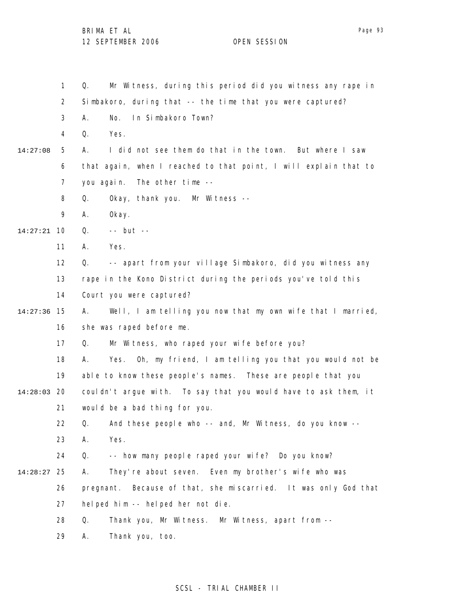1 2 3 4 5 6 7 8 9 10 14:27:21 11 12 13 14 15 14:27:36 16 17 18 19 20 14:28:03 21 22 23 24 25 14:28:27 26 27 28 29 14:27:08 Q. Mr Witness, during this period did you witness any rape in Simbakoro, during that -- the time that you were captured? A. No. In Simbakoro Town? Q. Yes. A. I did not see them do that in the town. But where I saw that again, when I reached to that point, I will explain that to you again. The other time -- Q. Okay, thank you. Mr Witness -- A. Okay. Q. -- but -- A. Yes. Q. -- apart from your village Simbakoro, did you witness any rape in the Kono District during the periods you've told this Court you were captured? A. Well, I am telling you now that my own wife that I married, she was raped before me. Q. Mr Witness, who raped your wife before you? A. Yes. Oh, my friend, I am telling you that you would not be able to know these people's names. These are people that you couldn't argue with. To say that you would have to ask them, it would be a bad thing for you. Q. And these people who -- and, Mr Witness, do you know -- A. Yes. Q. -- how many people raped your wife? Do you know? A. They're about seven. Even my brother's wife who was pregnant. Because of that, she miscarried. It was only God that helped him -- helped her not die. Q. Thank you, Mr Witness. Mr Witness, apart from -- A. Thank you, too.

### SCSL - TRIAL CHAMBER II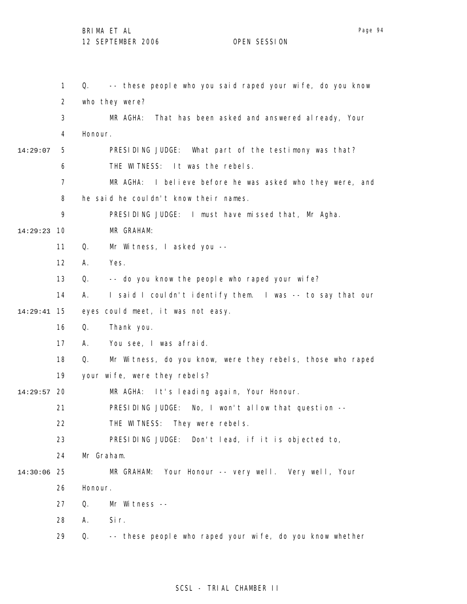|          | $\mathbf{1}$   | -- these people who you said raped your wife, do you know<br>Q.  |
|----------|----------------|------------------------------------------------------------------|
|          | 2              | who they were?                                                   |
|          | 3              | MR AGHA: That has been asked and answered al ready, Your         |
|          | 4              | Honour.                                                          |
| 14:29:07 | 5              | PRESIDING JUDGE: What part of the testimony was that?            |
|          | 6              | THE WITNESS: It was the rebels.                                  |
|          | $\overline{7}$ | MR AGHA:<br>I believe before he was asked who they were, and     |
|          | 8              | he said he couldn't know their names.                            |
|          | 9              | PRESIDING JUDGE: I must have missed that, Mr Agha.               |
| 14:29:23 | 10             | MR GRAHAM:                                                       |
|          | 11             | Q.<br>Mr Witness, I asked you --                                 |
|          | 12             | Yes.<br>Α.                                                       |
|          | 13             | -- do you know the people who raped your wife?<br>Q.             |
|          | 14             | I said I couldn't identify them. I was -- to say that our<br>А.  |
| 14:29:41 | 15             | eyes could meet, it was not easy.                                |
|          | 16             | Q.<br>Thank you.                                                 |
|          | 17             | You see, I was afraid.<br>А.                                     |
|          | 18             | Mr Witness, do you know, were they rebels, those who raped<br>Q. |
|          | 19             | your wife, were they rebels?                                     |
| 14:29:57 | 20             | It's leading again, Your Honour.<br>MR AGHA:                     |
|          | 21             | PRESIDING JUDGE: No, I won't allow that question --              |
|          | 22             | THE WITNESS: They were rebels.                                   |
|          | 23             | PRESIDING JUDGE: Don't lead, if it is objected to,               |
|          | 24             | Mr Graham.                                                       |
| 14:30:06 | 25             | Your Honour -- very well. Very well, Your<br>MR GRAHAM:          |
|          | 26             | Honour.                                                          |
|          | 27             | Q.<br>Mr Witness --                                              |
|          | 28             | Sir.<br>А.                                                       |
|          | 29             | -- these people who raped your wife, do you know whether<br>Q.   |

SCSL - TRIAL CHAMBER II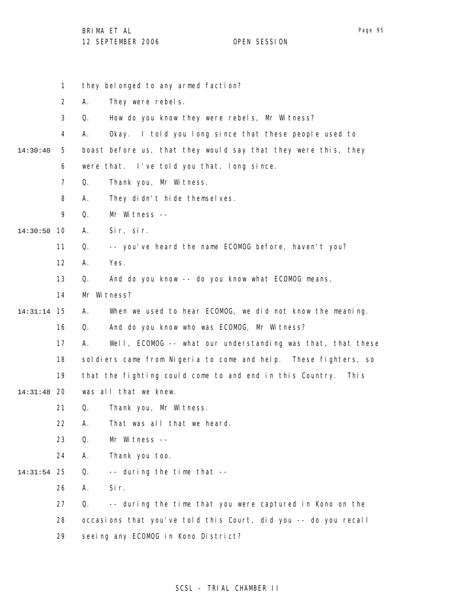|          | 1              |    | they belonged to any armed faction?                             |
|----------|----------------|----|-----------------------------------------------------------------|
|          | $\overline{2}$ | А. | They were rebels.                                               |
|          | 3              | Q. | How do you know they were rebels, Mr Witness?                   |
|          | 4              | А. | Okay. I told you long since that these people used to           |
| 14:30:40 | 5              |    | boast before us, that they would say that they were this, they  |
|          | 6              |    | were that. I've told you that, long since.                      |
|          | $\overline{7}$ | Q. | Thank you, Mr Witness.                                          |
|          | 8              | А. | They didn't hide themselves.                                    |
|          | 9              | Q. | Mr Witness --                                                   |
| 14:30:50 | 10             | Α. | Sir, sir.                                                       |
|          | 11             | Q. | -- you've heard the name ECOMOG before, haven't you?            |
|          | 12             | Α. | Yes.                                                            |
|          | 13             | Q. | And do you know -- do you know what ECOMOG means,               |
|          | 14             |    | Mr Witness?                                                     |
| 14:31:14 | - 15           | А. | When we used to hear ECOMOG, we did not know the meaning.       |
|          | 16             | Q. | And do you know who was ECOMOG, Mr Witness?                     |
|          | 17             | А. | Well, ECOMOG -- what our understanding was that, that these     |
|          | 18             |    | soldiers came from Nigeria to come and help. These fighters, so |
|          | 19             |    | that the fighting could come to and end in this Country. This   |
| 14:31:48 | -20            |    | was all that we knew.                                           |
|          | 21             | Q. | Thank you, Mr Witness.                                          |
|          | 22             | Α. | That was all that we heard.                                     |
|          | 23             | Q. | Mr Witness --                                                   |
|          | 24             | Α. | Thank you too.                                                  |
| 14:31:54 | 25             | Q. | -- during the time that --                                      |
|          | 26             | А. | Sir.                                                            |
|          | 27             | Q. | -- during the time that you were captured in Kono on the        |
|          | 28             |    | occasions that you've told this Court, did you -- do you recall |
|          | 29             |    | seeing any ECOMOG in Kono District?                             |
|          |                |    |                                                                 |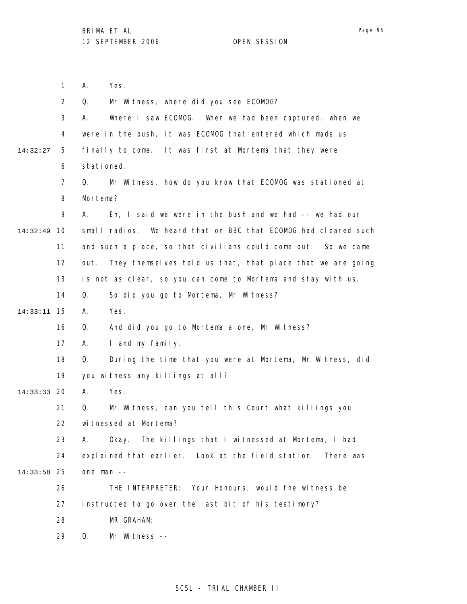|          | $\mathbf{1}$   | Α.<br>Yes.                                                         |
|----------|----------------|--------------------------------------------------------------------|
|          | $\overline{2}$ | Mr Witness, where did you see ECOMOG?<br>Q.                        |
|          | 3              | Where I saw ECOMOG. When we had been captured, when we<br>А.       |
|          | 4              | were in the bush, it was ECOMOG that entered which made us         |
| 14:32:27 | 5              | finally to come. It was first at Mortema that they were            |
|          | 6              | stationed.                                                         |
|          | $\overline{7}$ | Mr Witness, how do you know that ECOMOG was stationed at<br>Q.     |
|          | 8              | Mortema?                                                           |
|          | 9              | Eh, I said we were in the bush and we had $-$ - we had our<br>А.   |
| 14:32:49 | 10             | small radios. We heard that on BBC that ECOMOG had cleared such    |
|          | 11             | and such a place, so that civilians could come out. So we came     |
|          | 12             | They themselves told us that, that place that we are going<br>out. |
|          | 13             | is not as clear, so you can come to Mortema and stay with us.      |
|          | 14             | So did you go to Mortema, Mr Witness?<br>Q.                        |
| 14:33:11 | 15             | Yes.<br>А.                                                         |
|          | 16             | And did you go to Mortema alone, Mr Witness?<br>Q.                 |
|          | 17             | I and my family.<br>А.                                             |
|          | 18             | During the time that you were at Mortema, Mr Witness, did<br>Q.    |
|          | 19             | you witness any killings at all?                                   |
| 14:33:33 | 20             | Yes.<br>А.                                                         |
|          | 21             | Mr Witness, can you tell this Court what killings you<br>Q.        |
|          | 22             | witnessed at Mortema?                                              |
|          | 23             | Okay. The killings that I witnessed at Mortema, I had<br>А.        |
|          | 24             | explained that earlier. Look at the field station.<br>There was    |
| 14:33:58 | -25            | one man --                                                         |
|          | 26             | Your Honours, would the witness be<br>THE INTERPRETER:             |
|          | 27             | instructed to go over the last bit of his testimony?               |
|          | 28             | MR GRAHAM:                                                         |
|          | 29             | Q.<br>Mr Witness --                                                |
|          |                |                                                                    |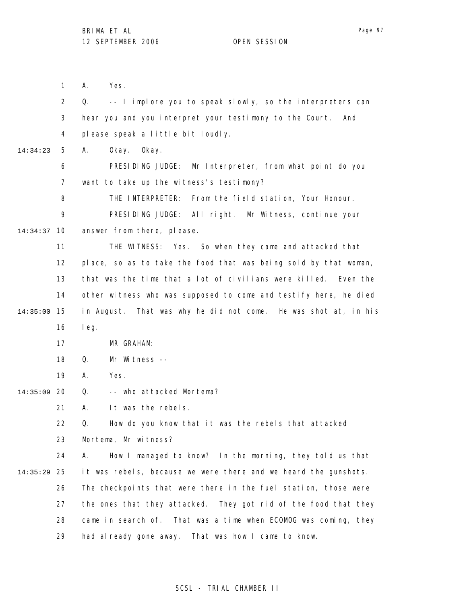1 2 3 4 5 6 7 8 9 10 14:34:37 11 12 13 14 15 14:35:00 16 17 18 19 20 14:35:09 21 22 23 24 25 14:35:29 26 27 28 29 14:34:23 A. Yes. Q. -- I implore you to speak slowly, so the interpreters can hear you and you interpret your testimony to the Court. And please speak a little bit loudly. A. Okay. Okay. PRESIDING JUDGE: Mr Interpreter, from what point do you want to take up the witness's testimony? THE INTERPRETER: From the field station, Your Honour. PRESIDING JUDGE: All right. Mr Witness, continue your answer from there, please. THE WITNESS: Yes. So when they came and attacked that place, so as to take the food that was being sold by that woman, that was the time that a lot of civilians were killed. Even the other witness who was supposed to come and testify here, he died in August. That was why he did not come. He was shot at, in his leg. MR GRAHAM: Q. Mr Witness -- A. Yes. Q. -- who attacked Mortema? A. It was the rebels. Q. How do you know that it was the rebels that attacked Mortema, Mr witness? A. How I managed to know? In the morning, they told us that it was rebels, because we were there and we heard the gunshots. The checkpoints that were there in the fuel station, those were the ones that they attacked. They got rid of the food that they came in search of. That was a time when ECOMOG was coming, they had already gone away. That was how I came to know.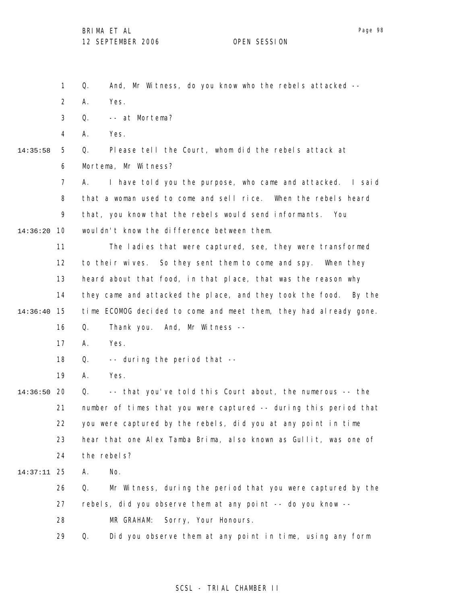1 2 3 4 5 6 7 8 9 10 14:36:20 11 12 13 14 15 14:36:40 16 17 18 19 20 14:36:50 21 22 23 24 25 14:37:11 26 27 28 29 14:35:58 Q. And, Mr Witness, do you know who the rebels attacked -- A. Yes. Q. -- at Mortema? A. Yes. Q. Please tell the Court, whom did the rebels attack at Mortema, Mr Witness? A. I have told you the purpose, who came and attacked. I said that a woman used to come and sell rice. When the rebels heard that, you know that the rebels would send informants. You wouldn't know the difference between them. The ladies that were captured, see, they were transformed to their wives. So they sent them to come and spy. When they heard about that food, in that place, that was the reason why they came and attacked the place, and they took the food. By the time ECOMOG decided to come and meet them, they had already gone. Q. Thank you. And, Mr Witness -- A. Yes. Q. -- during the period that -- A. Yes. Q. -- that you've told this Court about, the numerous -- the number of times that you were captured -- during this period that you were captured by the rebels, did you at any point in time hear that one Alex Tamba Brima, also known as Gullit, was one of the rebels? A. No. Q. Mr Witness, during the period that you were captured by the rebels, did you observe them at any point -- do you know -- MR GRAHAM: Sorry, Your Honours. Q. Did you observe them at any point in time, using any form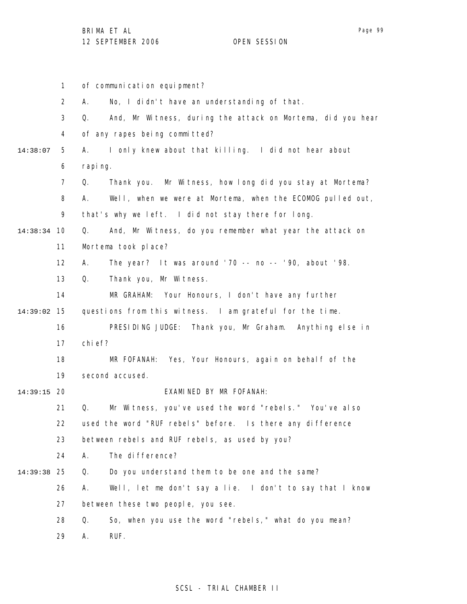1 2 3 4 5 6 7 8 9 10 14:38:34 11 12 13 14 15 14:39:02 16 17 18 19 20 14:39:15 21 22 23 24 25 14:39:38 26 27 28 29 14:38:07 of communication equipment? A. No, I didn't have an understanding of that. Q. And, Mr Witness, during the attack on Mortema, did you hear of any rapes being committed? A. I only knew about that killing. I did not hear about raping. Q. Thank you. Mr Witness, how long did you stay at Mortema? A. Well, when we were at Mortema, when the ECOMOG pulled out, that's why we left. I did not stay there for long. Q. And, Mr Witness, do you remember what year the attack on Mortema took place? A. The year? It was around '70 -- no -- '90, about '98. Q. Thank you, Mr Witness. MR GRAHAM: Your Honours, I don't have any further questions from this witness. I am grateful for the time. PRESIDING JUDGE: Thank you, Mr Graham. Anything else in chief? MR FOFANAH: Yes, Your Honours, again on behalf of the second accused. EXAMINED BY MR FOFANAH: Q. Mr Witness, you've used the word "rebels." You've also used the word "RUF rebels" before. Is there any difference between rebels and RUF rebels, as used by you? A. The difference? Q. Do you understand them to be one and the same? A. Well, let me don't say a lie. I don't to say that I know between these two people, you see. Q. So, when you use the word "rebels," what do you mean? A. RUF.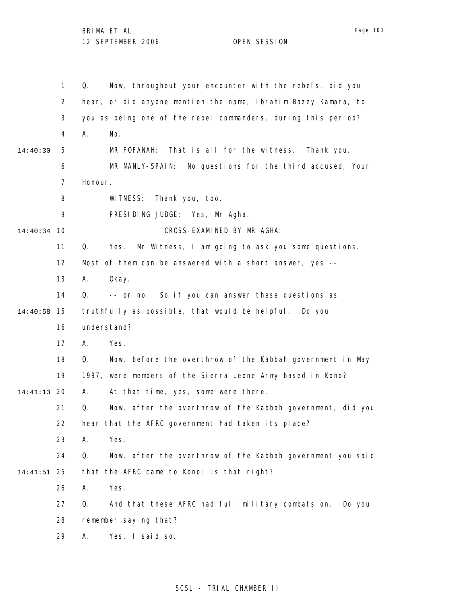Page 100

|          | 1              | Now, throughout your encounter with the rebels, did you<br>Q.     |
|----------|----------------|-------------------------------------------------------------------|
|          | $\overline{2}$ | hear, or did anyone mention the name, Ibrahim Bazzy Kamara, to    |
|          | 3              | you as being one of the rebel commanders, during this period?     |
|          | 4              | А.<br>No.                                                         |
| 14:40:30 | 5              | That is all for the witness.<br>MR FOFANAH:<br>Thank you.         |
|          | 6              | MR MANLY-SPAIN: No questions for the third accused, Your          |
|          | 7              | Honour.                                                           |
|          | 8              | WI TNESS:<br>Thank you, too.                                      |
|          | 9              | PRESIDING JUDGE: Yes, Mr Agha.                                    |
| 14:40:34 | 10             | CROSS-EXAMINED BY MR AGHA:                                        |
|          | 11             | Mr Witness, I am going to ask you some questions.<br>Q.<br>Yes.   |
|          | 12             | Most of them can be answered with a short answer, yes --          |
|          | 13             | А.<br>0kay.                                                       |
|          | 14             | -- or no. So if you can answer these questions as<br>Q.           |
| 14:40:58 | 15             | truthfully as possible, that would be helpful.<br>Do you          |
|          | 16             | understand?                                                       |
|          | 17             | А.<br>Yes.                                                        |
|          | 18             | Now, before the overthrow of the Kabbah government in May<br>Q.   |
|          | 19             | 1997, were members of the Sierra Leone Army based in Kono?        |
| 14:41:13 | 20             | А.<br>At that time, yes, some were there.                         |
|          | 21             | Now, after the overthrow of the Kabbah government, did you<br>Q.  |
|          | 22             | hear that the AFRC government had taken its place?                |
|          | 23             | Yes.<br>Α.                                                        |
|          | 24             | Q.<br>Now, after the overthrow of the Kabbah government you said  |
| 14:41:51 | 25             | that the AFRC came to Kono; is that right?                        |
|          | 26             | Yes.<br>Α.                                                        |
|          | 27             | And that these AFRC had full military combats on.<br>Q.<br>Do you |
|          | 28             | remember saying that?                                             |
|          | 29             | Α.<br>Yes, I said so.                                             |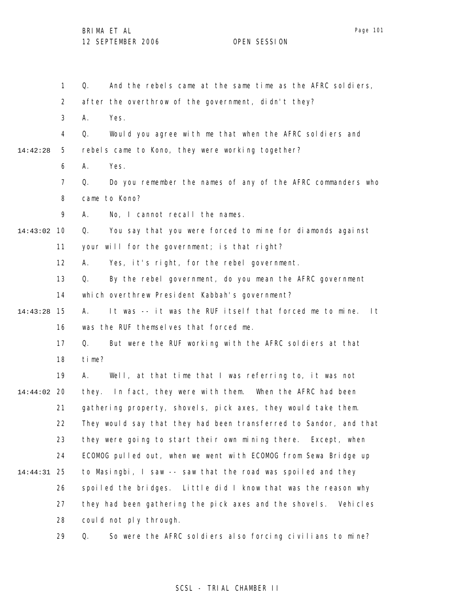1 2 3 4 5 6 7 8 9 10 14:43:02 11 12 13 14 15 14:43:28 16 17 18 19 20 14:44:02 21 22 23 24 25 14:44:31 26 27 28 29 14:42:28 Q. And the rebels came at the same time as the AFRC soldiers, after the overthrow of the government, didn't they? A. Yes. Q. Would you agree with me that when the AFRC soldiers and rebels came to Kono, they were working together? A. Yes. Q. Do you remember the names of any of the AFRC commanders who came to Kono? A. No, I cannot recall the names. Q. You say that you were forced to mine for diamonds against your will for the government; is that right? A. Yes, it's right, for the rebel government. Q. By the rebel government, do you mean the AFRC government which overthrew President Kabbah's government? A. It was -- it was the RUF itself that forced me to mine. It was the RUF themselves that forced me. Q. But were the RUF working with the AFRC soldiers at that time? A. Well, at that time that I was referring to, it was not they. In fact, they were with them. When the AFRC had been gathering property, shovels, pick axes, they would take them. They would say that they had been transferred to Sandor, and that they were going to start their own mining there. Except, when ECOMOG pulled out, when we went with ECOMOG from Sewa Bridge up to Masingbi, I saw -- saw that the road was spoiled and they spoiled the bridges. Little did I know that was the reason why they had been gathering the pick axes and the shovels. Vehicles could not ply through. Q. So were the AFRC soldiers also forcing civilians to mine?

#### SCSL - TRIAL CHAMBER II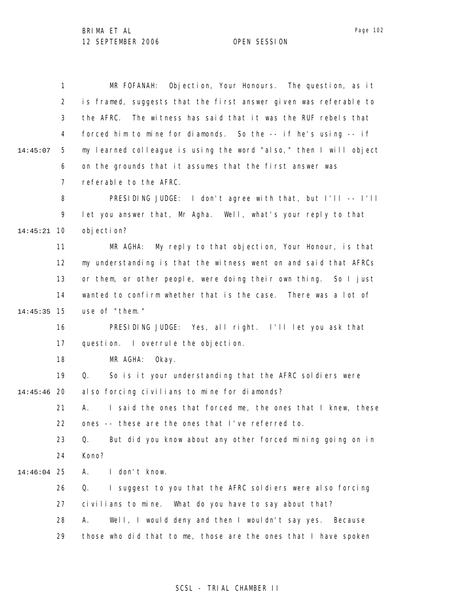1 2 3 4 5 6 7 8 9 10 14:45:21 11 12 13 14 15 14:45:35 16 17 18 19 20 14:45:46 21 22 23 24 25 14:46:04 26 27 28 29 14:45:07 MR FOFANAH: Objection, Your Honours. The question, as it is framed, suggests that the first answer given was referable to the AFRC. The witness has said that it was the RUF rebels that forced him to mine for diamonds. So the -- if he's using -- if my learned colleague is using the word "also," then I will object on the grounds that it assumes that the first answer was referable to the AFRC. PRESIDING JUDGE: I don't agree with that, but I'll -- I'll let you answer that, Mr Agha. Well, what's your reply to that objection? MR AGHA: My reply to that objection, Your Honour, is that my understanding is that the witness went on and said that AFRCs or them, or other people, were doing their own thing. So I just wanted to confirm whether that is the case. There was a lot of use of "them." PRESIDING JUDGE: Yes, all right. I'll let you ask that question. I overrule the objection. MR AGHA: Okay. Q. So is it your understanding that the AFRC soldiers were also forcing civilians to mine for diamonds? A. I said the ones that forced me, the ones that I knew, these ones -- these are the ones that I've referred to. Q. But did you know about any other forced mining going on in Kono? A. I don't know. Q. I suggest to you that the AFRC soldiers were also forcing civilians to mine. What do you have to say about that? A. Well, I would deny and then I wouldn't say yes. Because those who did that to me, those are the ones that I have spoken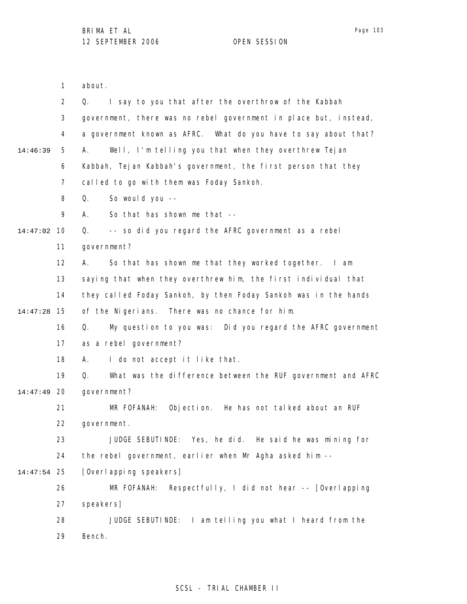1 about.

|             | 2  | I say to you that after the overthrow of the Kabbah<br>Q.         |
|-------------|----|-------------------------------------------------------------------|
|             | 3  | government, there was no rebel government in place but, instead,  |
|             | 4  | a government known as AFRC. What do you have to say about that?   |
| 14:46:39    | 5  | Well, I'm telling you that when they overthrew Tejan<br>А.        |
|             | 6  | Kabbah, Tejan Kabbah's government, the first person that they     |
|             | 7  | called to go with them was Foday Sankoh.                          |
|             | 8  | Q.<br>So would you --                                             |
|             | 9  | So that has shown me that --<br>А.                                |
| 14:47:02    | 10 | -- so did you regard the AFRC government as a rebel<br>Q.         |
|             | 11 | government?                                                       |
|             | 12 | So that has shown me that they worked together. I am<br>А.        |
|             | 13 | saying that when they overthrew him, the first individual that    |
|             | 14 | they called Foday Sankoh, by then Foday Sankoh was in the hands   |
| 14:47:28    | 15 | of the Nigerians. There was no chance for him.                    |
|             | 16 | My question to you was: Did you regard the AFRC government<br>Q.  |
|             | 17 | as a rebel government?                                            |
|             | 18 | А.<br>I do not accept it like that.                               |
|             | 19 | What was the difference between the RUF government and AFRC<br>Q. |
| 14:47:49    | 20 | government?                                                       |
|             | 21 | Objection. He has not talked about an RUF<br>MR FOFANAH:          |
|             | 22 | government.                                                       |
|             | 23 | JUDGE SEBUTINDE: Yes, he did. He said he was mining for           |
|             | 24 | the rebel government, earlier when Mr Agha asked him --           |
| 14:47:54 25 |    | [Overl apping speakers]                                           |
|             | 26 | Respectfully, I did not hear -- [Overlapping<br>MR FOFANAH:       |
|             | 27 | speakers]                                                         |
|             | 28 | JUDGE SEBUTINDE: I am telling you what I heard from the           |
|             | 29 | Bench.                                                            |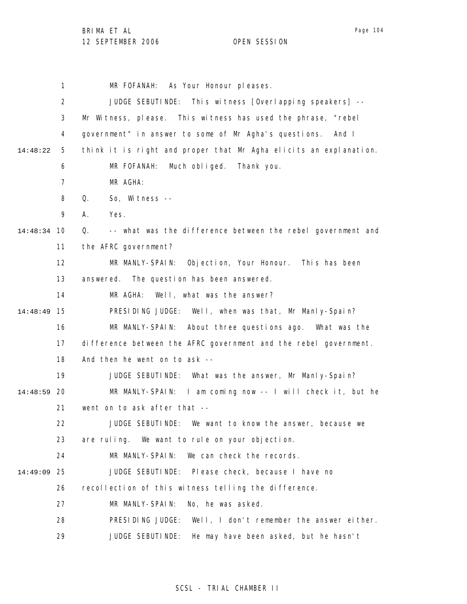1 2 3 4 5 6 7 8 9 10 14:48:34 11 12 13 14 15 14:48:49 16 17 18 19 20 14:48:59 21 22 23 24 25 14:49:09 26 27 28 29 14:48:22 MR FOFANAH: As Your Honour pleases. JUDGE SEBUTINDE: This witness [Overlapping speakers] -- Mr Witness, please. This witness has used the phrase, "rebel government" in answer to some of Mr Agha's questions. And I think it is right and proper that Mr Agha elicits an explanation. MR FOFANAH: Much obliged. Thank you. MR AGHA: Q. So, Witness -- A. Yes. Q. -- what was the difference between the rebel government and the AFRC government? MR MANLY-SPAIN: Objection, Your Honour. This has been answered. The question has been answered. MR AGHA: Well, what was the answer? PRESIDING JUDGE: Well, when was that, Mr Manly-Spain? MR MANLY-SPAIN: About three questions ago. What was the difference between the AFRC government and the rebel government. And then he went on to ask -- JUDGE SEBUTINDE: What was the answer, Mr Manly-Spain? MR MANLY-SPAIN: I am coming now -- I will check it, but he went on to ask after that -- JUDGE SEBUTINDE: We want to know the answer, because we are ruling. We want to rule on your objection. MR MANLY-SPAIN: We can check the records. JUDGE SEBUTINDE: Please check, because I have no recollection of this witness telling the difference. MR MANLY-SPAIN: No, he was asked. PRESIDING JUDGE: Well, I don't remember the answer either. JUDGE SEBUTINDE: He may have been asked, but he hasn't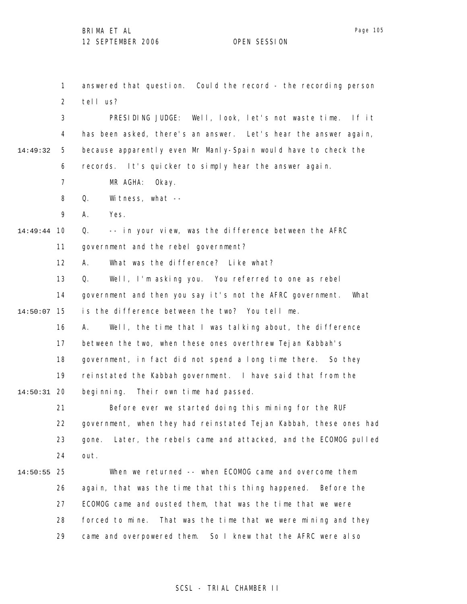1 2 3 4 5 6 7 8 9 10 14:49:44 11 12 13 14 15 14:50:07 16 17 18 19 20 14:50:31 21 22 23 24 25 14:50:55 26 27 28 29 14:49:32 answered that question. Could the record - the recording person tell us? PRESIDING JUDGE: Well, look, let's not waste time. If it has been asked, there's an answer. Let's hear the answer again, because apparently even Mr Manly-Spain would have to check the records. It's quicker to simply hear the answer again. MR AGHA: Okay. Q. Witness, what -- A. Yes. Q. -- in your view, was the difference between the AFRC government and the rebel government? A. What was the difference? Like what? Q. Well, I'm asking you. You referred to one as rebel government and then you say it's not the AFRC government. What is the difference between the two? You tell me. A. Well, the time that I was talking about, the difference between the two, when these ones overthrew Tejan Kabbah's government, in fact did not spend a long time there. So they reinstated the Kabbah government. I have said that from the beginning. Their own time had passed. Before ever we started doing this mining for the RUF government, when they had reinstated Tejan Kabbah, these ones had gone. Later, the rebels came and attacked, and the ECOMOG pulled out. When we returned -- when ECOMOG came and overcome them again, that was the time that this thing happened. Before the ECOMOG came and ousted them, that was the time that we were forced to mine. That was the time that we were mining and they came and overpowered them. So I knew that the AFRC were also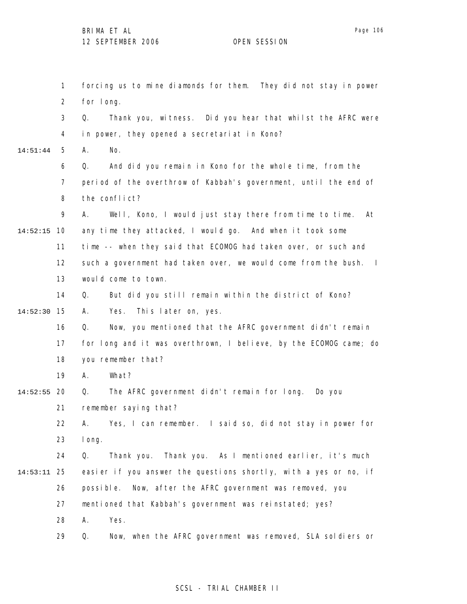1 2 3 4 5 6 7 8 9 10 14:52:15 11 12 13 14 15 14:52:30 16 17 18 19 20 14:52:55 21 22 23 24 25 14:53:11 26 27 28 14:51:44 forcing us to mine diamonds for them. They did not stay in power for long. Q. Thank you, witness. Did you hear that whilst the AFRC were in power, they opened a secretariat in Kono? A. No. Q. And did you remain in Kono for the whole time, from the period of the overthrow of Kabbah's government, until the end of the conflict? A. Well, Kono, I would just stay there from time to time. At any time they attacked, I would go. And when it took some time -- when they said that ECOMOG had taken over, or such and such a government had taken over, we would come from the bush. I would come to town. Q. But did you still remain within the district of Kono? A. Yes. This later on, yes. Q. Now, you mentioned that the AFRC government didn't remain for long and it was overthrown, I believe, by the ECOMOG came; do you remember that? A. What? Q. The AFRC government didn't remain for long. Do you remember saying that? A. Yes, I can remember. I said so, did not stay in power for long. Q. Thank you. Thank you. As I mentioned earlier, it's much easier if you answer the questions shortly, with a yes or no, if possible. Now, after the AFRC government was removed, you mentioned that Kabbah's government was reinstated; yes? A. Yes.

> 29 Q. Now, when the AFRC government was removed, SLA soldiers or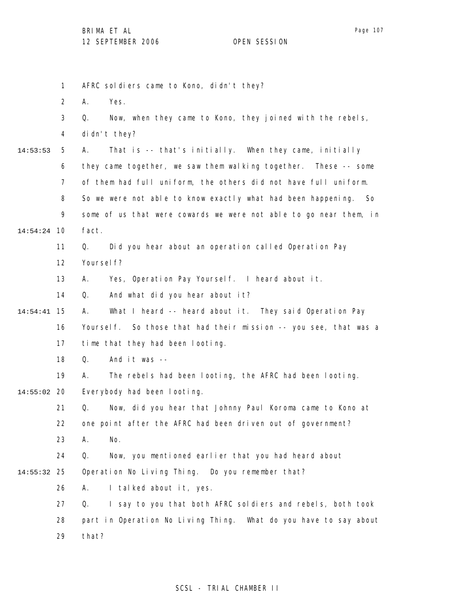1 2 3 4 5 6 7 8 9 10 14:54:24 11 12 13 14 15 14:54:41 16 17 18 19 20 14:55:02 21 22 23 24 25 14:55:32 26 27 28 29 14:53:53 AFRC soldiers came to Kono, didn't they? A. Yes. Q. Now, when they came to Kono, they joined with the rebels, didn't they? A. That is -- that's initially. When they came, initially they came together, we saw them walking together. These -- some of them had full uniform, the others did not have full uniform. So we were not able to know exactly what had been happening. So some of us that were cowards we were not able to go near them, in fact. Q. Did you hear about an operation called Operation Pay Yoursel f? A. Yes, Operation Pay Yourself. I heard about it. Q. And what did you hear about it? A. What I heard -- heard about it. They said Operation Pay Yourself. So those that had their mission -- you see, that was a time that they had been looting. Q. And it was -- A. The rebels had been looting, the AFRC had been looting. Everybody had been looting. Q. Now, did you hear that Johnny Paul Koroma came to Kono at one point after the AFRC had been driven out of government? A. No. Q. Now, you mentioned earlier that you had heard about Operation No Living Thing. Do you remember that? A. I talked about it, yes. Q. I say to you that both AFRC soldiers and rebels, both took part in Operation No Living Thing. What do you have to say about that?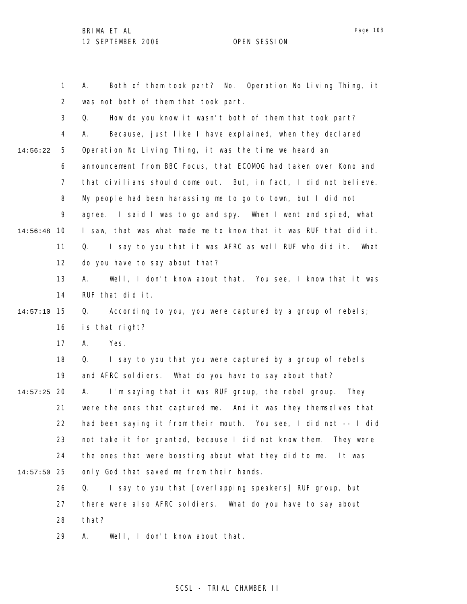1 2 3 4 5 6 7 8 9 10 14:56:48 11 12 13 14 15 14:57:10 16 17 18 19 20 14:57:25 21 22 23 24 25 14:57:50 26 27 28 29 14:56:22 A. Both of them took part? No. Operation No Living Thing, it was not both of them that took part. Q. How do you know it wasn't both of them that took part? A. Because, just like I have explained, when they declared Operation No Living Thing, it was the time we heard an announcement from BBC Focus, that ECOMOG had taken over Kono and that civilians should come out. But, in fact, I did not believe. My people had been harassing me to go to town, but I did not agree. I said I was to go and spy. When I went and spied, what I saw, that was what made me to know that it was RUF that did it. Q. I say to you that it was AFRC as well RUF who did it. What do you have to say about that? A. Well, I don't know about that. You see, I know that it was RUF that did it. Q. According to you, you were captured by a group of rebels; is that right? A. Yes. Q. I say to you that you were captured by a group of rebels and AFRC soldiers. What do you have to say about that? A. I'm saying that it was RUF group, the rebel group. They were the ones that captured me. And it was they themselves that had been saying it from their mouth. You see, I did not -- I did not take it for granted, because I did not know them. They were the ones that were boasting about what they did to me. It was only God that saved me from their hands. Q. I say to you that [overlapping speakers] RUF group, but there were also AFRC soldiers. What do you have to say about that? A. Well, I don't know about that.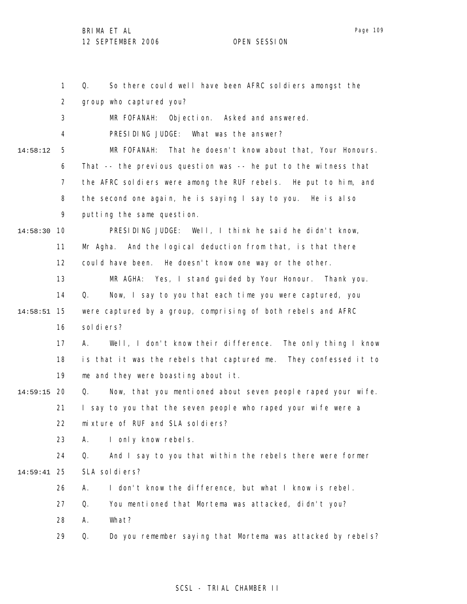1 2 3 4 5 6 7 8 9 10 14:58:30 11 12 13 14 15 14:58:51 16 17 18 19 20 14:59:15 21 22 23 24 25 14:59:41 26 27 28 29 14:58:12 Q. So there could well have been AFRC soldiers amongst the group who captured you? MR FOFANAH: Objection. Asked and answered. PRESIDING JUDGE: What was the answer? MR FOFANAH: That he doesn't know about that, Your Honours. That -- the previous question was -- he put to the witness that the AFRC soldiers were among the RUF rebels. He put to him, and the second one again, he is saying I say to you. He is also putting the same question. PRESIDING JUDGE: Well, I think he said he didn't know, Mr Agha. And the logical deduction from that, is that there could have been. He doesn't know one way or the other. MR AGHA: Yes, I stand guided by Your Honour. Thank you. Q. Now, I say to you that each time you were captured, you were captured by a group, comprising of both rebels and AFRC sol di ers? A. Well, I don't know their difference. The only thing I know is that it was the rebels that captured me. They confessed it to me and they were boasting about it. Q. Now, that you mentioned about seven people raped your wife. I say to you that the seven people who raped your wife were a mixture of RUF and SLA soldiers? A. I only know rebels. Q. And I say to you that within the rebels there were former SLA soldiers? A. I don't know the difference, but what I know is rebel. Q. You mentioned that Mortema was attacked, didn't you? A. What? Q. Do you remember saying that Mortema was attacked by rebels?

## SCSL - TRIAL CHAMBER II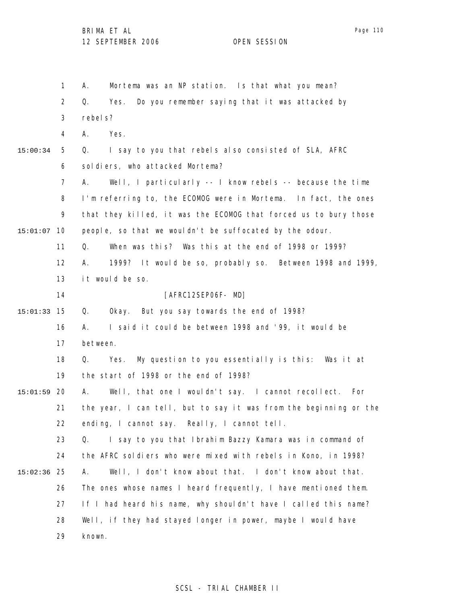|          | 1              | Mortema was an NP station. Is that what you mean?<br>А.               |  |  |  |  |  |  |
|----------|----------------|-----------------------------------------------------------------------|--|--|--|--|--|--|
|          | $\overline{2}$ | Do you remember saying that it was attacked by<br>Q.<br>Yes.          |  |  |  |  |  |  |
|          | 3              | rebel s?                                                              |  |  |  |  |  |  |
|          | 4              | Yes.<br>А.                                                            |  |  |  |  |  |  |
| 15:00:34 | 5              | I say to you that rebels also consisted of SLA, AFRC<br>Q.            |  |  |  |  |  |  |
|          | 6              | soldiers, who attacked Mortema?                                       |  |  |  |  |  |  |
|          | 7              | Well, I particularly $-$ - I know rebels $-$ - because the time<br>А. |  |  |  |  |  |  |
|          | 8              | I'm referring to, the ECOMOG were in Mortema. In fact, the ones       |  |  |  |  |  |  |
|          | 9              | that they killed, it was the ECOMOG that forced us to bury those      |  |  |  |  |  |  |
| 15:01:07 | 10             | people, so that we wouldn't be suffocated by the odour.               |  |  |  |  |  |  |
|          | 11             | When was this? Was this at the end of 1998 or 1999?<br>Q.             |  |  |  |  |  |  |
|          | 12             | 1999? It would be so, probably so. Between 1998 and 1999,<br>А.       |  |  |  |  |  |  |
|          | 13             | it would be so.                                                       |  |  |  |  |  |  |
|          | 14             | [AFRC12SEP06F- MD]                                                    |  |  |  |  |  |  |
| 15:01:33 | 15             | Okay. But you say towards the end of 1998?<br>Q.                      |  |  |  |  |  |  |
|          | 16             | I said it could be between 1998 and '99, it would be<br>А.            |  |  |  |  |  |  |
|          | 17             | between.                                                              |  |  |  |  |  |  |
|          | 18             | My question to you essentially is this: Was it at<br>Q.<br>Yes.       |  |  |  |  |  |  |
|          | 19             | the start of 1998 or the end of 1998?                                 |  |  |  |  |  |  |
| 15:01:59 | 20             | Well, that one I wouldn't say. I cannot recollect. For<br>А.          |  |  |  |  |  |  |
|          | 21             | the year, I can tell, but to say it was from the beginning or the     |  |  |  |  |  |  |
|          | 22             | ending, I cannot say. Really, I cannot tell.                          |  |  |  |  |  |  |
|          | 23             | I say to you that Ibrahim Bazzy Kamara was in command of<br>Q.        |  |  |  |  |  |  |
|          | 24             | the AFRC soldiers who were mixed with rebels in Kono, in 1998?        |  |  |  |  |  |  |
| 15:02:36 | 25             | Well, I don't know about that. I don't know about that.<br>Α.         |  |  |  |  |  |  |
|          | 26             | The ones whose names I heard frequently, I have mentioned them.       |  |  |  |  |  |  |
|          | 27             | If I had heard his name, why shouldn't have I called this name?       |  |  |  |  |  |  |
|          | 28             | Well, if they had stayed longer in power, maybe I would have          |  |  |  |  |  |  |
|          | 29             | known.                                                                |  |  |  |  |  |  |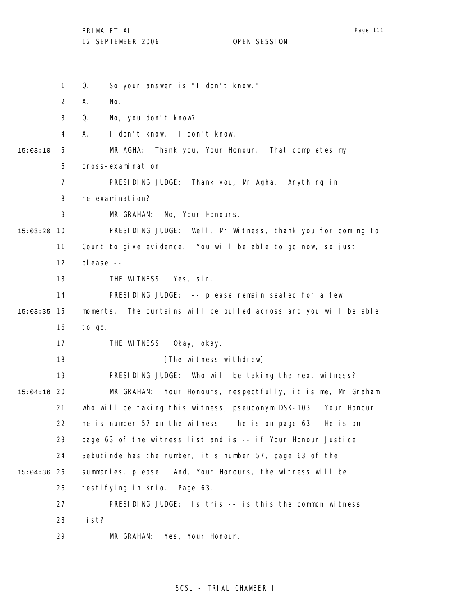1 2 3 4 5 6 7 8 9 10 15:03:20 11 12 13 14 15 15:03:35 16 17 18 19 20 15:04:16 21 22 23 24 25 15:04:36 26 27 28 29 15:03:10 Q. So your answer is "I don't know." A. No. Q. No, you don't know? A. I don't know. I don't know. MR AGHA: Thank you, Your Honour. That completes my cross-examination. PRESIDING JUDGE: Thank you, Mr Agha. Anything in re-examination? MR GRAHAM: No, Your Honours. PRESIDING JUDGE: Well, Mr Witness, thank you for coming to Court to give evidence. You will be able to go now, so just please -- THE WITNESS: Yes, sir. PRESIDING JUDGE: -- please remain seated for a few moments. The curtains will be pulled across and you will be able to go. THE WITNESS: Okay, okay. [The witness withdrew] PRESIDING JUDGE: Who will be taking the next witness? MR GRAHAM: Your Honours, respectfully, it is me, Mr Graham who will be taking this witness, pseudonym DSK-103. Your Honour, he is number 57 on the witness -- he is on page 63. He is on page 63 of the witness list and is -- if Your Honour Justice Sebutinde has the number, it's number 57, page 63 of the summaries, please. And, Your Honours, the witness will be testifying in Krio. Page 63. PRESIDING JUDGE: Is this -- is this the common witness list? MR GRAHAM: Yes, Your Honour.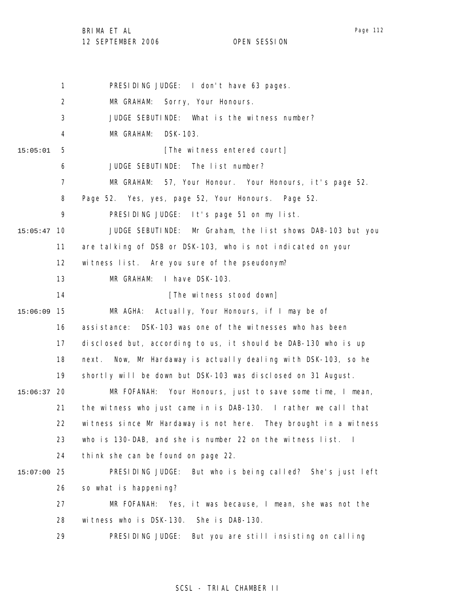BRIMA ET AL

12 SEPTEMBER 2006 OPEN SESSION

Page 112

1 2 3 4 5 6 7 8 9 10 15:05:47 11 12 13 14 15 15:06:09 16 17 18 19 20 15:06:37 21 22 23 24 25 15:07:00 26 27 28 29 15:05:01 PRESIDING JUDGE: I don't have 63 pages. MR GRAHAM: Sorry, Your Honours. JUDGE SEBUTINDE: What is the witness number? MR GRAHAM: DSK-103. [The witness entered court] JUDGE SEBUTINDE: The list number? MR GRAHAM: 57, Your Honour. Your Honours, it's page 52. Page 52. Yes, yes, page 52, Your Honours. Page 52. PRESIDING JUDGE: It's page 51 on my list. JUDGE SEBUTINDE: Mr Graham, the list shows DAB-103 but you are talking of DSB or DSK-103, who is not indicated on your witness list. Are you sure of the pseudonym? MR GRAHAM: I have DSK-103. [The witness stood down] MR AGHA: Actually, Your Honours, if I may be of assistance: DSK-103 was one of the witnesses who has been disclosed but, according to us, it should be DAB-130 who is up next. Now, Mr Hardaway is actually dealing with DSK-103, so he shortly will be down but DSK-103 was disclosed on 31 August. MR FOFANAH: Your Honours, just to save some time, I mean, the witness who just came in is DAB-130. I rather we call that witness since Mr Hardaway is not here. They brought in a witness who is 130-DAB, and she is number 22 on the witness list. I think she can be found on page 22. PRESIDING JUDGE: But who is being called? She's just left so what is happening? MR FOFANAH: Yes, it was because, I mean, she was not the witness who is DSK-130. She is DAB-130. PRESIDING JUDGE: But you are still insisting on calling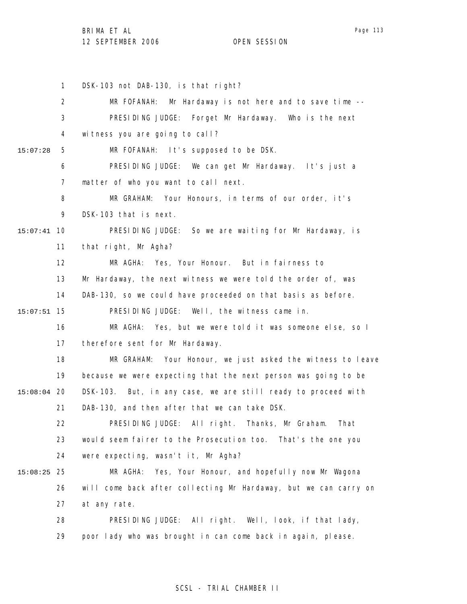Page 113

1 2 3 4 5 6 7 8 9 10 15:07:41 11 12 13 14 15 15:07:51 16 17 18 19 20 15:08:04 21 22 23 24 25 15:08:25 26 27 28 29 15:07:28 DSK-103 not DAB-130, is that right? MR FOFANAH: Mr Hardaway is not here and to save time --PRESIDING JUDGE: Forget Mr Hardaway. Who is the next witness you are going to call? MR FOFANAH: It's supposed to be DSK. PRESIDING JUDGE: We can get Mr Hardaway. It's just a matter of who you want to call next. MR GRAHAM: Your Honours, in terms of our order, it's DSK-103 that is next. PRESIDING JUDGE: So we are waiting for Mr Hardaway, is that right, Mr Agha? MR AGHA: Yes, Your Honour. But in fairness to Mr Hardaway, the next witness we were told the order of, was DAB-130, so we could have proceeded on that basis as before. PRESIDING JUDGE: Well, the witness came in. MR AGHA: Yes, but we were told it was someone else, so I therefore sent for Mr Hardaway. MR GRAHAM: Your Honour, we just asked the witness to leave because we were expecting that the next person was going to be DSK-103. But, in any case, we are still ready to proceed with DAB-130, and then after that we can take DSK. PRESIDING JUDGE: All right. Thanks, Mr Graham. That would seem fairer to the Prosecution too. That's the one you were expecting, wasn't it, Mr Agha? MR AGHA: Yes, Your Honour, and hopefully now Mr Wagona will come back after collecting Mr Hardaway, but we can carry on at any rate. PRESIDING JUDGE: All right. Well, look, if that lady, poor lady who was brought in can come back in again, please.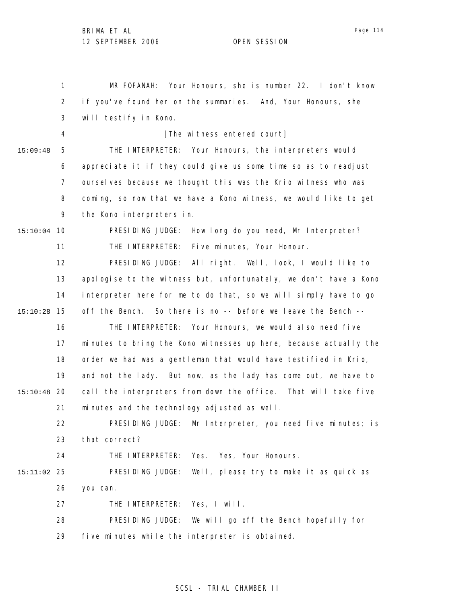1 2 3 4 5 6 7 8 9 10 15:10:04 11 12 13 14 15 15:10:28 16 17 18 19 20 15:10:48 21 22 23 24 25 15:11:02 26 27 28 29 15:09:48 MR FOFANAH: Your Honours, she is number 22. I don't know if you've found her on the summaries. And, Your Honours, she will testify in Kono. [The witness entered court] THE INTERPRETER: Your Honours, the interpreters would appreciate it if they could give us some time so as to readjust ourselves because we thought this was the Krio witness who was coming, so now that we have a Kono witness, we would like to get the Kono interpreters in. PRESIDING JUDGE: How long do you need, Mr Interpreter? THE INTERPRETER: Five minutes, Your Honour. PRESIDING JUDGE: All right. Well, look, I would like to apologise to the witness but, unfortunately, we don't have a Kono interpreter here for me to do that, so we will simply have to go off the Bench. So there is no -- before we leave the Bench -- THE INTERPRETER: Your Honours, we would also need five minutes to bring the Kono witnesses up here, because actually the order we had was a gentleman that would have testified in Krio, and not the lady. But now, as the lady has come out, we have to call the interpreters from down the office. That will take five minutes and the technology adjusted as well. PRESIDING JUDGE: Mr Interpreter, you need five minutes; is that correct? THE INTERPRETER: Yes. Yes, Your Honours. PRESIDING JUDGE: Well, please try to make it as quick as you can. THE INTERPRETER: Yes, I will. PRESIDING JUDGE: We will go off the Bench hopefully for five minutes while the interpreter is obtained.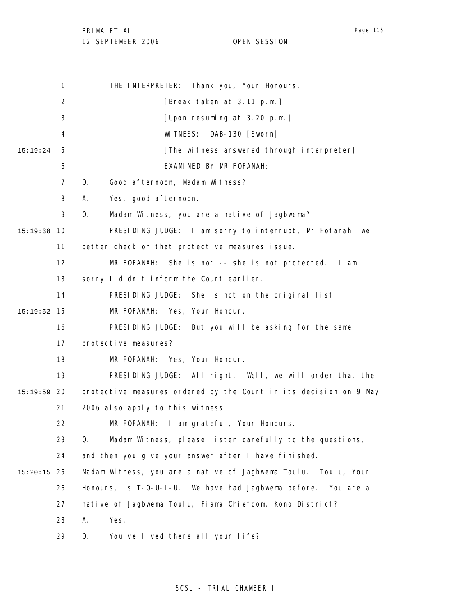BRIMA ET AL

### 12 SEPTEMBER 2006 OPEN SESSION

1 2 3 4 5 6 7 8 9 10 15:19:38 11 12 13 14 15 15:19:52 16 17 18 19 20 15:19:59 21 22 23 24 25 15:20:15 26 27 28 29 15:19:24 THE INTERPRETER: Thank you, Your Honours. [Break taken at 3.11 p.m.] [Upon resuming at 3.20 p.m.] WITNESS: DAB-130 [Sworn] [The witness answered through interpreter] EXAMINED BY MR FOFANAH: Q. Good afternoon, Madam Witness? A. Yes, good afternoon. Q. Madam Witness, you are a native of Jagbwema? PRESIDING JUDGE: I am sorry to interrupt, Mr Fofanah, we better check on that protective measures issue. MR FOFANAH: She is not -- she is not protected. I am sorry I didn't inform the Court earlier. PRESIDING JUDGE: She is not on the original list. MR FOFANAH: Yes, Your Honour. PRESIDING JUDGE: But you will be asking for the same protective measures? MR FOFANAH: Yes, Your Honour. PRESIDING JUDGE: All right. Well, we will order that the protective measures ordered by the Court in its decision on 9 May 2006 also apply to this witness. MR FOFANAH: I am grateful, Your Honours. Q. Madam Witness, please listen carefully to the questions, and then you give your answer after I have finished. Madam Witness, you are a native of Jagbwema Toulu. Toulu, Your Honours, is T-O-U-L-U. We have had Jagbwema before. You are a native of Jagbwema Toulu, Fiama Chiefdom, Kono District? A. Yes. Q. You've lived there all your life?

## SCSL - TRIAL CHAMBER II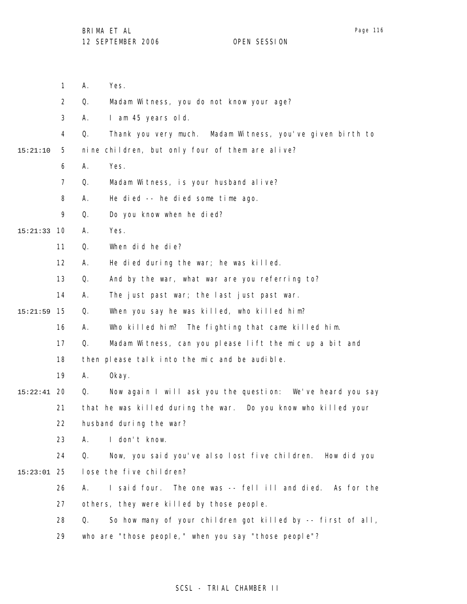|          | $\mathbf{1}$   | Yes.<br>Α.                                                        |
|----------|----------------|-------------------------------------------------------------------|
|          | $\overline{2}$ | Q.<br>Madam Witness, you do not know your age?                    |
|          | 3              | I am 45 years old.<br>А.                                          |
|          | 4              | Q.<br>Thank you very much. Madam Witness, you've given birth to   |
| 15:21:10 | 5              | nine children, but only four of them are alive?                   |
|          | 6              | Yes.<br>А.                                                        |
|          | $\overline{7}$ | Q.<br>Madam Witness, is your husband alive?                       |
|          | 8              | He died -- he died some time ago.<br>А.                           |
|          | 9              | Q.<br>Do you know when he died?                                   |
| 15:21:33 | 10             | Yes.<br>А.                                                        |
|          | 11             | When did he die?<br>Q.                                            |
|          | 12             | He died during the war; he was killed.<br>А.                      |
|          | 13             | And by the war, what war are you referring to?<br>Q.              |
|          | 14             | The just past war; the last just past war.<br>А.                  |
| 15:21:59 | 15             | When you say he was killed, who killed him?<br>Q.                 |
|          | 16             | Who killed him? The fighting that came killed him.<br>Α.          |
|          | 17             | Q.<br>Madam Witness, can you please lift the mic up a bit and     |
|          | 18             | then please talk into the mic and be audible.                     |
|          | 19             | 0kay.<br>Α.                                                       |
| 15:22:41 | 20             | Now again I will ask you the question: We've heard you say<br>Q.  |
|          | 21             | that he was killed during the war. Do you know who killed your    |
|          | 22             | husband during the war?                                           |
|          | 23             | I don't know.<br>А.                                               |
|          | 24             | Q.<br>Now, you said you've also lost five children. How did you   |
| 15:23:01 | 25             | lose the five children?                                           |
|          | 26             | I said four. The one was -- fell ill and died. As for the<br>А.   |
|          | 27             | others, they were killed by those people.                         |
|          | 28             | So how many of your children got killed by -- first of all,<br>Q. |
|          | 29             | who are "those people," when you say "those people"?              |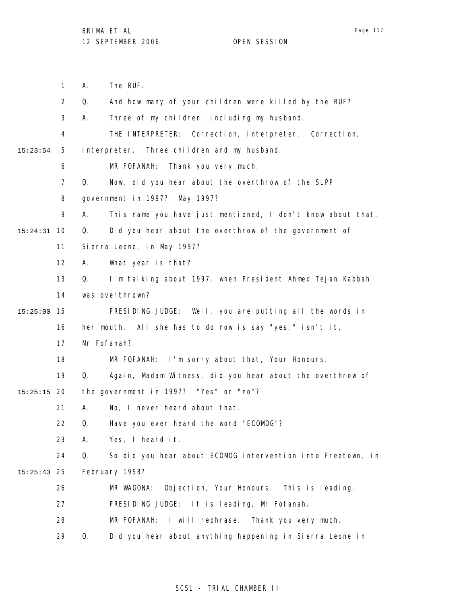1 2 3 4 5 6 7 8 9 10 15:24:31 11 12 13 14 15 15:25:00 16 17 18 19 20 15:25:15 21 22 23 24 25 15:25:43 26 27 28 15:23:54 A. The RUF. Q. And how many of your children were killed by the RUF? A. Three of my children, including my husband. THE INTERPRETER: Correction, interpreter. Correction, interpreter. Three children and my husband. MR FOFANAH: Thank you very much. Q. Now, did you hear about the overthrow of the SLPP government in 1997? May 1997? A. This name you have just mentioned, I don't know about that. Q. Did you hear about the overthrow of the government of Sierra Leone, in May 1997? A. What year is that? Q. I'm talking about 1997, when President Ahmed Tejan Kabbah was overthrown? PRESIDING JUDGE: Well, you are putting all the words in her mouth. All she has to do now is say "yes," isn't it, Mr Fofanah? MR FOFANAH: I'm sorry about that, Your Honours. Q. Again, Madam Witness, did you hear about the overthrow of the government in 1997? "Yes" or "no"? A. No, I never heard about that. Q. Have you ever heard the word "ECOMOG"? A. Yes, I heard it. Q. So did you hear about ECOMOG intervention into Freetown, in February 1998? MR WAGONA: Objection, Your Honours. This is leading. PRESIDING JUDGE: It is leading, Mr Fofanah. MR FOFANAH: I will rephrase. Thank you very much.

> 29 Q. Did you hear about anything happening in Sierra Leone in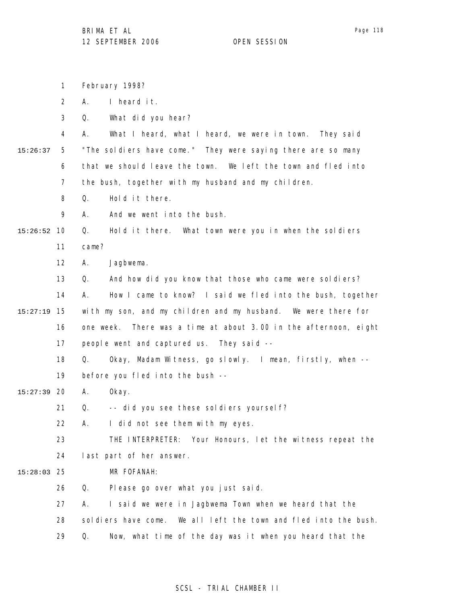1 2 3 4 5 6 7 8 9 10 15:26:52 11 12 13 14 15 15:27:19 16 17 18 19 20 15:27:39 21 22 23 24 25 15:28:03 26 27 28 29 15:26:37 February 1998? A. I heard it. Q. What did you hear? A. What I heard, what I heard, we were in town. They said "The soldiers have come." They were saying there are so many that we should leave the town. We left the town and fled into the bush, together with my husband and my children. Q. Hold it there. A. And we went into the bush. Q. Hold it there. What town were you in when the soldiers came? A. Jagbwema. Q. And how did you know that those who came were soldiers? A. How I came to know? I said we fled into the bush, together with my son, and my children and my husband. We were there for one week. There was a time at about 3.00 in the afternoon, eight people went and captured us. They said -- Q. Okay, Madam Witness, go slowly. I mean, firstly, when - before you fled into the bush -- A. Okay. Q. -- did you see these soldiers yourself? A. I did not see them with my eyes. THE INTERPRETER: Your Honours, let the witness repeat the last part of her answer. MR FOFANAH: Q. Please go over what you just said. A. I said we were in Jagbwema Town when we heard that the soldiers have come. We all left the town and fled into the bush. Q. Now, what time of the day was it when you heard that the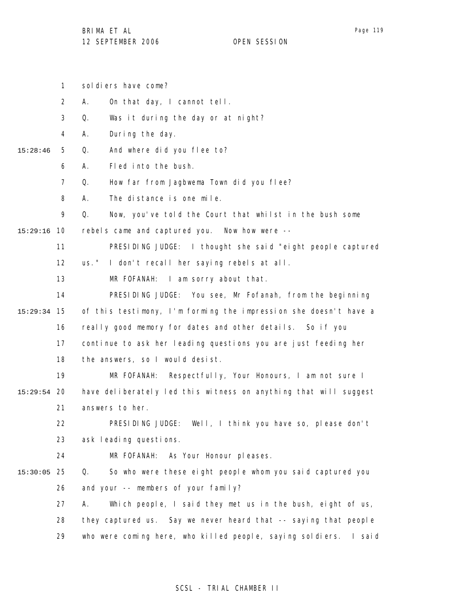1 sol diers have come?

2 A. On that day, I cannot tell.

3 Q. Was it during the day or at night?

4 A. During the day.

- 5 15:28:46 Q. And where did you flee to?
	- 6 A. Fled into the bush.

7 Q. How far from Jagbwema Town did you flee?

8 A. The distance is one mile.

9 Q. Now, you've told the Court that whilst in the bush some

10 15:29:16 rebels came and captured you. Now how were --

> 11 PRESIDING JUDGE: I thought she said "eight people captured

12 us." I don't recall her saying rebels at all.

13 MR FOFANAH: I am sorry about that.

14 15 15:29:34 16 17 18 PRESIDING JUDGE: You see, Mr Fofanah, from the beginning of this testimony, I'm forming the impression she doesn't have a really good memory for dates and other details. So if you continue to ask her leading questions you are just feeding her the answers, so I would desist.

19 20 15:29:54 21 MR FOFANAH: Respectfully, Your Honours, I am not sure I have deliberately led this witness on anything that will suggest answers to her.

> 22 23 PRESIDING JUDGE: Well, I think you have so, please don't ask leading questions.

24

MR FOFANAH: As Your Honour pleases.

25 15:30:05 26 Q. So who were these eight people whom you said captured you and your -- members of your family?

> 27 28 29 A. Which people, I said they met us in the bush, eight of us, they captured us. Say we never heard that -- saying that people who were coming here, who killed people, saying soldiers. I said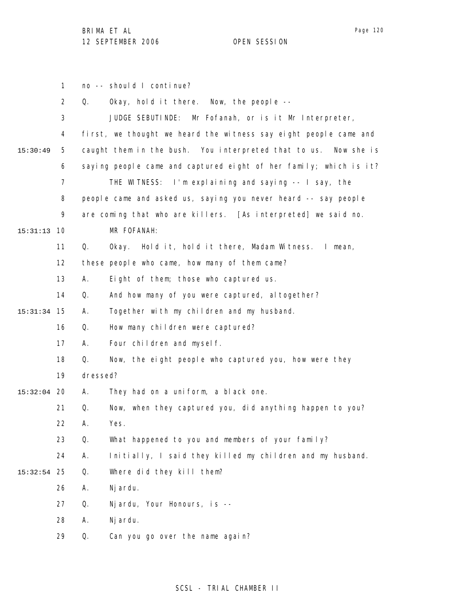1 2 3 4 5 6 7 8 9 10 15:31:13 11 12 13 14 15 15:31:34 16 17 18 19 20 15:32:04 21 22 23 24 25 15:32:54 26 27 28 29 15:30:49 no -- should I continue? Q. Okay, hold it there. Now, the people -- JUDGE SEBUTINDE: Mr Fofanah, or is it Mr Interpreter, first, we thought we heard the witness say eight people came and caught them in the bush. You interpreted that to us. Now she is saying people came and captured eight of her family; which is it? THE WITNESS: I'm explaining and saying -- I say, the people came and asked us, saying you never heard -- say people are coming that who are killers. [As interpreted] we said no. MR FOFANAH: Q. Okay. Hold it, hold it there, Madam Witness. I mean, these people who came, how many of them came? A. Eight of them; those who captured us. Q. And how many of you were captured, altogether? A. Together with my children and my husband. Q. How many children were captured? A. Four children and myself. Q. Now, the eight people who captured you, how were they dressed? A. They had on a uniform, a black one. Q. Now, when they captured you, did anything happen to you? A. Yes. Q. What happened to you and members of your family? A. Initially, I said they killed my children and my husband. Q. Where did they kill them? A. Njardu. Q. Njardu, Your Honours, is -- A. Njardu. Q. Can you go over the name again?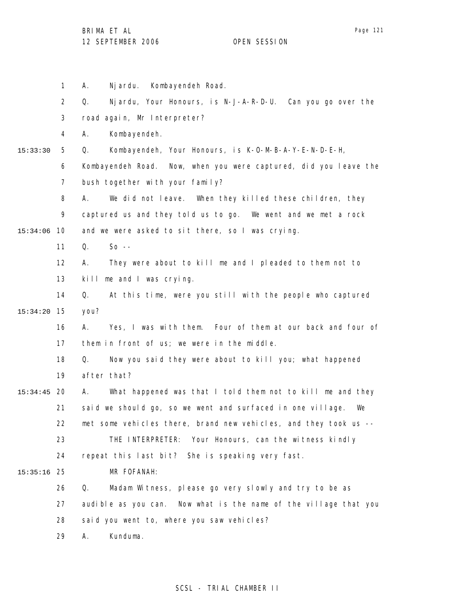|          | $\mathbf{1}$   | Nj ardu. Kombayendeh Road.<br>А.                                  |
|----------|----------------|-------------------------------------------------------------------|
|          | $\overline{2}$ | Nj ardu, Your Honours, is N-J-A-R-D-U. Can you go over the<br>Q.  |
|          | 3              | road again, Mr Interpreter?                                       |
|          | 4              | Kombayendeh.<br>А.                                                |
| 15:33:30 | 5              | Kombayendeh, Your Honours, is K-0-M-B-A-Y-E-N-D-E-H,<br>Q.        |
|          | 6              | Kombayendeh Road. Now, when you were captured, did you leave the  |
|          | 7              | bush together with your family?                                   |
|          | 8              | We did not leave. When they killed these children, they<br>А.     |
|          | 9              | captured us and they told us to go. We went and we met a rock     |
| 15:34:06 | 10             | and we were asked to sit there, so I was crying.                  |
|          | 11             | Q.<br>$So --$                                                     |
|          | 12             | They were about to kill me and I pleaded to them not to<br>А.     |
|          | 13             | kill me and I was crying.                                         |
|          | 14             | Q.<br>At this time, were you still with the people who captured   |
| 15:34:20 | 15             | you?                                                              |
|          | 16             | Α.<br>Yes, I was with them. Four of them at our back and four of  |
|          | 17             | them in front of us; we were in the middle.                       |
|          | 18             | Now you said they were about to kill you; what happened<br>Q.     |
|          | 19             | after that?                                                       |
| 15:34:45 | 20             | What happened was that I told them not to kill me and they<br>A.  |
|          | 21             | said we should go, so we went and surfaced in one village.<br>We  |
|          | 22             | met some vehicles there, brand new vehicles, and they took us --  |
|          | 23             | THE INTERPRETER: Your Honours, can the witness kindly             |
|          | 24             | repeat this last bit? She is speaking very fast.                  |
| 15:35:16 | 25             | MR FOFANAH:                                                       |
|          | 26             | Madam Witness, please go very slowly and try to be as<br>Q.       |
|          | 27             | audible as you can.  Now what is the name of the village that you |
|          | 28             | said you went to, where you saw vehicles?                         |
|          | 29             | Kunduma.<br>Α.                                                    |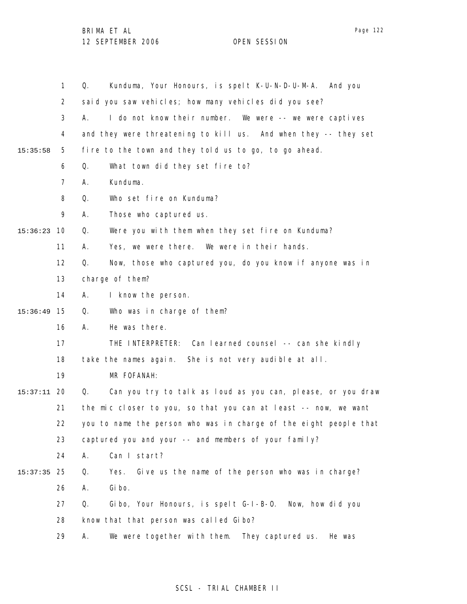|          | $\mathbf{1}$   | Kunduma, Your Honours, is spelt K-U-N-D-U-M-A. And you<br>Q.      |
|----------|----------------|-------------------------------------------------------------------|
|          | $\overline{2}$ | said you saw vehicles; how many vehicles did you see?             |
|          | 3              | I do not know their number. We were -- we were captives<br>А.     |
|          | 4              | and they were threatening to kill us. And when they -- they set   |
| 15:35:58 | 5              | fire to the town and they told us to go, to go ahead.             |
|          | 6              | What town did they set fire to?<br>Q.                             |
|          | $\overline{7}$ | Kunduma.<br>Α.                                                    |
|          | 8              | Who set fire on Kunduma?<br>Q.                                    |
|          | 9              | Those who captured us.<br>А.                                      |
| 15:36:23 | 10             | Were you with them when they set fire on Kunduma?<br>Q.           |
|          | 11             | Yes, we were there. We were in their hands.<br>Α.                 |
|          | 12             | Now, those who captured you, do you know if anyone was in<br>Q.   |
|          | 13             | charge of them?                                                   |
|          | 14             | I know the person.<br>Α.                                          |
| 15:36:49 | 15             | Q.<br>Who was in charge of them?                                  |
|          | 16             | Α.<br>He was there.                                               |
|          | 17             | THE INTERPRETER: Can learned counsel -- can she kindly            |
|          | 18             | take the names again. She is not very audible at all.             |
|          | 19             | MR FOFANAH:                                                       |
| 15:37:11 | 20             | Q.<br>Can you try to talk as loud as you can, please, or you draw |
|          | 21             | the mic closer to you, so that you can at least -- now, we want   |
|          | 22             | you to name the person who was in charge of the eight people that |
|          | 23             | captured you and your -- and members of your family?              |
|          | 24             | Can I start?<br>Α.                                                |
| 15:37:35 | 25             | Give us the name of the person who was in charge?<br>Q.<br>Yes.   |
|          | 26             | Gi bo.<br>Α.                                                      |
|          | 27             | Gibo, Your Honours, is spelt G-I-B-O. Now, how did you<br>Q.      |
|          | 28             | know that that person was called Gibo?                            |
|          | 29             | We were together with them. They captured us.<br>Α.<br>He was     |

## SCSL - TRIAL CHAMBER II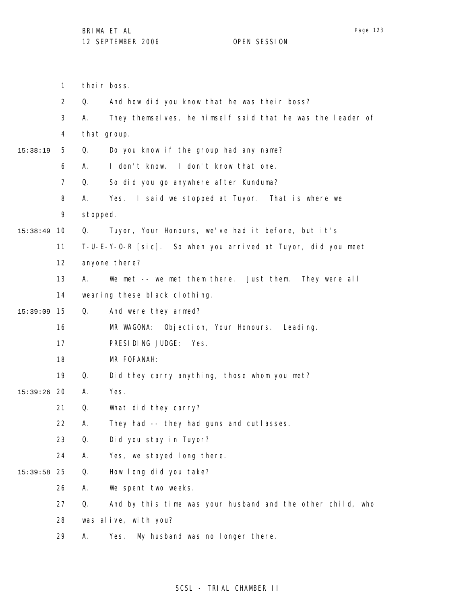1 their boss.

|             | $\overline{2}$ | Q.       | And how did you know that he was their boss?                  |
|-------------|----------------|----------|---------------------------------------------------------------|
|             | 3              | А.       | They themselves, he himself said that he was the leader of    |
|             | 4              |          | that group.                                                   |
| 15:38:19    | 5              | Q.       | Do you know if the group had any name?                        |
|             | 6              | А.       | I don't know. I don't know that one.                          |
|             | $\overline{7}$ | Q.       | So did you go anywhere after Kunduma?                         |
|             | 8              | А.       | Yes. I said we stopped at Tuyor. That is where we             |
|             | 9              | stopped. |                                                               |
| 15:38:49    | 10             | Q.       | Tuyor, Your Honours, we've had it before, but it's            |
|             | 11             |          | T-U-E-Y-O-R [sic]. So when you arrived at Tuyor, did you meet |
|             | 12             |          | anyone there?                                                 |
|             | 13             | Α.       | We met -- we met them there. Just them. They were all         |
|             | 14             |          | wearing these black clothing.                                 |
| 15:39:09    | 15             | Q.       | And were they armed?                                          |
|             | 16             |          | MR WAGONA: Objection, Your Honours. Leading.                  |
|             | 17             |          | PRESIDING JUDGE: Yes.                                         |
|             | 18             |          | MR FOFANAH:                                                   |
|             | 19             | Q.       | Did they carry anything, those whom you met?                  |
| 15:39:26 20 |                | Α.       | Yes.                                                          |
|             | 21             | Q.       | What did they carry?                                          |
|             | 22             | Α.       | They had -- they had guns and cutlasses.                      |
|             | 23             | Q.       | Did you stay in Tuyor?                                        |
|             | 24             | Α.       | Yes, we stayed long there.                                    |
| 15:39:58    | 25             | Q.       | How I ong did you take?                                       |
|             | 26             | Α.       | We spent two weeks.                                           |
|             | 27             | Q.       | And by this time was your husband and the other child, who    |
|             | 28             |          | was alive, with you?                                          |

29 A. Yes. My husband was no longer there.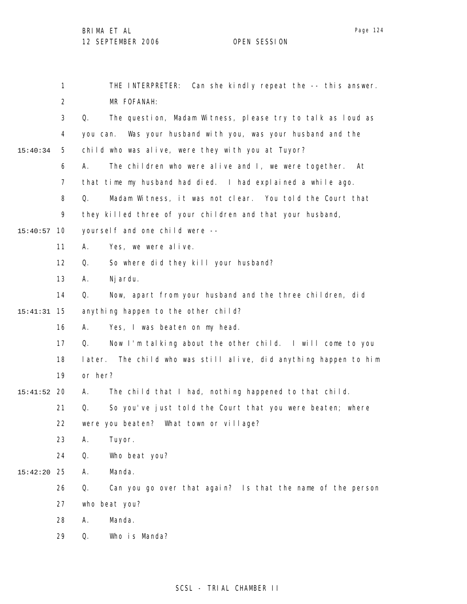1 2 3 4 5 6 7 8 9 10 15:40:57 11 12 13 14 15 15:41:31 16 17 18 19 20 15:41:52 21 22 23 24 25 15:42:20 26 27 28 29 15:40:34 THE INTERPRETER: Can she kindly repeat the -- this answer. MR FOFANAH: Q. The question, Madam Witness, please try to talk as loud as you can. Was your husband with you, was your husband and the child who was alive, were they with you at Tuyor? A. The children who were alive and I, we were together. At that time my husband had died. I had explained a while ago. Q. Madam Witness, it was not clear. You told the Court that they killed three of your children and that your husband, yourself and one child were -- A. Yes, we were alive. Q. So where did they kill your husband? A. Njardu. Q. Now, apart from your husband and the three children, did anything happen to the other child? A. Yes, I was beaten on my head. Q. Now I'm talking about the other child. I will come to you later. The child who was still alive, did anything happen to him or her? A. The child that I had, nothing happened to that child. Q. So you've just told the Court that you were beaten; where were you beaten? What town or village? A. Tuyor. Q. Who beat you? A. Manda. Q. Can you go over that again? Is that the name of the person who beat you? A. Manda. Q. Who is Manda?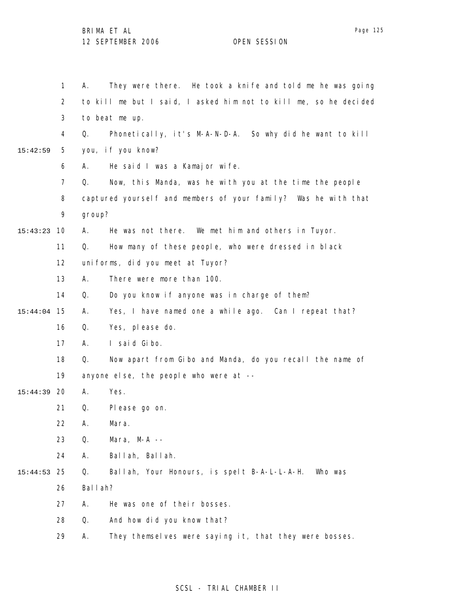|          | 1              | Α.      | They were there. He took a knife and told me he was going        |
|----------|----------------|---------|------------------------------------------------------------------|
|          | $\overline{2}$ |         | to kill me but I said, I asked him not to kill me, so he decided |
|          | 3              |         | to beat me up.                                                   |
|          | 4              | Q.      | Phonetically, it's M-A-N-D-A. So why did he want to kill         |
| 15:42:59 | 5              |         | you, if you know?                                                |
|          | 6              | А.      | He said I was a Kamajor wife.                                    |
|          | 7              | Q.      | Now, this Manda, was he with you at the time the people          |
|          | 8              |         | captured yourself and members of your family? Was he with that   |
|          | 9              | group?  |                                                                  |
| 15:43:23 | 10             | А.      | He was not there. We met him and others in Tuyor.                |
|          | 11             | Q.      | How many of these people, who were dressed in black              |
|          | 12             |         | uniforms, did you meet at Tuyor?                                 |
|          | 13             | А.      | There were more than 100.                                        |
|          | 14             | Q.      | Do you know if anyone was in charge of them?                     |
| 15:44:04 | 15             | А.      | Yes, I have named one a while ago. Can I repeat that?            |
|          | 16             | Q.      | Yes, please do.                                                  |
|          | 17             | А.      | I said Gibo.                                                     |
|          | 18             | Q.      | Now apart from Gibo and Manda, do you recall the name of         |
|          | 19             |         | anyone else, the people who were at --                           |
| 15:44:39 | 20             | А.      | Yes.                                                             |
|          | 21             | Q.      | Please go on.                                                    |
|          | 22             | А.      | Mara.                                                            |
|          | 23             | Q.      | Mara, $M-A$ --                                                   |
|          | 24             | Α.      | Ballah, Ballah.                                                  |
| 15:44:53 | 25             | Q.      | Ballah, Your Honours, is spelt B-A-L-L-A-H.<br>Who was           |
|          | 26             | Ballah? |                                                                  |
|          | 27             | Α.      | He was one of their bosses.                                      |
|          | 28             | Q.      | And how did you know that?                                       |
|          | 29             | Α.      | They themselves were saying it, that they were bosses.           |

## SCSL - TRIAL CHAMBER II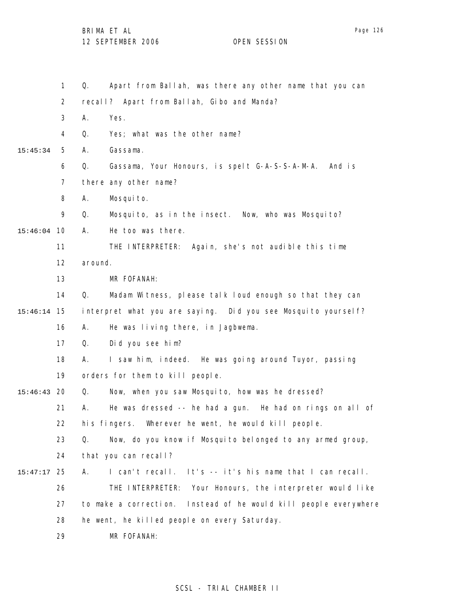|               | 1              | Apart from Ballah, was there any other name that you can<br>Q.      |
|---------------|----------------|---------------------------------------------------------------------|
|               | $\overline{a}$ | recall? Apart from Ballah, Gibo and Manda?                          |
|               | 3              | Yes.<br>Α.                                                          |
|               | 4              | Yes; what was the other name?<br>Q.                                 |
| 15:45:34      | 5              | Gassama.<br>Α.                                                      |
|               | 6              | Q.<br>Gassama, Your Honours, is spelt G-A-S-S-A-M-A.<br>And is      |
|               | $\overline{7}$ | there any other name?                                               |
|               | 8              | Mosquito.<br>Α.                                                     |
|               | 9              | Mosquito, as in the insect. Now, who was Mosquito?<br>Q.            |
| 15:46:04      | - 10           | He too was there.<br>Α.                                             |
|               | 11             | THE INTERPRETER: Again, she's not audible this time                 |
|               | 12             | around.                                                             |
|               | 13             | MR FOFANAH:                                                         |
|               | 14             | Q.<br>Madam Witness, please talk loud enough so that they can       |
| 15:46:14      | 15             | interpret what you are saying. Did you see Mosquito yourself?       |
|               | 16             | He was living there, in Jagbwema.<br>А.                             |
|               | 17             | Did you see him?<br>Q.                                              |
|               | 18             | I saw him, indeed. He was going around Tuyor, passing<br>А.         |
|               | 19             | orders for them to kill people.                                     |
| 15:46:43      | 20             | Now, when you saw Mosquito, how was he dressed?<br>Q.               |
|               | 21             | He was dressed -- he had a gun. He had on rings on all of<br>А.     |
|               | 22             | his fingers. Wherever he went, he would kill people.                |
|               | 23             | Now, do you know if Mosquito belonged to any armed group,<br>Q.     |
|               | 24             | that you can recall?                                                |
| $15:47:17$ 25 |                | It's -- it's his name that I can recall.<br>I can't recall.<br>А.   |
|               | 26             | THE INTERPRETER:<br>Your Honours, the interpreter would like        |
|               | 27             | to make a correction.<br>Instead of he would kill people everywhere |
|               | 28             | he went, he killed people on every Saturday.                        |
|               | 29             | MR FOFANAH:                                                         |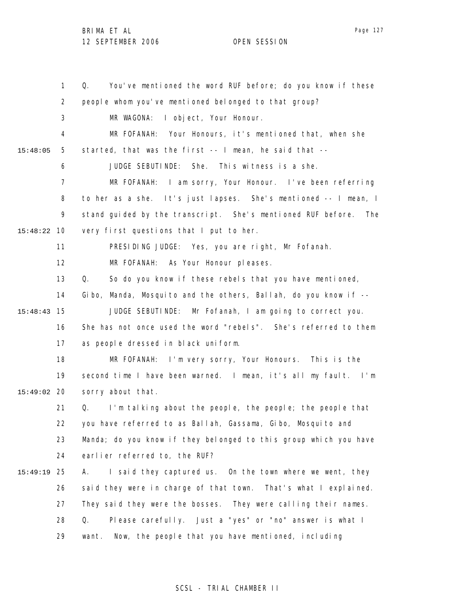1 2 3 4 5 6 7 8 9 10 15:48:22 11 12 13 14 15 15:48:43 16 17 18 19 20 15:49:02 21 22 23 24 25 15:49:19 26 27 28 29 15:48:05 Q. You've mentioned the word RUF before; do you know if these people whom you've mentioned belonged to that group? MR WAGONA: I object, Your Honour. MR FOFANAH: Your Honours, it's mentioned that, when she started, that was the first -- I mean, he said that -- JUDGE SEBUTINDE: She. This witness is a she. MR FOFANAH: I am sorry, Your Honour. I've been referring to her as a she. It's just lapses. She's mentioned -- I mean, I stand guided by the transcript. She's mentioned RUF before. The very first questions that I put to her. PRESIDING JUDGE: Yes, you are right, Mr Fofanah. MR FOFANAH: As Your Honour pleases. Q. So do you know if these rebels that you have mentioned, Gibo, Manda, Mosquito and the others, Ballah, do you know if -- JUDGE SEBUTINDE: Mr Fofanah, I am going to correct you. She has not once used the word "rebels". She's referred to them as people dressed in black uniform. MR FOFANAH: I'm very sorry, Your Honours. This is the second time I have been warned. I mean, it's all my fault. I'm sorry about that. Q. I'm talking about the people, the people; the people that you have referred to as Ballah, Gassama, Gibo, Mosquito and Manda; do you know if they belonged to this group which you have earlier referred to, the RUF? A. I said they captured us. On the town where we went, they said they were in charge of that town. That's what I explained. They said they were the bosses. They were calling their names. Q. Please carefully. Just a "yes" or "no" answer is what I want. Now, the people that you have mentioned, including

### SCSL - TRIAL CHAMBER II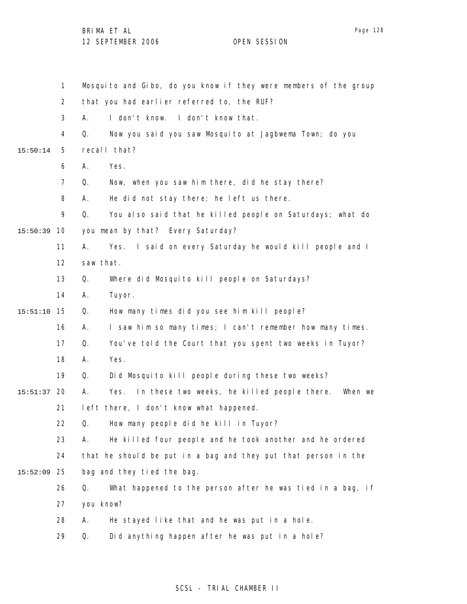1 2 3 4 5 6 7 8 9 10 15:50:39 11 12 13 14 15 15:51:10 16 17 18 19 20 15:51:37 21 22 23 24 25 15:52:09 26 27 28 29 15:50:14 Mosquito and Gibo, do you know if they were members of the group that you had earlier referred to, the RUF? A. I don't know. I don't know that. Q. Now you said you saw Mosquito at Jagbwema Town; do you recall that? A. Yes. Q. Now, when you saw him there, did he stay there? A. He did not stay there; he left us there. Q. You also said that he killed people on Saturdays; what do you mean by that? Every Saturday? A. Yes. I said on every Saturday he would kill people and I saw that. Q. Where did Mosquito kill people on Saturdays? A. Tuyor. Q. How many times did you see him kill people? A. I saw him so many times; I can't remember how many times. Q. You've told the Court that you spent two weeks in Tuyor? A. Yes. Q. Did Mosquito kill people during these two weeks? A. Yes. In these two weeks, he killed people there. When we left there, I don't know what happened. Q. How many people did he kill in Tuyor? A. He killed four people and he took another and he ordered that he should be put in a bag and they put that person in the bag and they tied the bag. Q. What happened to the person after he was tied in a bag, if you know? A. He stayed like that and he was put in a hole. Q. Did anything happen after he was put in a hole?

## SCSL - TRIAL CHAMBER II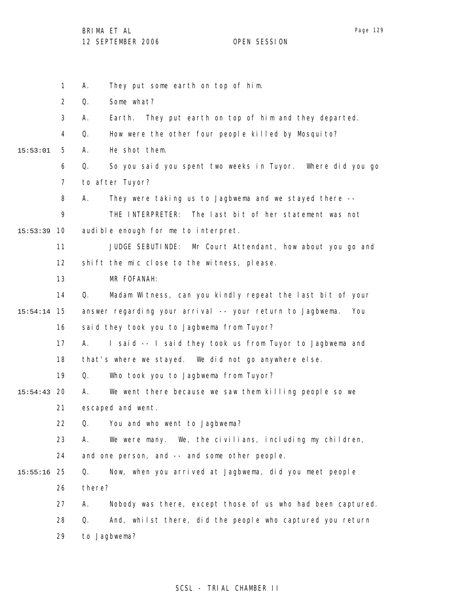1 2 3 4 5 6 7 8 9 10 15:53:39 11 12 13 14 15 15:54:14 16 17 18 19 20 15:54:43 21 22 23 24 25 15:55:16 26 27 28 29 15:53:01 A. They put some earth on top of him. Q. Some what? A. Earth. They put earth on top of him and they departed. Q. How were the other four people killed by Mosquito? A. He shot them. Q. So you said you spent two weeks in Tuyor. Where did you go to after Tuyor? A. They were taking us to Jagbwema and we stayed there -- THE INTERPRETER: The last bit of her statement was not audible enough for me to interpret. JUDGE SEBUTINDE: Mr Court Attendant, how about you go and shift the mic close to the witness, please. MR FOFANAH: Q. Madam Witness, can you kindly repeat the last bit of your answer regarding your arrival -- your return to Jagbwema. You said they took you to Jagbwema from Tuyor? A. I said -- I said they took us from Tuyor to Jagbwema and that's where we stayed. We did not go anywhere else. Q. Who took you to Jagbwema from Tuyor? A. We went there because we saw them killing people so we escaped and went. Q. You and who went to Jagbwema? A. We were many. We, the civilians, including my children, and one person, and -- and some other people. Q. Now, when you arrived at Jagbwema, did you meet people there? A. Nobody was there, except those of us who had been captured. Q. And, whilst there, did the people who captured you return to Jagbwema?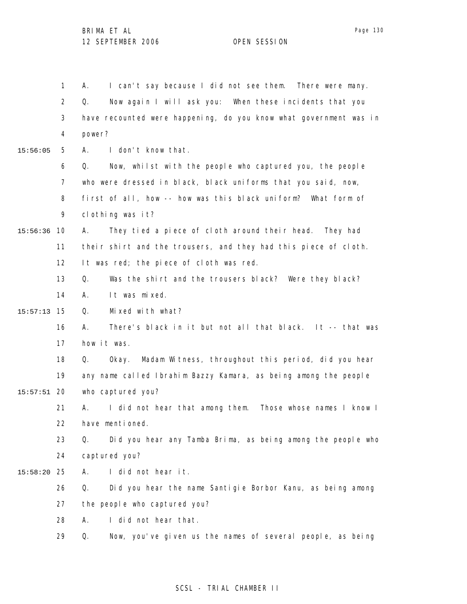1 2 3 4 5 6 7 8 9 10 15:56:36 11 12 13 14 15 15:57:13 16 17 18 19 20 15:57:51 21 22 23 24 25 15:58:20 26 27 28 29 15:56:05 A. I can't say because I did not see them. There were many. Q. Now again I will ask you: When these incidents that you have recounted were happening, do you know what government was in power? A. I don't know that. Q. Now, whilst with the people who captured you, the people who were dressed in black, black uniforms that you said, now, first of all, how -- how was this black uniform? What form of clothing was it? A. They tied a piece of cloth around their head. They had their shirt and the trousers, and they had this piece of cloth. It was red; the piece of cloth was red. Q. Was the shirt and the trousers black? Were they black? A. It was mixed. Q. Mixed with what? A. There's black in it but not all that black. It -- that was how it was. Q. Okay. Madam Witness, throughout this period, did you hear any name called Ibrahim Bazzy Kamara, as being among the people who captured you? A. I did not hear that among them. Those whose names I know I have mentioned. Q. Did you hear any Tamba Brima, as being among the people who captured you? A. I did not hear it. Q. Did you hear the name Santigie Borbor Kanu, as being among the people who captured you? A. I did not hear that. Q. Now, you've given us the names of several people, as being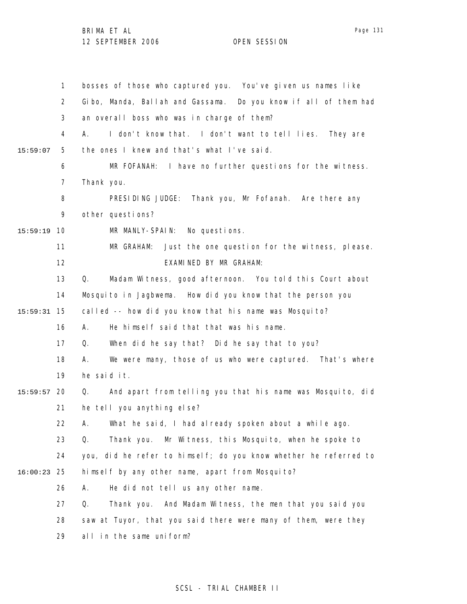|          | $\mathbf{1}$   | bosses of those who captured you. You've given us names like     |
|----------|----------------|------------------------------------------------------------------|
|          | 2              | Gibo, Manda, Ballah and Gassama. Do you know if all of them had  |
|          | 3              | an overall boss who was in charge of them?                       |
|          | 4              | I don't know that. I don't want to tell lies. They are<br>А.     |
| 15:59:07 | 5              | the ones I knew and that's what I've said.                       |
|          | 6              | MR FOFANAH: I have no further questions for the witness.         |
|          | $\overline{7}$ | Thank you.                                                       |
|          | 8              | PRESIDING JUDGE: Thank you, Mr Fofanah. Are there any            |
|          | 9              | other questions?                                                 |
| 15:59:19 | 10             | MR MANLY-SPAIN: No questions.                                    |
|          | 11             | Just the one question for the witness, please.<br>MR GRAHAM:     |
|          | 12             | EXAMINED BY MR GRAHAM:                                           |
|          | 13             | Q.<br>Madam Witness, good afternoon. You told this Court about   |
|          | 14             | Mosquito in Jagbwema. How did you know that the person you       |
| 15:59:31 | 15             | called -- how did you know that his name was Mosquito?           |
|          | 16             | He himself said that that was his name.<br>А.                    |
|          | 17             | When did he say that? Did he say that to you?<br>Q.              |
|          | 18             | We were many, those of us who were captured. That's where<br>А.  |
|          | 19             | he said it.                                                      |
| 15:59:57 | 20             | And apart from telling you that his name was Mosquito, did<br>Q. |
|          | 21             | he tell you anything else?                                       |
|          | 22             | A. What he said, I had al ready spoken about a while ago.        |
|          | 23             | Mr Witness, this Mosquito, when he spoke to<br>Q.<br>Thank you.  |
|          | 24             | you, did he refer to himself; do you know whether he referred to |
| 16:00:23 | 25             | himself by any other name, apart from Mosquito?                  |
|          | 26             | He did not tell us any other name.<br>А.                         |
|          | 27             | And Madam Witness, the men that you said you<br>Q.<br>Thank you. |
|          | 28             | saw at Tuyor, that you said there were many of them, were they   |
|          | 29             | all in the same uniform?                                         |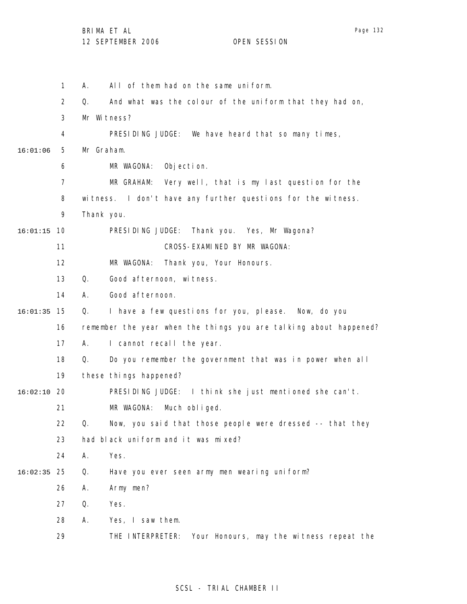|          | 1  | А.         | All of them had on the same uniform.                              |
|----------|----|------------|-------------------------------------------------------------------|
|          | 2  | Q.         | And what was the colour of the uniform that they had on,          |
|          | 3  |            | Mr Witness?                                                       |
|          | 4  |            | PRESIDING JUDGE: We have heard that so many times,                |
| 16:01:06 | 5  | Mr Graham. |                                                                   |
|          | 6  |            | MR WAGONA:<br>Objection.                                          |
|          | 7  |            | MR GRAHAM: Very well, that is my last question for the            |
|          | 8  | witness.   | I don't have any further questions for the witness.               |
|          | 9  | Thank you. |                                                                   |
| 16:01:15 | 10 |            | PRESIDING JUDGE: Thank you. Yes, Mr Wagona?                       |
|          | 11 |            | CROSS-EXAMINED BY MR WAGONA:                                      |
|          | 12 |            | Thank you, Your Honours.<br>MR WAGONA:                            |
|          | 13 | Q.         | Good afternoon, witness.                                          |
|          | 14 | Α.         | Good afternoon.                                                   |
| 16:01:35 | 15 | Q.         | I have a few questions for you, please. Now, do you               |
|          | 16 |            | remember the year when the things you are talking about happened? |
|          | 17 | А.         | I cannot recall the year.                                         |
|          | 18 | Q.         | Do you remember the government that was in power when all         |
|          | 19 |            | these things happened?                                            |
| 16:02:10 | 20 |            | PRESIDING JUDGE: I think she just mentioned she can't.            |
|          | 21 |            | MR WAGONA:<br>Much obliged.                                       |
|          | 22 | Q.         | Now, you said that those people were dressed -- that they         |
|          | 23 |            | had black uniform and it was mixed?                               |
|          | 24 | Α.         | Yes.                                                              |
| 16:02:35 | 25 | Q.         | Have you ever seen army men wearing uniform?                      |
|          | 26 | А.         | Army men?                                                         |
|          | 27 | Q.         | Yes.                                                              |
|          | 28 | А.         | Yes, I saw them.                                                  |
|          | 29 |            | THE INTERPRETER:<br>Your Honours, may the witness repeat the      |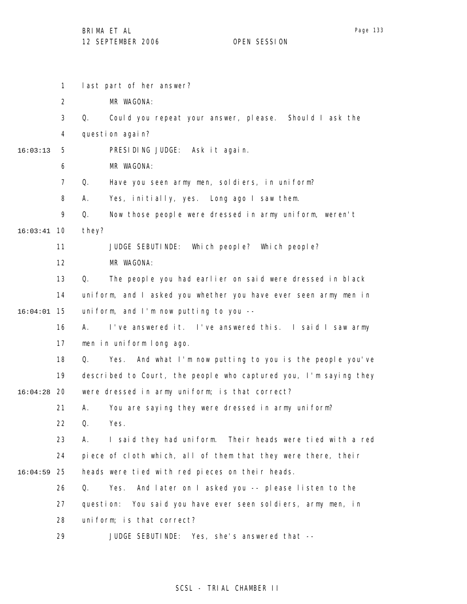1 2 3 4 5 6 7 8 9 10 16:03:41 11 12 13 14 15 16:04:01 16 17 18 19 20 16:04:28 21 22 23 24 25 16:04:59 26 27 28 16:03:13 last part of her answer? MR WAGONA: Q. Could you repeat your answer, please. Should I ask the question again? PRESIDING JUDGE: Ask it again. MR WAGONA: Q. Have you seen army men, soldiers, in uniform? A. Yes, initially, yes. Long ago I saw them. Q. Now those people were dressed in army uniform, weren't they? JUDGE SEBUTINDE: Which people? Which people? MR WAGONA: Q. The people you had earlier on said were dressed in black uniform, and I asked you whether you have ever seen army men in uniform, and I'm now putting to you -- A. I've answered it. I've answered this. I said I saw army men in uniform long ago. Q. Yes. And what I'm now putting to you is the people you've described to Court, the people who captured you, I'm saying they were dressed in army uniform; is that correct? A. You are saying they were dressed in army uniform? Q. Yes. A. I said they had uniform. Their heads were tied with a red piece of cloth which, all of them that they were there, their heads were tied with red pieces on their heads. Q. Yes. And later on I asked you -- please listen to the question: You said you have ever seen soldiers, army men, in uniform; is that correct?

> 29 JUDGE SEBUTINDE: Yes, she's answered that --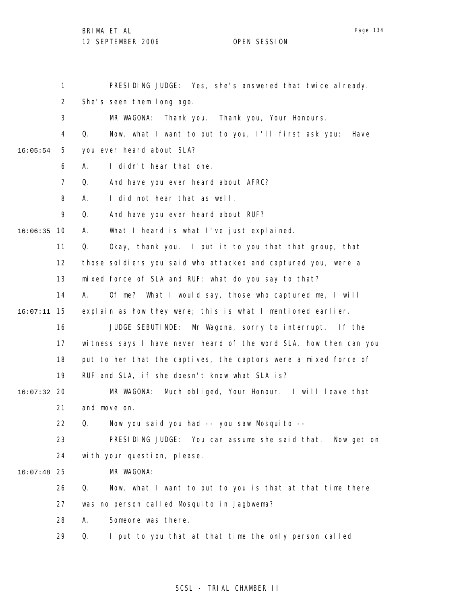Page 134

|               | 1              | PRESIDING JUDGE: Yes, she's answered that twice already.          |
|---------------|----------------|-------------------------------------------------------------------|
|               | $\overline{2}$ | She's seen them long ago.                                         |
|               | 3              | MR WAGONA:<br>Thank you. Thank you, Your Honours.                 |
|               | 4              | Now, what I want to put to you, I'll first ask you:<br>Q.<br>Have |
| 16:05:54      | 5              | you ever heard about SLA?                                         |
|               | 6              | I didn't hear that one.<br>Α.                                     |
|               | $\overline{7}$ | And have you ever heard about AFRC?<br>Q.                         |
|               | 8              | I did not hear that as well.<br>А.                                |
|               | 9              | Q.<br>And have you ever heard about RUF?                          |
| 16:06:35      | 10             | What I heard is what I've just explained.<br>А.                   |
|               | 11             | Q.<br>Okay, thank you. I put it to you that that group, that      |
|               | 12             | those soldiers you said who attacked and captured you, were a     |
|               | 13             | mixed force of SLA and RUF; what do you say to that?              |
|               | 14             | А.<br>Of me? What I would say, those who captured me, I will      |
| 16:07:11      | 15             | explain as how they were; this is what I mentioned earlier.       |
|               | 16             | JUDGE SEBUTINDE: Mr Wagona, sorry to interrupt. If the            |
|               | 17             | witness says I have never heard of the word SLA, how then can you |
|               | 18             | put to her that the captives, the captors were a mixed force of   |
|               | 19             | RUF and SLA, if she doesn't know what SLA is?                     |
| $16:07:32$ 20 |                | Much obliged, Your Honour. I will leave that<br>MR WAGONA:        |
|               | 21             | and move on.                                                      |
|               | 22             | Q. Now you said you had -- you saw Mosquito --                    |
|               | 23             | PRESIDING JUDGE: You can assume she said that. Now get on         |
|               | 24             | with your question, please.                                       |
| 16:07:48      | 25             | MR WAGONA:                                                        |
|               | 26             | Now, what I want to put to you is that at that time there<br>Q.   |
|               | 27             | was no person called Mosquito in Jagbwema?                        |
|               | 28             | Someone was there.<br>А.                                          |
|               | 29             | I put to you that at that time the only person called<br>Q.       |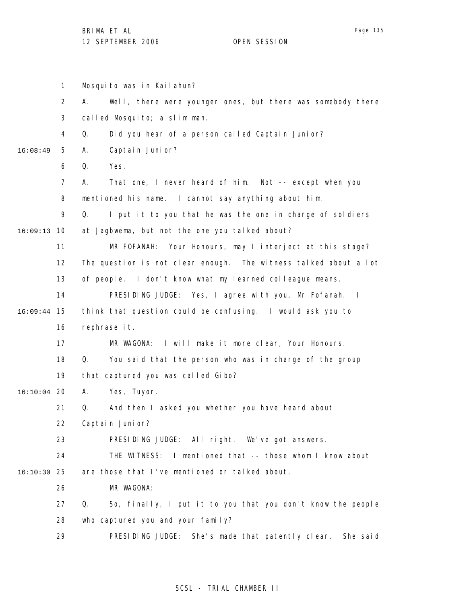|               | $\mathbf{1}$   | Mosquito was in Kailahun?                                         |
|---------------|----------------|-------------------------------------------------------------------|
|               | $\overline{2}$ | Well, there were younger ones, but there was somebody there<br>А. |
|               | 3              | called Mosquito; a slim man.                                      |
|               | 4              | Did you hear of a person called Captain Junior?<br>Q.             |
| 16:08:49      | 5              | Captain Junior?<br>Α.                                             |
|               | 6              | Q.<br>Yes.                                                        |
|               | $\overline{7}$ | That one, I never heard of him. Not -- except when you<br>А.      |
|               | 8              | mentioned his name. I cannot say anything about him.              |
|               | 9              | Q.<br>I put it to you that he was the one in charge of soldiers   |
| 16:09:13      | 10             | at Jagbwema, but not the one you talked about?                    |
|               | 11             | MR FOFANAH: Your Honours, may I interject at this stage?          |
|               | 12             | The question is not clear enough. The witness talked about a lot  |
|               | 13             | of people. I don't know what my learned colleague means.          |
|               | 14             | PRESIDING JUDGE: Yes, I agree with you, Mr Fofanah. I             |
| 16:09:44      | 15             | think that question could be confusing. I would ask you to        |
|               | 16             | rephrase it.                                                      |
|               | 17             | MR WAGONA: I will make it more clear, Your Honours.               |
|               | 18             | Q.<br>You said that the person who was in charge of the group     |
|               | 19             | that captured you was called Gibo?                                |
| $16:10:04$ 20 |                | А.<br>Yes, Tuyor.                                                 |
|               | 21             | Q.<br>And then I asked you whether you have heard about           |
|               | 22             | Captain Junior?                                                   |
|               | 23             | PRESIDING JUDGE: All right. We've got answers.                    |
|               | 24             | THE WITNESS: I mentioned that -- those whom I know about          |
| 16:10:30 25   |                | are those that I've mentioned or talked about.                    |
|               | 26             | MR WAGONA:                                                        |
|               | 27             | So, finally, I put it to you that you don't know the people<br>Q. |
|               | 28             | who captured you and your family?                                 |
|               | 29             | PRESIDING JUDGE: She's made that patently clear. She said         |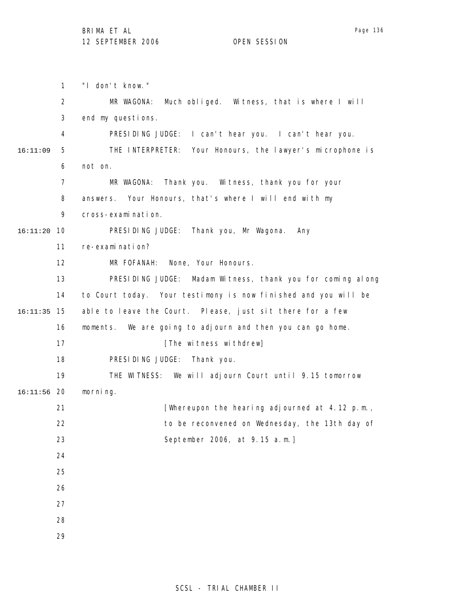1 2 3 4 5 6 7 8 9 10 16:11:20 11 12 13 14 15 16:11:35 16 17 18 19 20 16:11:56 21 22 23 24 25 26 27 28 29 16:11:09 "I don't know." MR WAGONA: Much obliged. Witness, that is where I will end my questions. PRESIDING JUDGE: I can't hear you. I can't hear you. THE INTERPRETER: Your Honours, the lawyer's microphone is not on. MR WAGONA: Thank you. Witness, thank you for your answers. Your Honours, that's where I will end with my cross-examination. PRESIDING JUDGE: Thank you, Mr Wagona. Any re-examination? MR FOFANAH: None, Your Honours. PRESIDING JUDGE: Madam Witness, thank you for coming along to Court today. Your testimony is now finished and you will be able to leave the Court. Please, just sit there for a few moments. We are going to adjourn and then you can go home. [The witness withdrew] PRESIDING JUDGE: Thank you. THE WITNESS: We will adjourn Court until 9.15 tomorrow morning. [Whereupon the hearing adjourned at 4.12 p.m., to be reconvened on Wednesday, the 13th day of September 2006, at 9.15 a.m.]